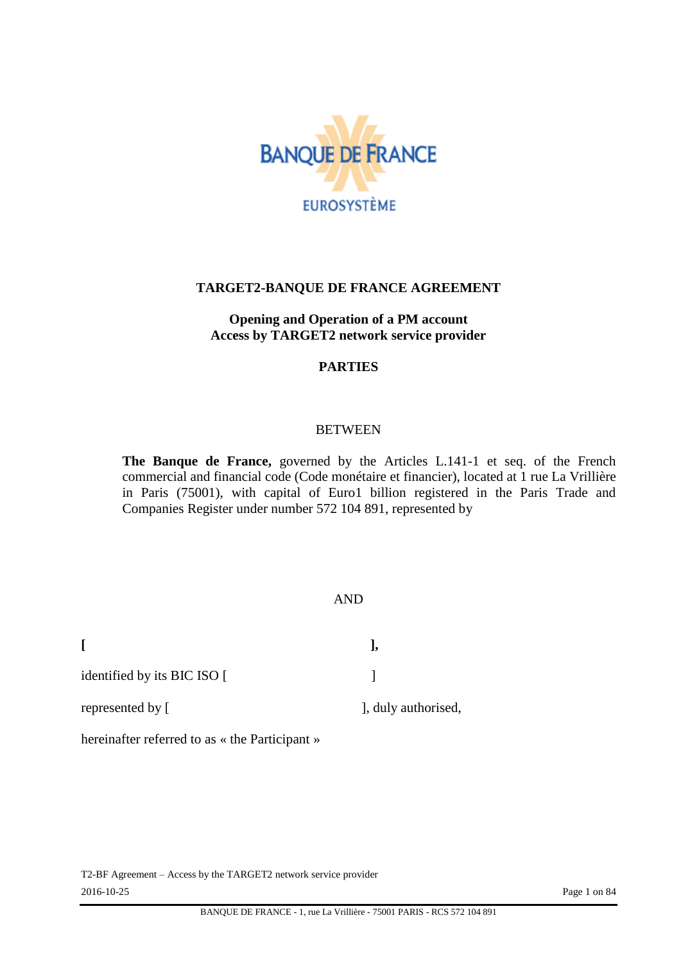

#### **TARGET2-BANQUE DE FRANCE AGREEMENT**

#### **Opening and Operation of a PM account Access by TARGET2 network service provider**

#### **PARTIES**

#### BETWEEN

**The Banque de France,** governed by the Articles L.141-1 et seq. of the French commercial and financial code (Code monétaire et financier), located at 1 rue La Vrillière in Paris (75001), with capital of Euro1 billion registered in the Paris Trade and Companies Register under number 572 104 891, represented by

#### AND

identified by its BIC ISO [

represented by [ ], duly authorised,

hereinafter referred to as « the Participant »

T2-BF Agreement – Access by the TARGET2 network service provider 2016-10-25 Page 1 on 84

**[ ],**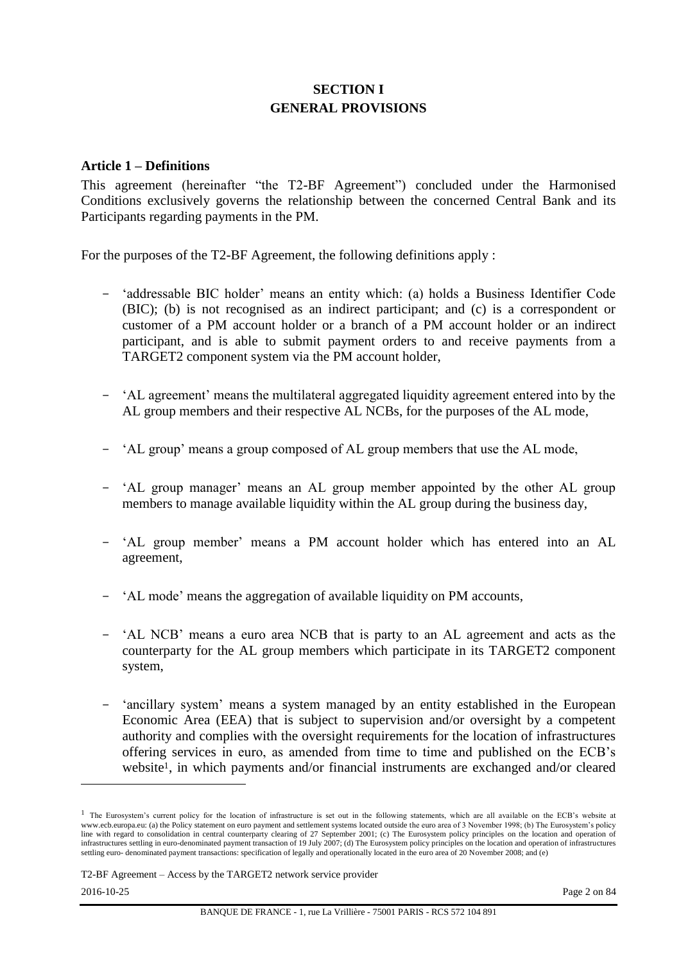# **SECTION I GENERAL PROVISIONS**

#### **Article 1 – Definitions**

This agreement (hereinafter "the T2-BF Agreement") concluded under the Harmonised Conditions exclusively governs the relationship between the concerned Central Bank and its Participants regarding payments in the PM.

For the purposes of the T2-BF Agreement, the following definitions apply :

- 'addressable BIC holder' means an entity which: (a) holds a Business Identifier Code (BIC); (b) is not recognised as an indirect participant; and (c) is a correspondent or customer of a PM account holder or a branch of a PM account holder or an indirect participant, and is able to submit payment orders to and receive payments from a TARGET2 component system via the PM account holder,
- 'AL agreement' means the multilateral aggregated liquidity agreement entered into by the AL group members and their respective AL NCBs, for the purposes of the AL mode,
- 'AL group' means a group composed of AL group members that use the AL mode,
- 'AL group manager' means an AL group member appointed by the other AL group members to manage available liquidity within the AL group during the business day,
- 'AL group member' means a PM account holder which has entered into an AL agreement,
- 'AL mode' means the aggregation of available liquidity on PM accounts,
- 'AL NCB' means a euro area NCB that is party to an AL agreement and acts as the counterparty for the AL group members which participate in its TARGET2 component system,
- 'ancillary system' means a system managed by an entity established in the European Economic Area (EEA) that is subject to supervision and/or oversight by a competent authority and complies with the oversight requirements for the location of infrastructures offering services in euro, as amended from time to time and published on the ECB's website<sup>1</sup>, in which payments and/or financial instruments are exchanged and/or cleared

 $\overline{\phantom{a}}$ 

<sup>&</sup>lt;sup>1</sup> The Eurosystem's current policy for the location of infrastructure is set out in the following statements, which are all available on the ECB's website at www.ecb.europa.eu: (a) the Policy statement on euro payment and settlement systems located outside the euro area of 3 November 1998; (b) The Eurosystem's policy line with regard to consolidation in central counterparty clearing of 27 September 2001; (c) The Eurosystem policy principles on the location and operation of infrastructures settling in euro-denominated payment transaction of 19 July 2007; (d) The Eurosystem policy principles on the location and operation of infrastructures settling euro- denominated payment transactions: specification of legally and operationally located in the euro area of 20 November 2008; and (e)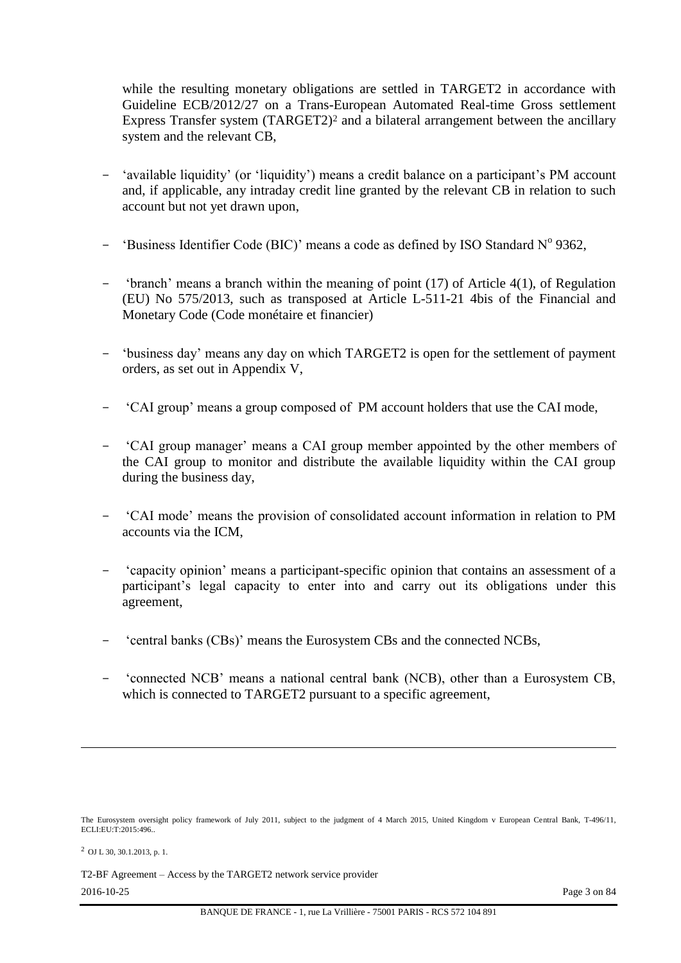while the resulting monetary obligations are settled in TARGET2 in accordance with Guideline ECB/2012/27 on a Trans-European Automated Real-time Gross settlement Express Transfer system (TARGET2)<sup>2</sup> and a bilateral arrangement between the ancillary system and the relevant CB,

- 'available liquidity' (or 'liquidity') means a credit balance on a participant's PM account and, if applicable, any intraday credit line granted by the relevant CB in relation to such account but not yet drawn upon,
- 'Business Identifier Code (BIC)' means a code as defined by ISO Standard  $N^{\circ}$  9362,
- 'branch' means a branch within the meaning of point (17) of Article 4(1), of Regulation (EU) No 575/2013, such as transposed at Article L-511-21 4bis of the Financial and Monetary Code (Code monétaire et financier)
- 'business day' means any day on which TARGET2 is open for the settlement of payment orders, as set out in Appendix V,
- 'CAI group' means a group composed of PM account holders that use the CAI mode,
- 'CAI group manager' means a CAI group member appointed by the other members of the CAI group to monitor and distribute the available liquidity within the CAI group during the business day,
- 'CAI mode' means the provision of consolidated account information in relation to PM accounts via the ICM,
- 'capacity opinion' means a participant-specific opinion that contains an assessment of a participant's legal capacity to enter into and carry out its obligations under this agreement,
- 'central banks (CBs)' means the Eurosystem CBs and the connected NCBs,
- 'connected NCB' means a national central bank (NCB), other than a Eurosystem CB, which is connected to TARGET2 pursuant to a specific agreement,

<sup>2</sup> OJ L 30, 30.1.2013, p. 1.

T2-BF Agreement – Access by the TARGET2 network service provider

l

The Eurosystem oversight policy framework of July 2011, subject to the judgment of 4 March 2015, United Kingdom v European Central Bank, T-496/11, ECLI:EU:T:2015:496..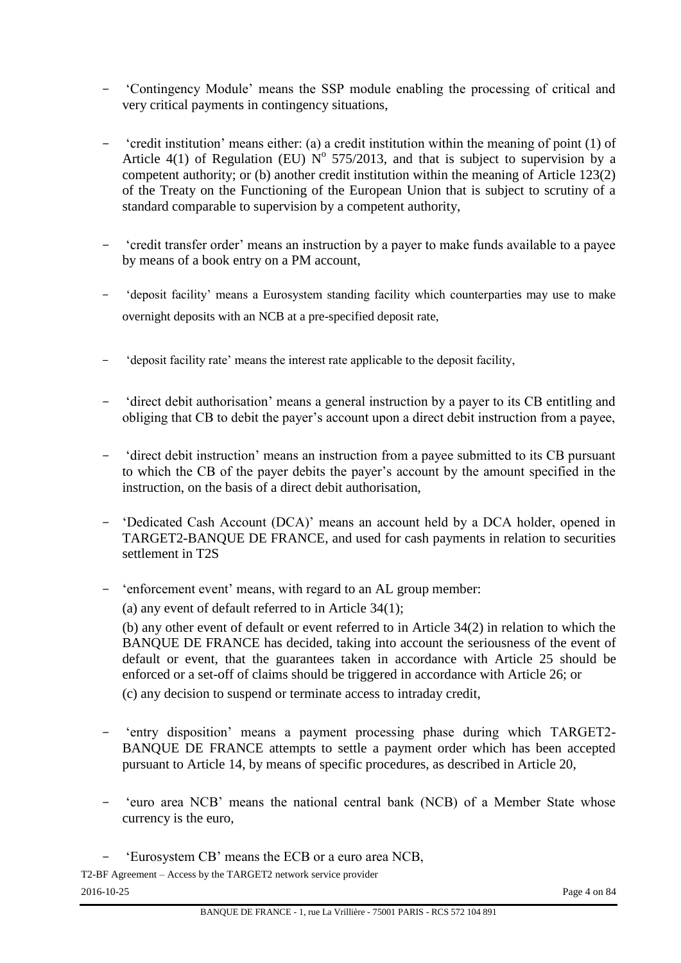- 'Contingency Module' means the SSP module enabling the processing of critical and very critical payments in contingency situations,
- 'credit institution' means either: (a) a credit institution within the meaning of point (1) of Article 4(1) of Regulation (EU)  $N^{\circ}$  575/2013, and that is subject to supervision by a competent authority; or (b) another credit institution within the meaning of Article 123(2) of the Treaty on the Functioning of the European Union that is subject to scrutiny of a standard comparable to supervision by a competent authority,
- 'credit transfer order' means an instruction by a payer to make funds available to a payee by means of a book entry on a PM account,
- 'deposit facility' means a Eurosystem standing facility which counterparties may use to make overnight deposits with an NCB at a pre-specified deposit rate,
- 'deposit facility rate' means the interest rate applicable to the deposit facility,
- 'direct debit authorisation' means a general instruction by a payer to its CB entitling and obliging that CB to debit the payer's account upon a direct debit instruction from a payee,
- 'direct debit instruction' means an instruction from a payee submitted to its CB pursuant to which the CB of the payer debits the payer's account by the amount specified in the instruction, on the basis of a direct debit authorisation,
- 'Dedicated Cash Account (DCA)' means an account held by a DCA holder, opened in TARGET2-BANQUE DE FRANCE, and used for cash payments in relation to securities settlement in T2S
- 'enforcement event' means, with regard to an AL group member:

(a) any event of default referred to in Article 34(1);

(b) any other event of default or event referred to in Article 34(2) in relation to which the BANQUE DE FRANCE has decided, taking into account the seriousness of the event of default or event, that the guarantees taken in accordance with Article 25 should be enforced or a set-off of claims should be triggered in accordance with Article 26; or (c) any decision to suspend or terminate access to intraday credit,

- 'entry disposition' means a payment processing phase during which TARGET2- BANQUE DE FRANCE attempts to settle a payment order which has been accepted pursuant to Article 14, by means of specific procedures, as described in Article 20,
- 'euro area NCB' means the national central bank (NCB) of a Member State whose currency is the euro,
- 'Eurosystem CB' means the ECB or a euro area NCB,

T2-BF Agreement – Access by the TARGET2 network service provider 2016-10-25 Page 4 on 84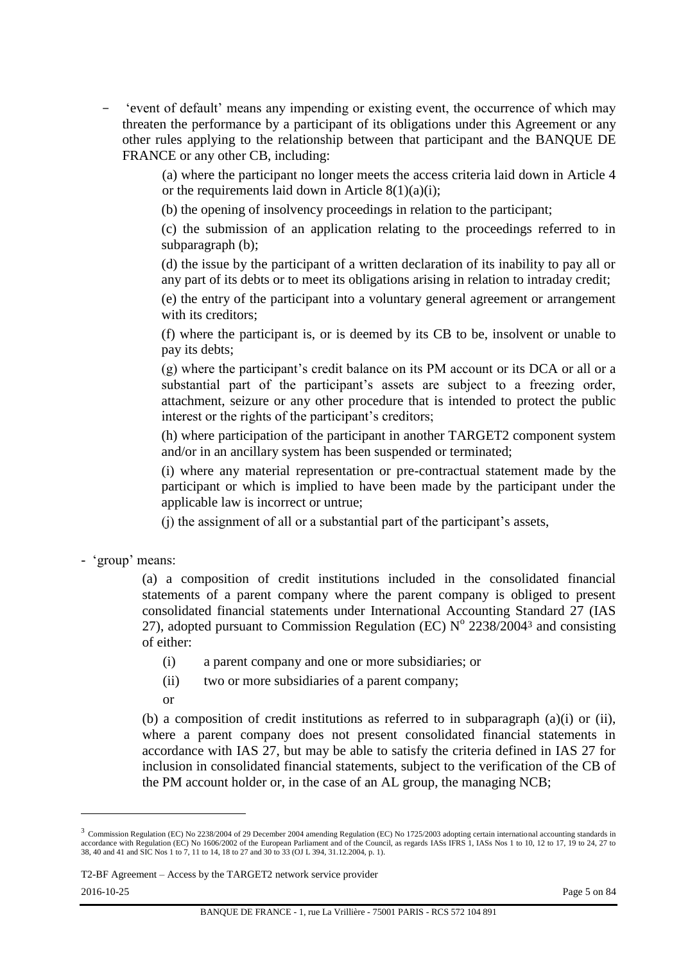- 'event of default' means any impending or existing event, the occurrence of which may threaten the performance by a participant of its obligations under this Agreement or any other rules applying to the relationship between that participant and the BANQUE DE FRANCE or any other CB, including:

> (a) where the participant no longer meets the access criteria laid down in Article 4 or the requirements laid down in Article  $8(1)(a)(i)$ ;

(b) the opening of insolvency proceedings in relation to the participant;

(c) the submission of an application relating to the proceedings referred to in subparagraph (b);

(d) the issue by the participant of a written declaration of its inability to pay all or any part of its debts or to meet its obligations arising in relation to intraday credit;

(e) the entry of the participant into a voluntary general agreement or arrangement with its creditors:

(f) where the participant is, or is deemed by its CB to be, insolvent or unable to pay its debts;

(g) where the participant's credit balance on its PM account or its DCA or all or a substantial part of the participant's assets are subject to a freezing order, attachment, seizure or any other procedure that is intended to protect the public interest or the rights of the participant's creditors;

(h) where participation of the participant in another TARGET2 component system and/or in an ancillary system has been suspended or terminated;

(i) where any material representation or pre-contractual statement made by the participant or which is implied to have been made by the participant under the applicable law is incorrect or untrue;

(j) the assignment of all or a substantial part of the participant's assets,

- 'group' means:

(a) a composition of credit institutions included in the consolidated financial statements of a parent company where the parent company is obliged to present consolidated financial statements under International Accounting Standard 27 (IAS 27), adopted pursuant to Commission Regulation (EC)  $N^{\circ}$  2238/2004<sup>3</sup> and consisting of either:

- (i) a parent company and one or more subsidiaries; or
- (ii) two or more subsidiaries of a parent company;
- or

(b) a composition of credit institutions as referred to in subparagraph (a)(i) or (ii), where a parent company does not present consolidated financial statements in accordance with IAS 27, but may be able to satisfy the criteria defined in IAS 27 for inclusion in consolidated financial statements, subject to the verification of the CB of the PM account holder or, in the case of an AL group, the managing NCB;

l

<sup>3</sup> Commission Regulation (EC) No 2238/2004 of 29 December 2004 amending Regulation (EC) No 1725/2003 adopting certain international accounting standards in accordance with Regulation (EC) No 1606/2002 of the European Parliament and of the Council, as regards IASs IFRS 1, IASs Nos 1 to 10, 12 to 17, 19 to 24, 27 to 38, 40 and 41 and SIC Nos 1 to 7, 11 to 14, 18 to 27 and 30 to 33 (OJ L 394, 31.12.2004, p. 1).

T2-BF Agreement – Access by the TARGET2 network service provider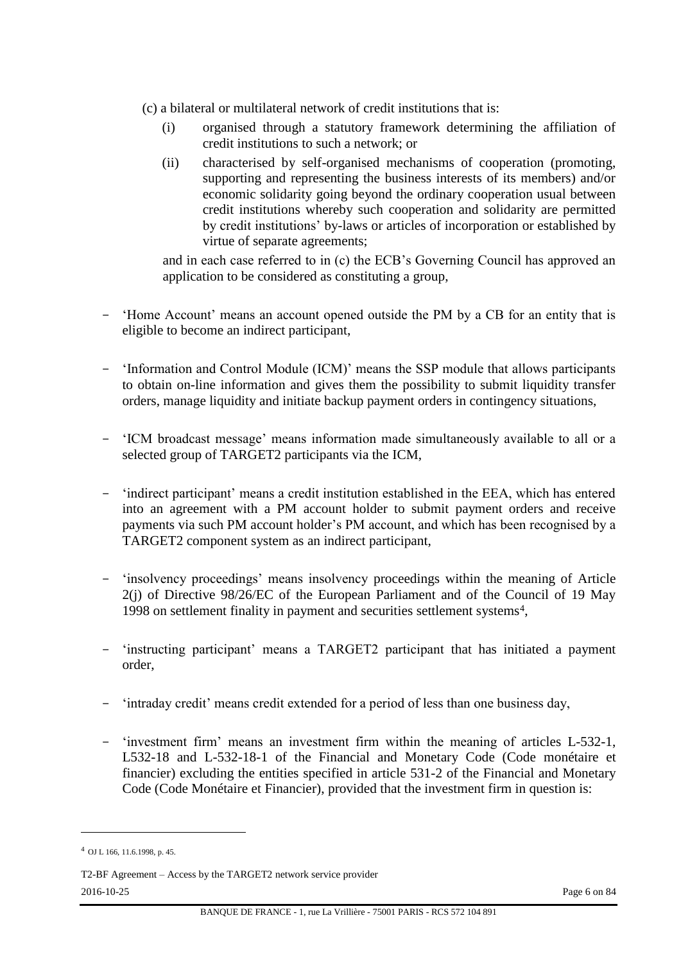- (c) a bilateral or multilateral network of credit institutions that is:
	- (i) organised through a statutory framework determining the affiliation of credit institutions to such a network; or
	- (ii) characterised by self-organised mechanisms of cooperation (promoting, supporting and representing the business interests of its members) and/or economic solidarity going beyond the ordinary cooperation usual between credit institutions whereby such cooperation and solidarity are permitted by credit institutions' by-laws or articles of incorporation or established by virtue of separate agreements;

and in each case referred to in (c) the ECB's Governing Council has approved an application to be considered as constituting a group,

- 'Home Account' means an account opened outside the PM by a CB for an entity that is eligible to become an indirect participant,
- 'Information and Control Module (ICM)' means the SSP module that allows participants to obtain on-line information and gives them the possibility to submit liquidity transfer orders, manage liquidity and initiate backup payment orders in contingency situations,
- 'ICM broadcast message' means information made simultaneously available to all or a selected group of TARGET2 participants via the ICM,
- 'indirect participant' means a credit institution established in the EEA, which has entered into an agreement with a PM account holder to submit payment orders and receive payments via such PM account holder's PM account, and which has been recognised by a TARGET2 component system as an indirect participant,
- 'insolvency proceedings' means insolvency proceedings within the meaning of Article 2(j) of Directive 98/26/EC of the European Parliament and of the Council of 19 May 1998 on settlement finality in payment and securities settlement systems4,
- 'instructing participant' means a TARGET2 participant that has initiated a payment order,
- 'intraday credit' means credit extended for a period of less than one business day,
- 'investment firm' means an investment firm within the meaning of articles L-532-1, L532-18 and L-532-18-1 of the Financial and Monetary Code (Code monétaire et financier) excluding the entities specified in article 531-2 of the Financial and Monetary Code (Code Monétaire et Financier), provided that the investment firm in question is:

 $\overline{\phantom{a}}$ 

<sup>4</sup> OJ L 166, 11.6.1998, p. 45.

T2-BF Agreement – Access by the TARGET2 network service provider 2016-10-25 Page 6 on 84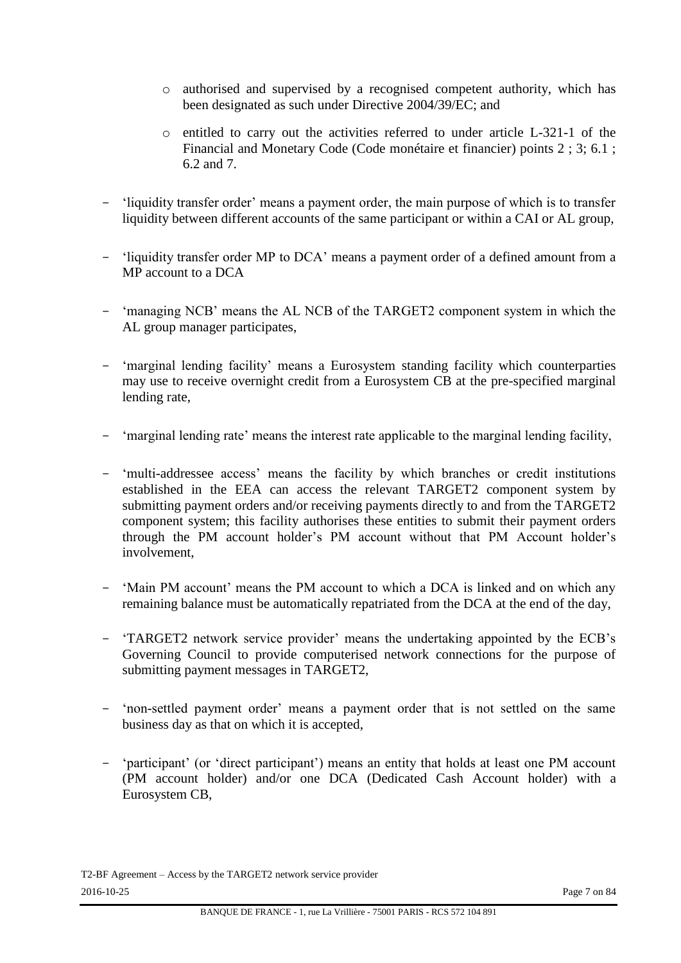- o authorised and supervised by a recognised competent authority, which has been designated as such under Directive 2004/39/EC; and
- o entitled to carry out the activities referred to under article L-321-1 of the Financial and Monetary Code (Code monétaire et financier) points 2 ; 3; 6.1 ; 6.2 and 7.
- 'liquidity transfer order' means a payment order, the main purpose of which is to transfer liquidity between different accounts of the same participant or within a CAI or AL group,
- 'liquidity transfer order MP to DCA' means a payment order of a defined amount from a MP account to a DCA
- 'managing NCB' means the AL NCB of the TARGET2 component system in which the AL group manager participates,
- 'marginal lending facility' means a Eurosystem standing facility which counterparties may use to receive overnight credit from a Eurosystem CB at the pre-specified marginal lending rate,
- 'marginal lending rate' means the interest rate applicable to the marginal lending facility,
- 'multi-addressee access' means the facility by which branches or credit institutions established in the EEA can access the relevant TARGET2 component system by submitting payment orders and/or receiving payments directly to and from the TARGET2 component system; this facility authorises these entities to submit their payment orders through the PM account holder's PM account without that PM Account holder's involvement,
- 'Main PM account' means the PM account to which a DCA is linked and on which any remaining balance must be automatically repatriated from the DCA at the end of the day,
- 'TARGET2 network service provider' means the undertaking appointed by the ECB's Governing Council to provide computerised network connections for the purpose of submitting payment messages in TARGET2,
- 'non-settled payment order' means a payment order that is not settled on the same business day as that on which it is accepted,
- 'participant' (or 'direct participant') means an entity that holds at least one PM account (PM account holder) and/or one DCA (Dedicated Cash Account holder) with a Eurosystem CB,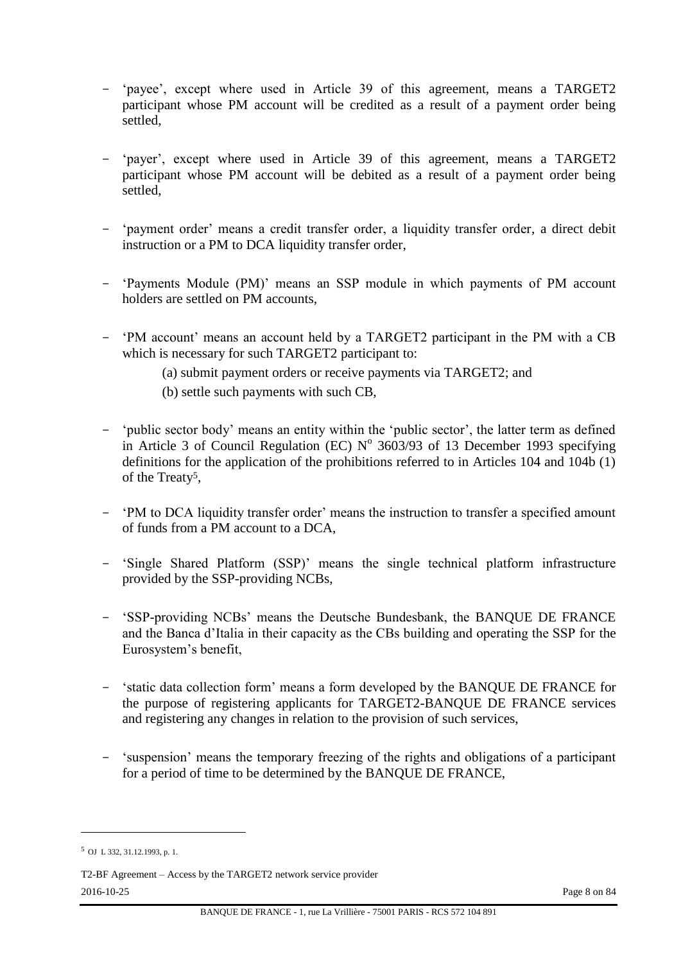- 'payee', except where used in Article 39 of this agreement, means a TARGET2 participant whose PM account will be credited as a result of a payment order being settled,
- 'payer', except where used in Article 39 of this agreement, means a TARGET2 participant whose PM account will be debited as a result of a payment order being settled,
- 'payment order' means a credit transfer order, a liquidity transfer order, a direct debit instruction or a PM to DCA liquidity transfer order,
- 'Payments Module (PM)' means an SSP module in which payments of PM account holders are settled on PM accounts,
- 'PM account' means an account held by a TARGET2 participant in the PM with a CB which is necessary for such TARGET2 participant to:
	- (a) submit payment orders or receive payments via TARGET2; and
	- (b) settle such payments with such CB,
- 'public sector body' means an entity within the 'public sector', the latter term as defined in Article 3 of Council Regulation (EC)  $N^{\circ}$  3603/93 of 13 December 1993 specifying definitions for the application of the prohibitions referred to in Articles 104 and 104b (1) of the Treaty5,
- 'PM to DCA liquidity transfer order' means the instruction to transfer a specified amount of funds from a PM account to a DCA,
- 'Single Shared Platform (SSP)' means the single technical platform infrastructure provided by the SSP-providing NCBs,
- 'SSP-providing NCBs' means the Deutsche Bundesbank, the BANQUE DE FRANCE and the Banca d'Italia in their capacity as the CBs building and operating the SSP for the Eurosystem's benefit,
- 'static data collection form' means a form developed by the BANQUE DE FRANCE for the purpose of registering applicants for TARGET2-BANQUE DE FRANCE services and registering any changes in relation to the provision of such services,
- 'suspension' means the temporary freezing of the rights and obligations of a participant for a period of time to be determined by the BANQUE DE FRANCE,

 $\overline{\phantom{a}}$ 

<sup>5</sup> OJ L 332, 31.12.1993, p. 1.

T2-BF Agreement – Access by the TARGET2 network service provider 2016-10-25 Page 8 on 84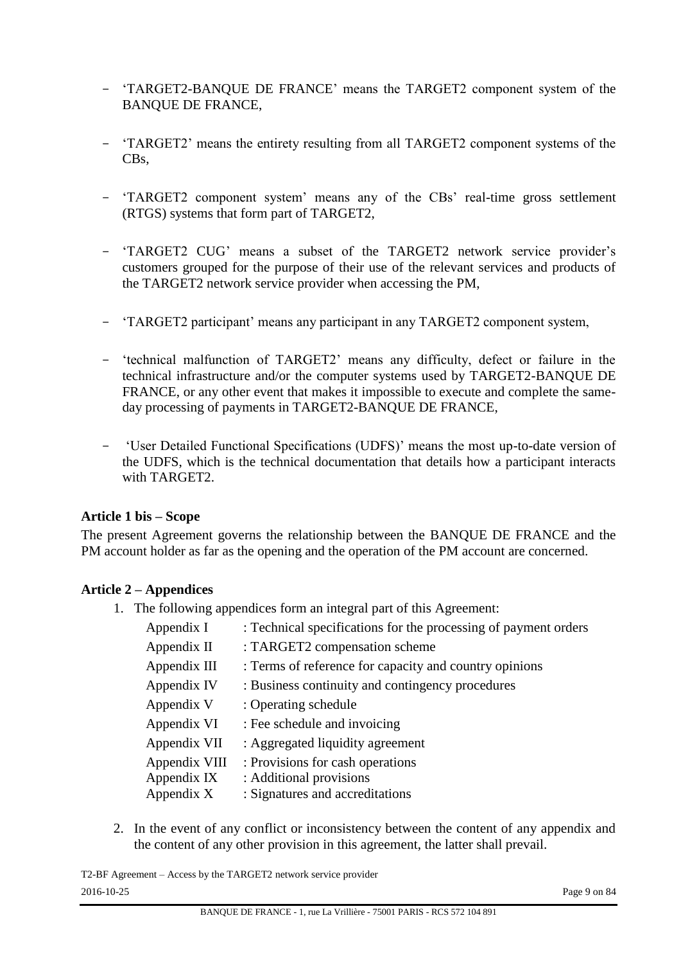- 'TARGET2-BANQUE DE FRANCE' means the TARGET2 component system of the BANQUE DE FRANCE,
- 'TARGET2' means the entirety resulting from all TARGET2 component systems of the CBs,
- 'TARGET2 component system' means any of the CBs' real-time gross settlement (RTGS) systems that form part of TARGET2,
- 'TARGET2 CUG' means a subset of the TARGET2 network service provider's customers grouped for the purpose of their use of the relevant services and products of the TARGET2 network service provider when accessing the PM,
- 'TARGET2 participant' means any participant in any TARGET2 component system,
- 'technical malfunction of TARGET2' means any difficulty, defect or failure in the technical infrastructure and/or the computer systems used by TARGET2-BANQUE DE FRANCE, or any other event that makes it impossible to execute and complete the sameday processing of payments in TARGET2-BANQUE DE FRANCE,
- 'User Detailed Functional Specifications (UDFS)' means the most up-to-date version of the UDFS, which is the technical documentation that details how a participant interacts with TARGET2.

#### **Article 1 bis – Scope**

The present Agreement governs the relationship between the BANQUE DE FRANCE and the PM account holder as far as the opening and the operation of the PM account are concerned.

#### **Article 2 – Appendices**

1. The following appendices form an integral part of this Agreement:

| Appendix I    | : Technical specifications for the processing of payment orders |
|---------------|-----------------------------------------------------------------|
| Appendix II   | : TARGET2 compensation scheme                                   |
| Appendix III  | : Terms of reference for capacity and country opinions          |
| Appendix IV   | : Business continuity and contingency procedures                |
| Appendix V    | : Operating schedule                                            |
| Appendix VI   | : Fee schedule and invoicing                                    |
| Appendix VII  | : Aggregated liquidity agreement                                |
| Appendix VIII | : Provisions for cash operations                                |
| Appendix IX   | : Additional provisions                                         |
| Appendix X    | : Signatures and accreditations                                 |

2. In the event of any conflict or inconsistency between the content of any appendix and the content of any other provision in this agreement, the latter shall prevail.

T2-BF Agreement – Access by the TARGET2 network service provider 2016-10-25 Page 9 on 84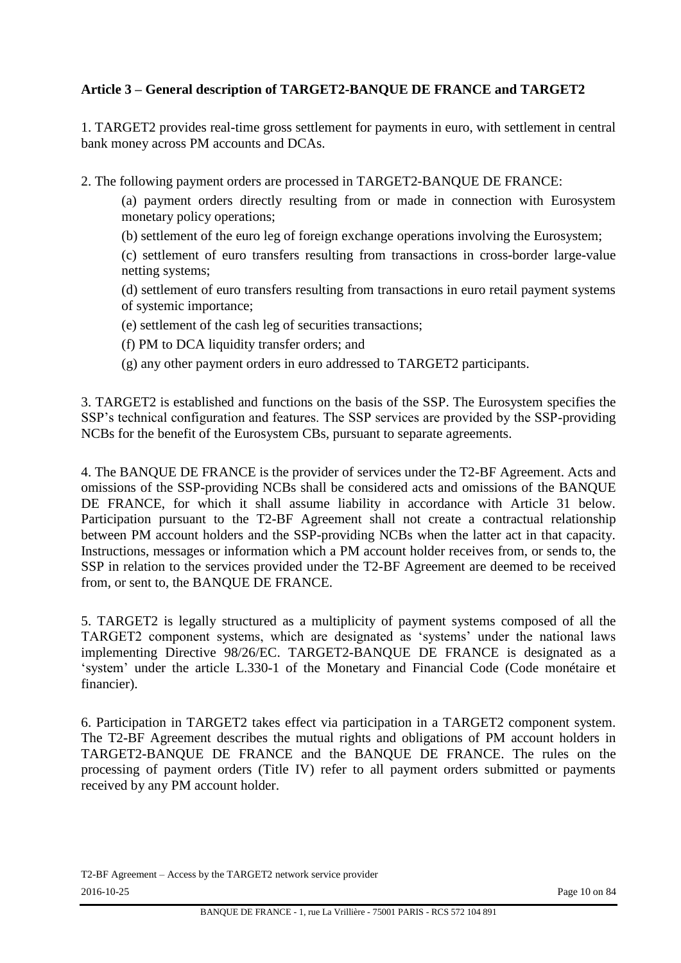# **Article 3 – General description of TARGET2-BANQUE DE FRANCE and TARGET2**

1. TARGET2 provides real-time gross settlement for payments in euro, with settlement in central bank money across PM accounts and DCAs.

2. The following payment orders are processed in TARGET2-BANQUE DE FRANCE:

(a) payment orders directly resulting from or made in connection with Eurosystem monetary policy operations;

(b) settlement of the euro leg of foreign exchange operations involving the Eurosystem;

(c) settlement of euro transfers resulting from transactions in cross-border large-value netting systems;

(d) settlement of euro transfers resulting from transactions in euro retail payment systems of systemic importance;

(e) settlement of the cash leg of securities transactions;

(f) PM to DCA liquidity transfer orders; and

(g) any other payment orders in euro addressed to TARGET2 participants.

3. TARGET2 is established and functions on the basis of the SSP. The Eurosystem specifies the SSP's technical configuration and features. The SSP services are provided by the SSP-providing NCBs for the benefit of the Eurosystem CBs, pursuant to separate agreements.

4. The BANQUE DE FRANCE is the provider of services under the T2-BF Agreement. Acts and omissions of the SSP-providing NCBs shall be considered acts and omissions of the BANQUE DE FRANCE, for which it shall assume liability in accordance with Article 31 below. Participation pursuant to the T2-BF Agreement shall not create a contractual relationship between PM account holders and the SSP-providing NCBs when the latter act in that capacity. Instructions, messages or information which a PM account holder receives from, or sends to, the SSP in relation to the services provided under the T2-BF Agreement are deemed to be received from, or sent to, the BANQUE DE FRANCE.

5. TARGET2 is legally structured as a multiplicity of payment systems composed of all the TARGET2 component systems, which are designated as 'systems' under the national laws implementing Directive 98/26/EC. TARGET2-BANQUE DE FRANCE is designated as a 'system' under the article L.330-1 of the Monetary and Financial Code (Code monétaire et financier).

6. Participation in TARGET2 takes effect via participation in a TARGET2 component system. The T2-BF Agreement describes the mutual rights and obligations of PM account holders in TARGET2-BANQUE DE FRANCE and the BANQUE DE FRANCE. The rules on the processing of payment orders (Title IV) refer to all payment orders submitted or payments received by any PM account holder.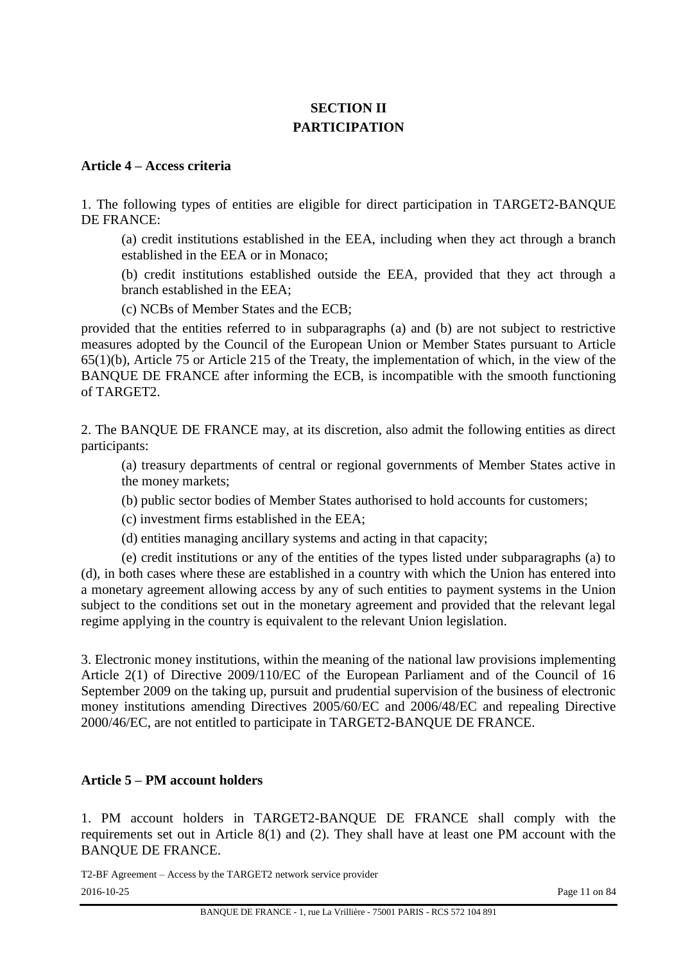# **SECTION II PARTICIPATION**

#### **Article 4 – Access criteria**

1. The following types of entities are eligible for direct participation in TARGET2-BANQUE DE FRANCE:

(a) credit institutions established in the EEA, including when they act through a branch established in the EEA or in Monaco;

(b) credit institutions established outside the EEA, provided that they act through a branch established in the EEA;

(c) NCBs of Member States and the ECB;

provided that the entities referred to in subparagraphs (a) and (b) are not subject to restrictive measures adopted by the Council of the European Union or Member States pursuant to Article 65(1)(b), Article 75 or Article 215 of the Treaty, the implementation of which, in the view of the BANQUE DE FRANCE after informing the ECB, is incompatible with the smooth functioning of TARGET2.

2. The BANQUE DE FRANCE may, at its discretion, also admit the following entities as direct participants:

(a) treasury departments of central or regional governments of Member States active in the money markets;

(b) public sector bodies of Member States authorised to hold accounts for customers;

(c) investment firms established in the EEA;

(d) entities managing ancillary systems and acting in that capacity;

(e) credit institutions or any of the entities of the types listed under subparagraphs (a) to (d), in both cases where these are established in a country with which the Union has entered into a monetary agreement allowing access by any of such entities to payment systems in the Union subject to the conditions set out in the monetary agreement and provided that the relevant legal regime applying in the country is equivalent to the relevant Union legislation.

3. Electronic money institutions, within the meaning of the national law provisions implementing Article 2(1) of Directive 2009/110/EC of the European Parliament and of the Council of 16 September 2009 on the taking up, pursuit and prudential supervision of the business of electronic money institutions amending Directives 2005/60/EC and 2006/48/EC and repealing Directive 2000/46/EC, are not entitled to participate in TARGET2-BANQUE DE FRANCE.

#### **Article 5 – PM account holders**

1. PM account holders in TARGET2-BANQUE DE FRANCE shall comply with the requirements set out in Article 8(1) and (2). They shall have at least one PM account with the BANQUE DE FRANCE.

T2-BF Agreement – Access by the TARGET2 network service provider 2016-10-25 Page 11 on 84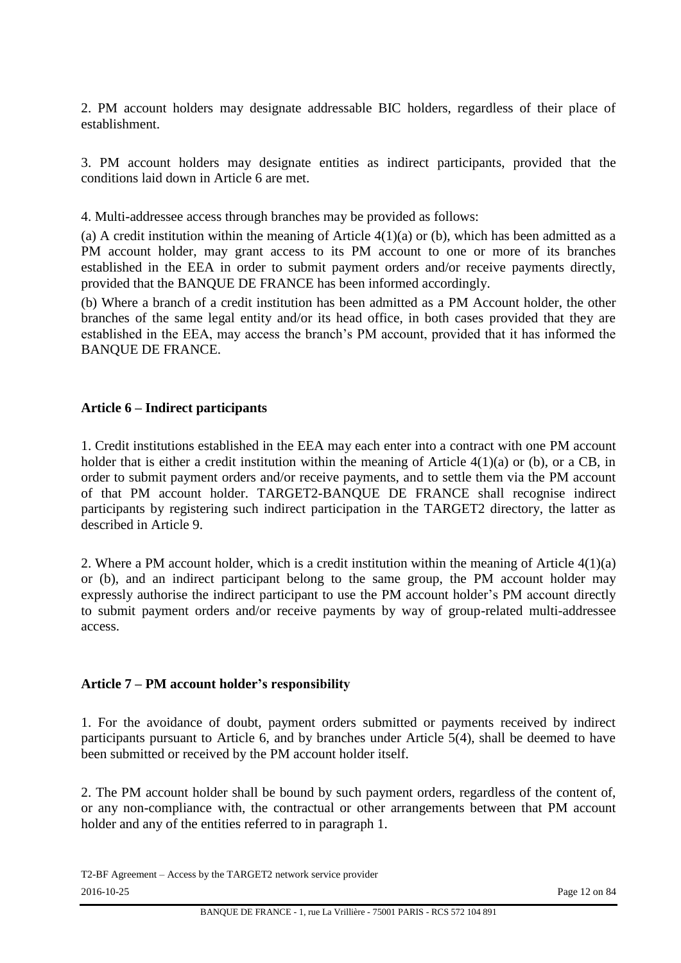2. PM account holders may designate addressable BIC holders, regardless of their place of establishment.

3. PM account holders may designate entities as indirect participants, provided that the conditions laid down in Article 6 are met.

4. Multi-addressee access through branches may be provided as follows:

(a) A credit institution within the meaning of Article  $4(1)(a)$  or (b), which has been admitted as a PM account holder, may grant access to its PM account to one or more of its branches established in the EEA in order to submit payment orders and/or receive payments directly, provided that the BANQUE DE FRANCE has been informed accordingly.

(b) Where a branch of a credit institution has been admitted as a PM Account holder, the other branches of the same legal entity and/or its head office, in both cases provided that they are established in the EEA, may access the branch's PM account, provided that it has informed the BANQUE DE FRANCE.

# **Article 6 – Indirect participants**

1. Credit institutions established in the EEA may each enter into a contract with one PM account holder that is either a credit institution within the meaning of Article 4(1)(a) or (b), or a CB, in order to submit payment orders and/or receive payments, and to settle them via the PM account of that PM account holder. TARGET2-BANQUE DE FRANCE shall recognise indirect participants by registering such indirect participation in the TARGET2 directory, the latter as described in Article 9.

2. Where a PM account holder, which is a credit institution within the meaning of Article 4(1)(a) or (b), and an indirect participant belong to the same group, the PM account holder may expressly authorise the indirect participant to use the PM account holder's PM account directly to submit payment orders and/or receive payments by way of group-related multi-addressee access.

#### **Article 7 – PM account holder's responsibility**

1. For the avoidance of doubt, payment orders submitted or payments received by indirect participants pursuant to Article 6, and by branches under Article 5(4), shall be deemed to have been submitted or received by the PM account holder itself.

2. The PM account holder shall be bound by such payment orders, regardless of the content of, or any non-compliance with, the contractual or other arrangements between that PM account holder and any of the entities referred to in paragraph 1.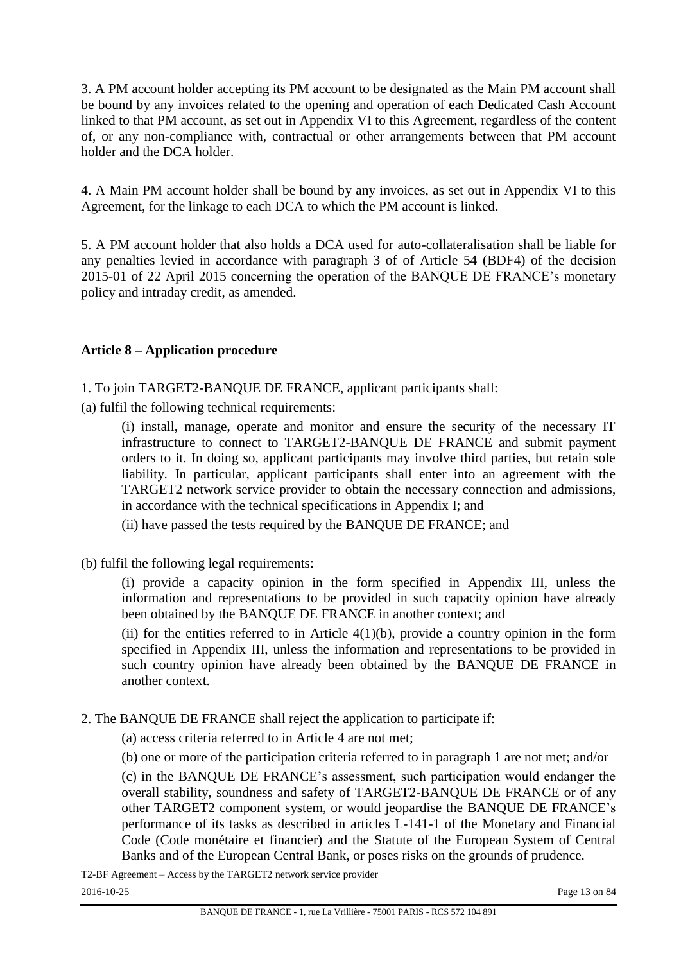3. A PM account holder accepting its PM account to be designated as the Main PM account shall be bound by any invoices related to the opening and operation of each Dedicated Cash Account linked to that PM account, as set out in Appendix VI to this Agreement, regardless of the content of, or any non-compliance with, contractual or other arrangements between that PM account holder and the DCA holder.

4. A Main PM account holder shall be bound by any invoices, as set out in Appendix VI to this Agreement, for the linkage to each DCA to which the PM account is linked.

5. A PM account holder that also holds a DCA used for auto-collateralisation shall be liable for any penalties levied in accordance with paragraph 3 of of Article 54 (BDF4) of the decision 2015-01 of 22 April 2015 concerning the operation of the BANQUE DE FRANCE's monetary policy and intraday credit, as amended.

# **Article 8 – Application procedure**

1. To join TARGET2-BANQUE DE FRANCE, applicant participants shall:

(a) fulfil the following technical requirements:

(i) install, manage, operate and monitor and ensure the security of the necessary IT infrastructure to connect to TARGET2-BANQUE DE FRANCE and submit payment orders to it. In doing so, applicant participants may involve third parties, but retain sole liability. In particular, applicant participants shall enter into an agreement with the TARGET2 network service provider to obtain the necessary connection and admissions, in accordance with the technical specifications in Appendix I; and

(ii) have passed the tests required by the BANQUE DE FRANCE; and

(b) fulfil the following legal requirements:

(i) provide a capacity opinion in the form specified in Appendix III, unless the information and representations to be provided in such capacity opinion have already been obtained by the BANQUE DE FRANCE in another context; and

(ii) for the entities referred to in Article  $4(1)(b)$ , provide a country opinion in the form specified in Appendix III, unless the information and representations to be provided in such country opinion have already been obtained by the BANQUE DE FRANCE in another context.

- 2. The BANQUE DE FRANCE shall reject the application to participate if:
	- (a) access criteria referred to in Article 4 are not met;
	- (b) one or more of the participation criteria referred to in paragraph 1 are not met; and/or

(c) in the BANQUE DE FRANCE's assessment, such participation would endanger the overall stability, soundness and safety of TARGET2-BANQUE DE FRANCE or of any other TARGET2 component system, or would jeopardise the BANQUE DE FRANCE's performance of its tasks as described in articles L-141-1 of the Monetary and Financial Code (Code monétaire et financier) and the Statute of the European System of Central Banks and of the European Central Bank, or poses risks on the grounds of prudence.

T2-BF Agreement – Access by the TARGET2 network service provider 2016-10-25 Page 13 on 84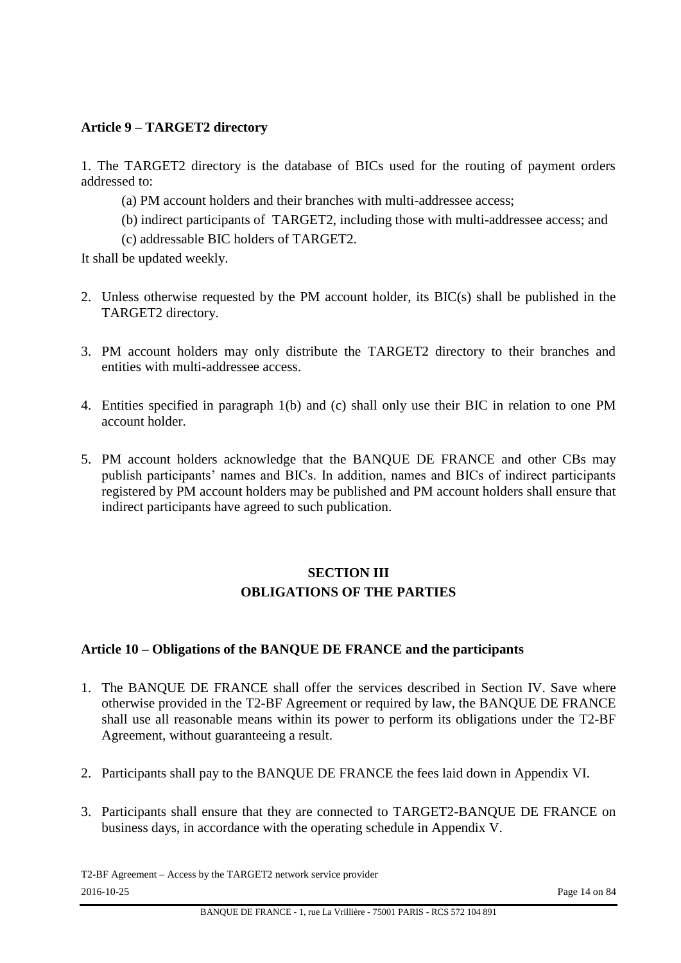## **Article 9 – TARGET2 directory**

1. The TARGET2 directory is the database of BICs used for the routing of payment orders addressed to:

- (a) PM account holders and their branches with multi-addressee access;
- (b) indirect participants of TARGET2, including those with multi-addressee access; and
- (c) addressable BIC holders of TARGET2.

It shall be updated weekly.

- 2. Unless otherwise requested by the PM account holder, its BIC(s) shall be published in the TARGET2 directory.
- 3. PM account holders may only distribute the TARGET2 directory to their branches and entities with multi-addressee access.
- 4. Entities specified in paragraph 1(b) and (c) shall only use their BIC in relation to one PM account holder.
- 5. PM account holders acknowledge that the BANQUE DE FRANCE and other CBs may publish participants' names and BICs. In addition, names and BICs of indirect participants registered by PM account holders may be published and PM account holders shall ensure that indirect participants have agreed to such publication.

# **SECTION III OBLIGATIONS OF THE PARTIES**

#### **Article 10 – Obligations of the BANQUE DE FRANCE and the participants**

- 1. The BANQUE DE FRANCE shall offer the services described in Section IV. Save where otherwise provided in the T2-BF Agreement or required by law, the BANQUE DE FRANCE shall use all reasonable means within its power to perform its obligations under the T2-BF Agreement, without guaranteeing a result.
- 2. Participants shall pay to the BANQUE DE FRANCE the fees laid down in Appendix VI.
- 3. Participants shall ensure that they are connected to TARGET2-BANQUE DE FRANCE on business days, in accordance with the operating schedule in Appendix V.

T2-BF Agreement – Access by the TARGET2 network service provider 2016-10-25 Page 14 on 84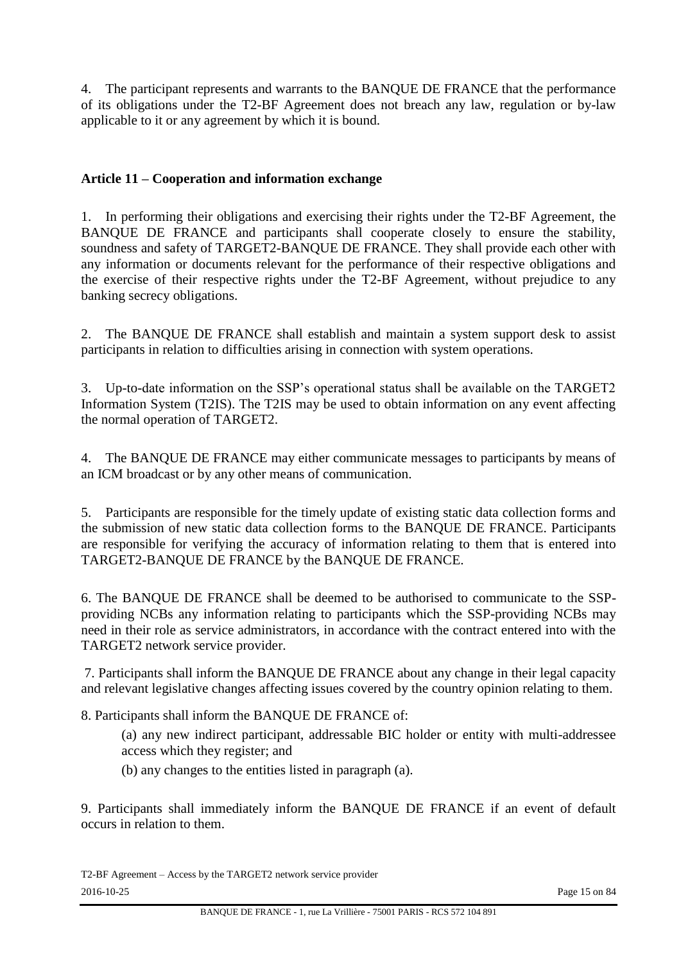4. The participant represents and warrants to the BANQUE DE FRANCE that the performance of its obligations under the T2-BF Agreement does not breach any law, regulation or by-law applicable to it or any agreement by which it is bound.

# **Article 11 – Cooperation and information exchange**

1. In performing their obligations and exercising their rights under the T2-BF Agreement, the BANQUE DE FRANCE and participants shall cooperate closely to ensure the stability, soundness and safety of TARGET2-BANQUE DE FRANCE. They shall provide each other with any information or documents relevant for the performance of their respective obligations and the exercise of their respective rights under the T2-BF Agreement, without prejudice to any banking secrecy obligations.

2. The BANQUE DE FRANCE shall establish and maintain a system support desk to assist participants in relation to difficulties arising in connection with system operations.

3. Up-to-date information on the SSP's operational status shall be available on the TARGET2 Information System (T2IS). The T2IS may be used to obtain information on any event affecting the normal operation of TARGET2.

4. The BANQUE DE FRANCE may either communicate messages to participants by means of an ICM broadcast or by any other means of communication.

5. Participants are responsible for the timely update of existing static data collection forms and the submission of new static data collection forms to the BANQUE DE FRANCE. Participants are responsible for verifying the accuracy of information relating to them that is entered into TARGET2-BANQUE DE FRANCE by the BANQUE DE FRANCE.

6. The BANQUE DE FRANCE shall be deemed to be authorised to communicate to the SSPproviding NCBs any information relating to participants which the SSP-providing NCBs may need in their role as service administrators, in accordance with the contract entered into with the TARGET2 network service provider.

7. Participants shall inform the BANQUE DE FRANCE about any change in their legal capacity and relevant legislative changes affecting issues covered by the country opinion relating to them.

8. Participants shall inform the BANQUE DE FRANCE of:

(a) any new indirect participant, addressable BIC holder or entity with multi-addressee access which they register; and

(b) any changes to the entities listed in paragraph (a).

9. Participants shall immediately inform the BANQUE DE FRANCE if an event of default occurs in relation to them.

T2-BF Agreement – Access by the TARGET2 network service provider 2016-10-25 Page 15 on 84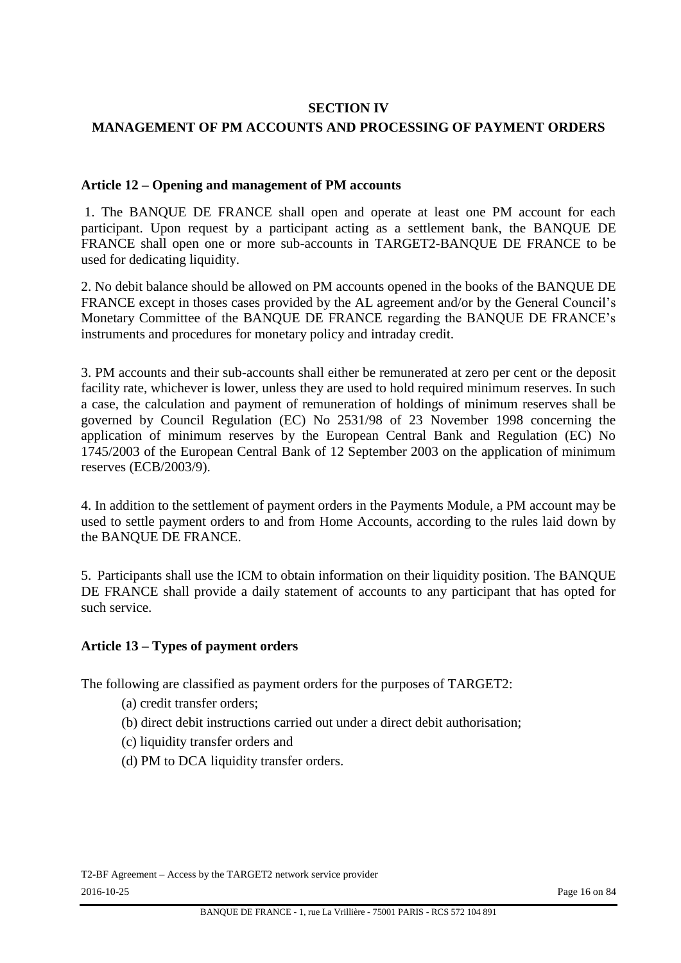#### **SECTION IV**

#### **MANAGEMENT OF PM ACCOUNTS AND PROCESSING OF PAYMENT ORDERS**

#### **Article 12 – Opening and management of PM accounts**

1. The BANQUE DE FRANCE shall open and operate at least one PM account for each participant. Upon request by a participant acting as a settlement bank, the BANQUE DE FRANCE shall open one or more sub-accounts in TARGET2-BANQUE DE FRANCE to be used for dedicating liquidity.

2. No debit balance should be allowed on PM accounts opened in the books of the BANQUE DE FRANCE except in thoses cases provided by the AL agreement and/or by the General Council's Monetary Committee of the BANQUE DE FRANCE regarding the BANQUE DE FRANCE's instruments and procedures for monetary policy and intraday credit.

3. PM accounts and their sub-accounts shall either be remunerated at zero per cent or the deposit facility rate, whichever is lower, unless they are used to hold required minimum reserves. In such a case, the calculation and payment of remuneration of holdings of minimum reserves shall be governed by Council Regulation (EC) No 2531/98 of 23 November 1998 concerning the application of minimum reserves by the European Central Bank and Regulation (EC) No 1745/2003 of the European Central Bank of 12 September 2003 on the application of minimum reserves (ECB/2003/9).

4. In addition to the settlement of payment orders in the Payments Module, a PM account may be used to settle payment orders to and from Home Accounts, according to the rules laid down by the BANQUE DE FRANCE.

5. Participants shall use the ICM to obtain information on their liquidity position. The BANQUE DE FRANCE shall provide a daily statement of accounts to any participant that has opted for such service.

#### **Article 13 – Types of payment orders**

The following are classified as payment orders for the purposes of TARGET2:

- (a) credit transfer orders;
- (b) direct debit instructions carried out under a direct debit authorisation;
- (c) liquidity transfer orders and
- (d) PM to DCA liquidity transfer orders.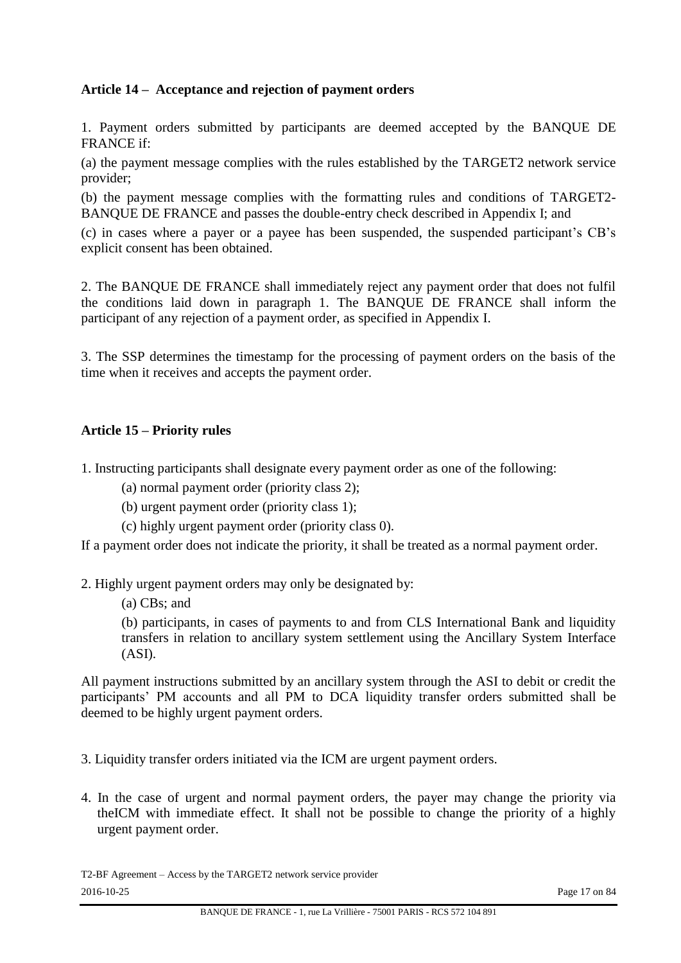# **Article 14 – Acceptance and rejection of payment orders**

1. Payment orders submitted by participants are deemed accepted by the BANQUE DE FRANCE if:

(a) the payment message complies with the rules established by the TARGET2 network service provider;

(b) the payment message complies with the formatting rules and conditions of TARGET2- BANQUE DE FRANCE and passes the double-entry check described in Appendix I; and

(c) in cases where a payer or a payee has been suspended, the suspended participant's CB's explicit consent has been obtained.

2. The BANQUE DE FRANCE shall immediately reject any payment order that does not fulfil the conditions laid down in paragraph 1. The BANQUE DE FRANCE shall inform the participant of any rejection of a payment order, as specified in Appendix I.

3. The SSP determines the timestamp for the processing of payment orders on the basis of the time when it receives and accepts the payment order.

#### **Article 15 – Priority rules**

1. Instructing participants shall designate every payment order as one of the following:

(a) normal payment order (priority class 2);

- (b) urgent payment order (priority class 1);
- (c) highly urgent payment order (priority class 0).

If a payment order does not indicate the priority, it shall be treated as a normal payment order.

2. Highly urgent payment orders may only be designated by:

(a) CBs; and

(b) participants, in cases of payments to and from CLS International Bank and liquidity transfers in relation to ancillary system settlement using the Ancillary System Interface (ASI).

All payment instructions submitted by an ancillary system through the ASI to debit or credit the participants' PM accounts and all PM to DCA liquidity transfer orders submitted shall be deemed to be highly urgent payment orders.

3. Liquidity transfer orders initiated via the ICM are urgent payment orders.

4. In the case of urgent and normal payment orders, the payer may change the priority via theICM with immediate effect. It shall not be possible to change the priority of a highly urgent payment order.

T2-BF Agreement – Access by the TARGET2 network service provider 2016-10-25 Page 17 on 84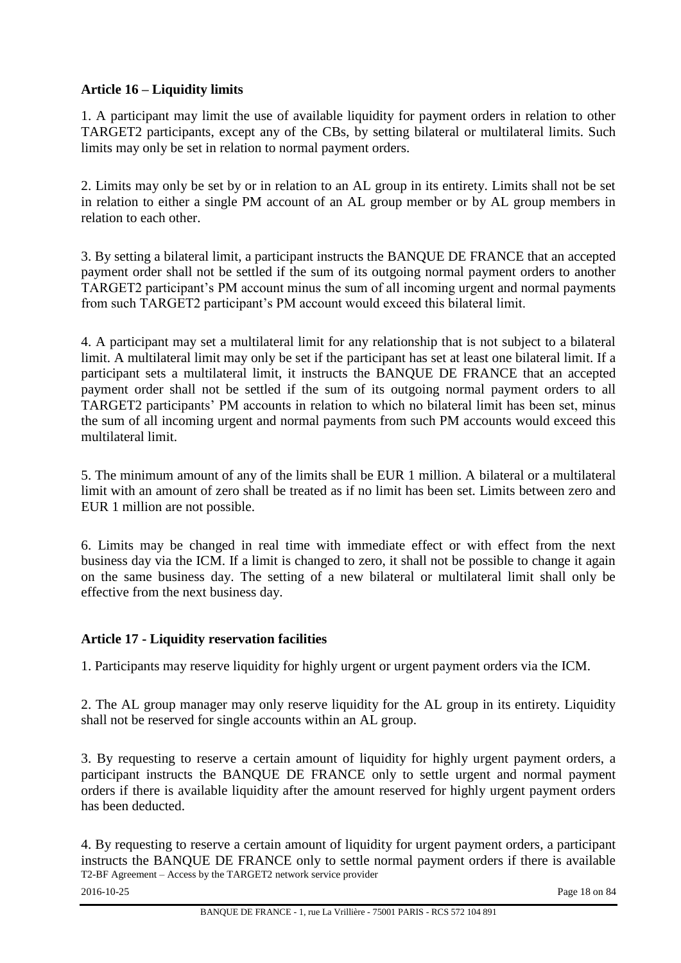# **Article 16 – Liquidity limits**

1. A participant may limit the use of available liquidity for payment orders in relation to other TARGET2 participants, except any of the CBs, by setting bilateral or multilateral limits. Such limits may only be set in relation to normal payment orders.

2. Limits may only be set by or in relation to an AL group in its entirety. Limits shall not be set in relation to either a single PM account of an AL group member or by AL group members in relation to each other.

3. By setting a bilateral limit, a participant instructs the BANQUE DE FRANCE that an accepted payment order shall not be settled if the sum of its outgoing normal payment orders to another TARGET2 participant's PM account minus the sum of all incoming urgent and normal payments from such TARGET2 participant's PM account would exceed this bilateral limit.

4. A participant may set a multilateral limit for any relationship that is not subject to a bilateral limit. A multilateral limit may only be set if the participant has set at least one bilateral limit. If a participant sets a multilateral limit, it instructs the BANQUE DE FRANCE that an accepted payment order shall not be settled if the sum of its outgoing normal payment orders to all TARGET2 participants' PM accounts in relation to which no bilateral limit has been set, minus the sum of all incoming urgent and normal payments from such PM accounts would exceed this multilateral limit.

5. The minimum amount of any of the limits shall be EUR 1 million. A bilateral or a multilateral limit with an amount of zero shall be treated as if no limit has been set. Limits between zero and EUR 1 million are not possible.

6. Limits may be changed in real time with immediate effect or with effect from the next business day via the ICM. If a limit is changed to zero, it shall not be possible to change it again on the same business day. The setting of a new bilateral or multilateral limit shall only be effective from the next business day.

#### **Article 17 - Liquidity reservation facilities**

1. Participants may reserve liquidity for highly urgent or urgent payment orders via the ICM.

2. The AL group manager may only reserve liquidity for the AL group in its entirety. Liquidity shall not be reserved for single accounts within an AL group.

3. By requesting to reserve a certain amount of liquidity for highly urgent payment orders, a participant instructs the BANQUE DE FRANCE only to settle urgent and normal payment orders if there is available liquidity after the amount reserved for highly urgent payment orders has been deducted.

T2-BF Agreement – Access by the TARGET2 network service provider 4. By requesting to reserve a certain amount of liquidity for urgent payment orders, a participant instructs the BANQUE DE FRANCE only to settle normal payment orders if there is available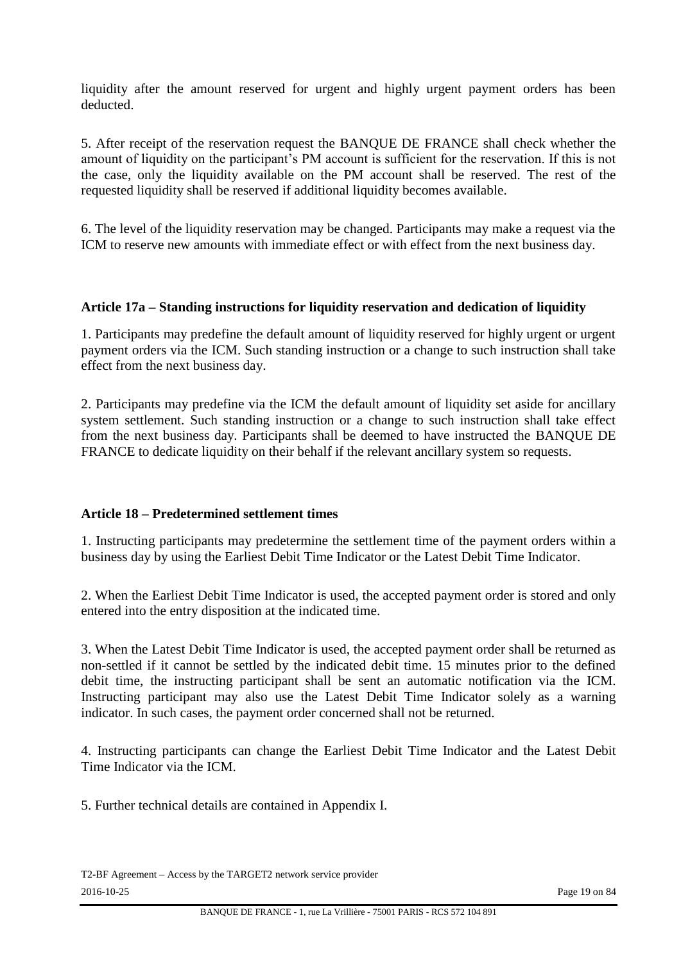liquidity after the amount reserved for urgent and highly urgent payment orders has been deducted.

5. After receipt of the reservation request the BANQUE DE FRANCE shall check whether the amount of liquidity on the participant's PM account is sufficient for the reservation. If this is not the case, only the liquidity available on the PM account shall be reserved. The rest of the requested liquidity shall be reserved if additional liquidity becomes available.

6. The level of the liquidity reservation may be changed. Participants may make a request via the ICM to reserve new amounts with immediate effect or with effect from the next business day.

#### **Article 17a – Standing instructions for liquidity reservation and dedication of liquidity**

1. Participants may predefine the default amount of liquidity reserved for highly urgent or urgent payment orders via the ICM. Such standing instruction or a change to such instruction shall take effect from the next business day.

2. Participants may predefine via the ICM the default amount of liquidity set aside for ancillary system settlement. Such standing instruction or a change to such instruction shall take effect from the next business day. Participants shall be deemed to have instructed the BANQUE DE FRANCE to dedicate liquidity on their behalf if the relevant ancillary system so requests.

#### **Article 18 – Predetermined settlement times**

1. Instructing participants may predetermine the settlement time of the payment orders within a business day by using the Earliest Debit Time Indicator or the Latest Debit Time Indicator.

2. When the Earliest Debit Time Indicator is used, the accepted payment order is stored and only entered into the entry disposition at the indicated time.

3. When the Latest Debit Time Indicator is used, the accepted payment order shall be returned as non-settled if it cannot be settled by the indicated debit time. 15 minutes prior to the defined debit time, the instructing participant shall be sent an automatic notification via the ICM. Instructing participant may also use the Latest Debit Time Indicator solely as a warning indicator. In such cases, the payment order concerned shall not be returned.

4. Instructing participants can change the Earliest Debit Time Indicator and the Latest Debit Time Indicator via the ICM.

5. Further technical details are contained in Appendix I.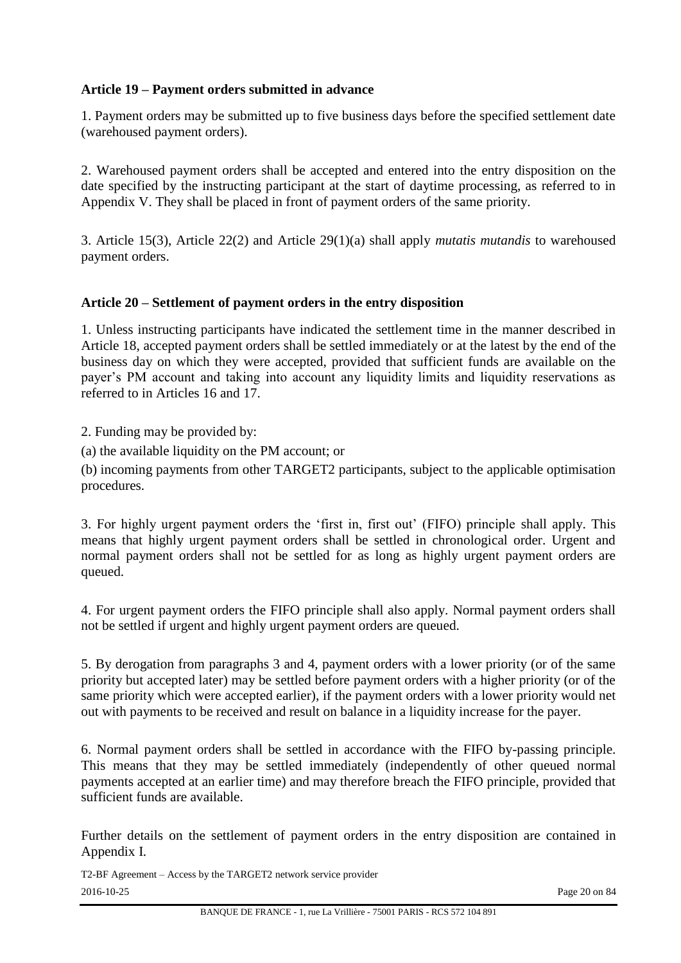# **Article 19 – Payment orders submitted in advance**

1. Payment orders may be submitted up to five business days before the specified settlement date (warehoused payment orders).

2. Warehoused payment orders shall be accepted and entered into the entry disposition on the date specified by the instructing participant at the start of daytime processing, as referred to in Appendix V. They shall be placed in front of payment orders of the same priority.

3. Article 15(3), Article 22(2) and Article 29(1)(a) shall apply *mutatis mutandis* to warehoused payment orders.

#### **Article 20 – Settlement of payment orders in the entry disposition**

1. Unless instructing participants have indicated the settlement time in the manner described in Article 18, accepted payment orders shall be settled immediately or at the latest by the end of the business day on which they were accepted, provided that sufficient funds are available on the payer's PM account and taking into account any liquidity limits and liquidity reservations as referred to in Articles 16 and 17.

2. Funding may be provided by:

(a) the available liquidity on the PM account; or

(b) incoming payments from other TARGET2 participants, subject to the applicable optimisation procedures.

3. For highly urgent payment orders the 'first in, first out' (FIFO) principle shall apply. This means that highly urgent payment orders shall be settled in chronological order. Urgent and normal payment orders shall not be settled for as long as highly urgent payment orders are queued.

4. For urgent payment orders the FIFO principle shall also apply. Normal payment orders shall not be settled if urgent and highly urgent payment orders are queued.

5. By derogation from paragraphs 3 and 4, payment orders with a lower priority (or of the same priority but accepted later) may be settled before payment orders with a higher priority (or of the same priority which were accepted earlier), if the payment orders with a lower priority would net out with payments to be received and result on balance in a liquidity increase for the payer.

6. Normal payment orders shall be settled in accordance with the FIFO by-passing principle. This means that they may be settled immediately (independently of other queued normal payments accepted at an earlier time) and may therefore breach the FIFO principle, provided that sufficient funds are available.

Further details on the settlement of payment orders in the entry disposition are contained in Appendix I.

T2-BF Agreement – Access by the TARGET2 network service provider 2016-10-25 Page 20 on 84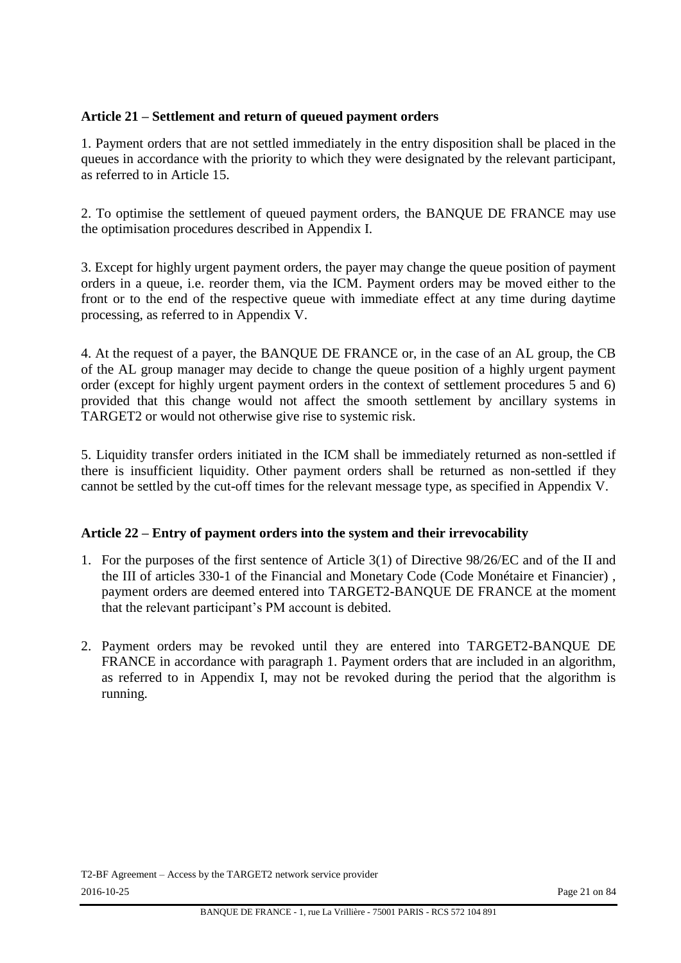## **Article 21 – Settlement and return of queued payment orders**

1. Payment orders that are not settled immediately in the entry disposition shall be placed in the queues in accordance with the priority to which they were designated by the relevant participant, as referred to in Article 15.

2. To optimise the settlement of queued payment orders, the BANQUE DE FRANCE may use the optimisation procedures described in Appendix I.

3. Except for highly urgent payment orders, the payer may change the queue position of payment orders in a queue, i.e. reorder them, via the ICM. Payment orders may be moved either to the front or to the end of the respective queue with immediate effect at any time during daytime processing, as referred to in Appendix V.

4. At the request of a payer, the BANQUE DE FRANCE or, in the case of an AL group, the CB of the AL group manager may decide to change the queue position of a highly urgent payment order (except for highly urgent payment orders in the context of settlement procedures 5 and 6) provided that this change would not affect the smooth settlement by ancillary systems in TARGET2 or would not otherwise give rise to systemic risk.

5. Liquidity transfer orders initiated in the ICM shall be immediately returned as non-settled if there is insufficient liquidity. Other payment orders shall be returned as non-settled if they cannot be settled by the cut-off times for the relevant message type, as specified in Appendix V.

#### **Article 22 – Entry of payment orders into the system and their irrevocability**

- 1. For the purposes of the first sentence of Article 3(1) of Directive 98/26/EC and of the II and the III of articles 330-1 of the Financial and Monetary Code (Code Monétaire et Financier) , payment orders are deemed entered into TARGET2-BANQUE DE FRANCE at the moment that the relevant participant's PM account is debited.
- 2. Payment orders may be revoked until they are entered into TARGET2-BANQUE DE FRANCE in accordance with paragraph 1. Payment orders that are included in an algorithm, as referred to in Appendix I, may not be revoked during the period that the algorithm is running.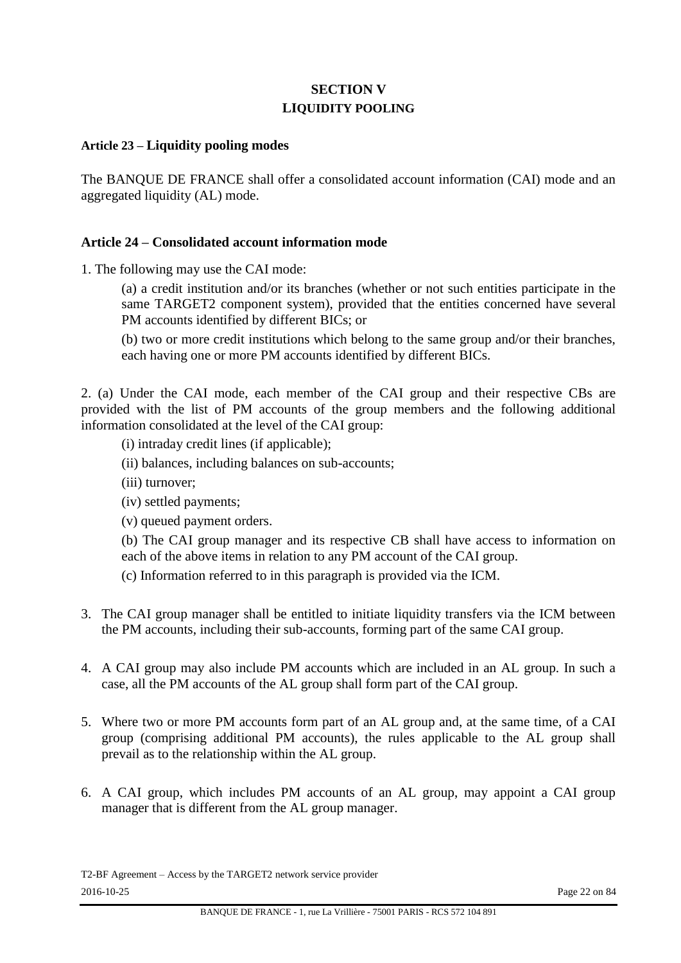# **SECTION V LIQUIDITY POOLING**

#### **Article 23 – Liquidity pooling modes**

The BANQUE DE FRANCE shall offer a consolidated account information (CAI) mode and an aggregated liquidity (AL) mode.

#### **Article 24 – Consolidated account information mode**

1. The following may use the CAI mode:

(a) a credit institution and/or its branches (whether or not such entities participate in the same TARGET2 component system), provided that the entities concerned have several PM accounts identified by different BICs; or

(b) two or more credit institutions which belong to the same group and/or their branches, each having one or more PM accounts identified by different BICs.

2. (a) Under the CAI mode, each member of the CAI group and their respective CBs are provided with the list of PM accounts of the group members and the following additional information consolidated at the level of the CAI group:

(i) intraday credit lines (if applicable);

- (ii) balances, including balances on sub-accounts;
- (iii) turnover;
- (iv) settled payments;
- (v) queued payment orders.

(b) The CAI group manager and its respective CB shall have access to information on each of the above items in relation to any PM account of the CAI group.

(c) Information referred to in this paragraph is provided via the ICM.

- 3. The CAI group manager shall be entitled to initiate liquidity transfers via the ICM between the PM accounts, including their sub-accounts, forming part of the same CAI group.
- 4. A CAI group may also include PM accounts which are included in an AL group. In such a case, all the PM accounts of the AL group shall form part of the CAI group.
- 5. Where two or more PM accounts form part of an AL group and, at the same time, of a CAI group (comprising additional PM accounts), the rules applicable to the AL group shall prevail as to the relationship within the AL group.
- 6. A CAI group, which includes PM accounts of an AL group, may appoint a CAI group manager that is different from the AL group manager.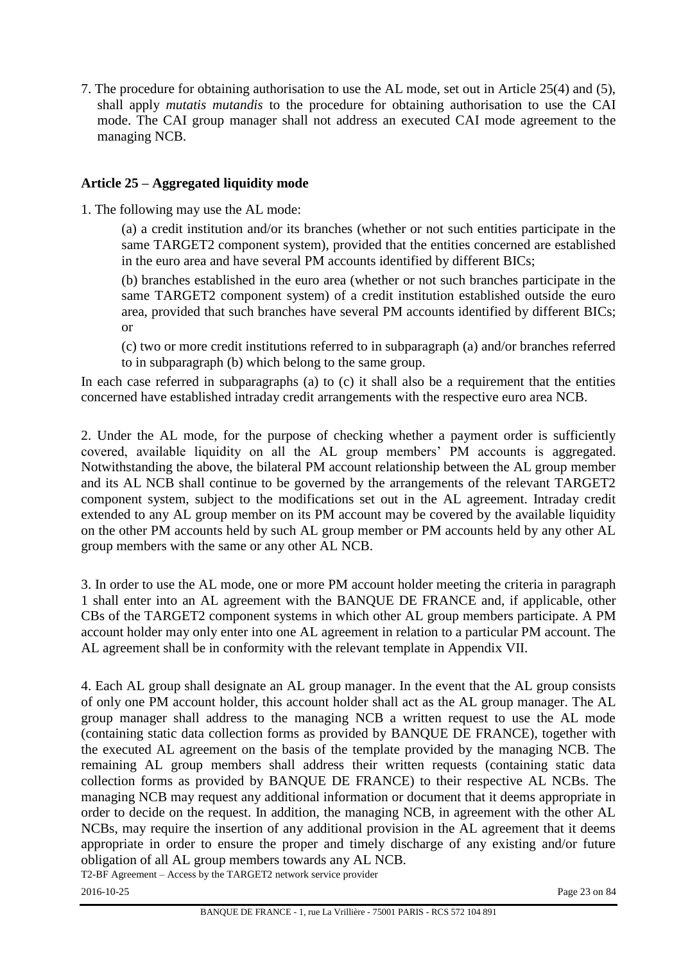7. The procedure for obtaining authorisation to use the AL mode, set out in Article 25(4) and (5), shall apply *mutatis mutandis* to the procedure for obtaining authorisation to use the CAI mode. The CAI group manager shall not address an executed CAI mode agreement to the managing NCB.

# **Article 25 – Aggregated liquidity mode**

1. The following may use the AL mode:

(a) a credit institution and/or its branches (whether or not such entities participate in the same TARGET2 component system), provided that the entities concerned are established in the euro area and have several PM accounts identified by different BICs;

(b) branches established in the euro area (whether or not such branches participate in the same TARGET2 component system) of a credit institution established outside the euro area, provided that such branches have several PM accounts identified by different BICs; or

(c) two or more credit institutions referred to in subparagraph (a) and/or branches referred to in subparagraph (b) which belong to the same group.

In each case referred in subparagraphs (a) to (c) it shall also be a requirement that the entities concerned have established intraday credit arrangements with the respective euro area NCB.

2. Under the AL mode, for the purpose of checking whether a payment order is sufficiently covered, available liquidity on all the AL group members' PM accounts is aggregated. Notwithstanding the above, the bilateral PM account relationship between the AL group member and its AL NCB shall continue to be governed by the arrangements of the relevant TARGET2 component system, subject to the modifications set out in the AL agreement. Intraday credit extended to any AL group member on its PM account may be covered by the available liquidity on the other PM accounts held by such AL group member or PM accounts held by any other AL group members with the same or any other AL NCB.

3. In order to use the AL mode, one or more PM account holder meeting the criteria in paragraph 1 shall enter into an AL agreement with the BANQUE DE FRANCE and, if applicable, other CBs of the TARGET2 component systems in which other AL group members participate. A PM account holder may only enter into one AL agreement in relation to a particular PM account. The AL agreement shall be in conformity with the relevant template in Appendix VII.

4. Each AL group shall designate an AL group manager. In the event that the AL group consists of only one PM account holder, this account holder shall act as the AL group manager. The AL group manager shall address to the managing NCB a written request to use the AL mode (containing static data collection forms as provided by BANQUE DE FRANCE), together with the executed AL agreement on the basis of the template provided by the managing NCB. The remaining AL group members shall address their written requests (containing static data collection forms as provided by BANQUE DE FRANCE) to their respective AL NCBs. The managing NCB may request any additional information or document that it deems appropriate in order to decide on the request. In addition, the managing NCB, in agreement with the other AL NCBs, may require the insertion of any additional provision in the AL agreement that it deems appropriate in order to ensure the proper and timely discharge of any existing and/or future obligation of all AL group members towards any AL NCB.

T2-BF Agreement – Access by the TARGET2 network service provider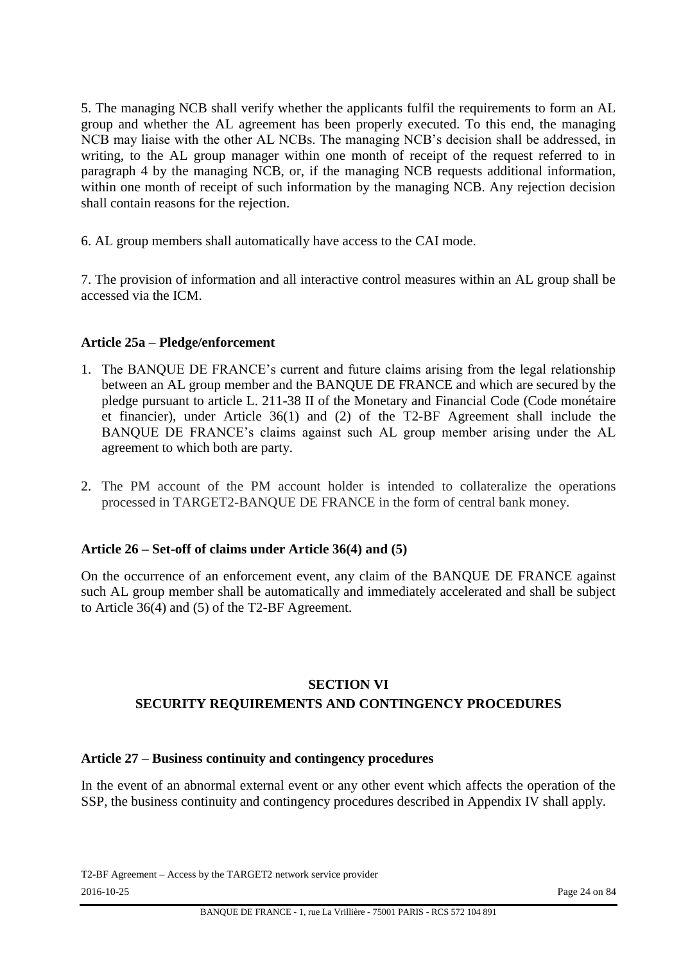5. The managing NCB shall verify whether the applicants fulfil the requirements to form an AL group and whether the AL agreement has been properly executed. To this end, the managing NCB may liaise with the other AL NCBs. The managing NCB's decision shall be addressed, in writing, to the AL group manager within one month of receipt of the request referred to in paragraph 4 by the managing NCB, or, if the managing NCB requests additional information, within one month of receipt of such information by the managing NCB. Any rejection decision shall contain reasons for the rejection.

6. AL group members shall automatically have access to the CAI mode.

7. The provision of information and all interactive control measures within an AL group shall be accessed via the ICM.

# **Article 25a – Pledge/enforcement**

- 1. The BANQUE DE FRANCE's current and future claims arising from the legal relationship between an AL group member and the BANQUE DE FRANCE and which are secured by the pledge pursuant to article L. 211-38 II of the Monetary and Financial Code (Code monétaire et financier), under Article 36(1) and (2) of the T2-BF Agreement shall include the BANQUE DE FRANCE's claims against such AL group member arising under the AL agreement to which both are party.
- 2. The PM account of the PM account holder is intended to collateralize the operations processed in TARGET2-BANQUE DE FRANCE in the form of central bank money.

#### **Article 26 – Set-off of claims under Article 36(4) and (5)**

On the occurrence of an enforcement event, any claim of the BANQUE DE FRANCE against such AL group member shall be automatically and immediately accelerated and shall be subject to Article 36(4) and (5) of the T2-BF Agreement.

# **SECTION VI SECURITY REQUIREMENTS AND CONTINGENCY PROCEDURES**

#### **Article 27 – Business continuity and contingency procedures**

In the event of an abnormal external event or any other event which affects the operation of the SSP, the business continuity and contingency procedures described in Appendix IV shall apply.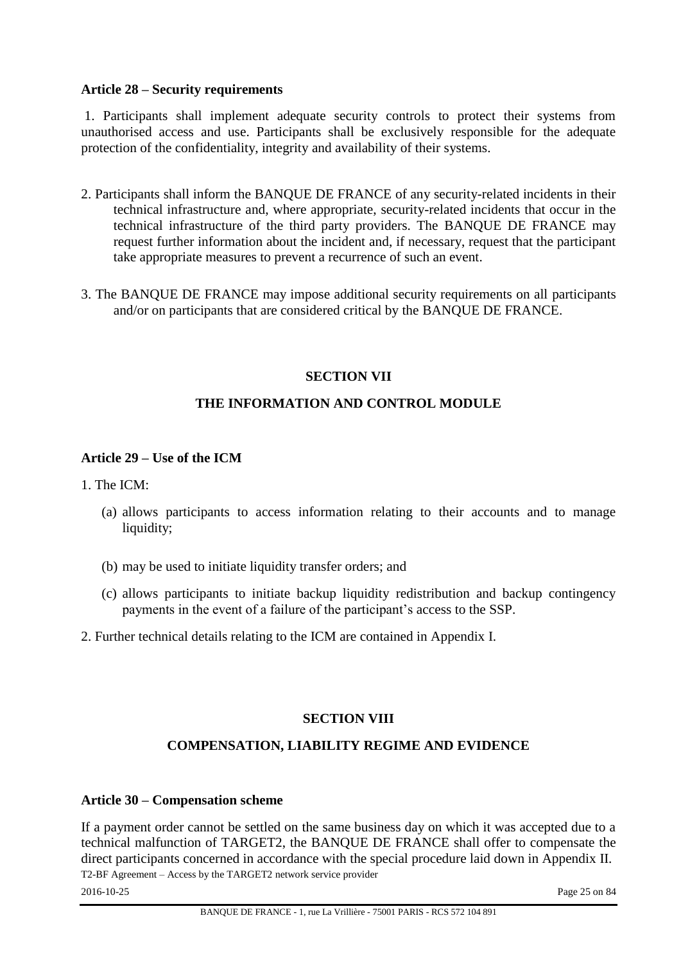#### **Article 28 – Security requirements**

1. Participants shall implement adequate security controls to protect their systems from unauthorised access and use. Participants shall be exclusively responsible for the adequate protection of the confidentiality, integrity and availability of their systems.

- 2. Participants shall inform the BANQUE DE FRANCE of any security-related incidents in their technical infrastructure and, where appropriate, security-related incidents that occur in the technical infrastructure of the third party providers. The BANQUE DE FRANCE may request further information about the incident and, if necessary, request that the participant take appropriate measures to prevent a recurrence of such an event.
- 3. The BANQUE DE FRANCE may impose additional security requirements on all participants and/or on participants that are considered critical by the BANQUE DE FRANCE.

#### **SECTION VII**

#### **THE INFORMATION AND CONTROL MODULE**

#### **Article 29 – Use of the ICM**

1. The ICM:

- (a) allows participants to access information relating to their accounts and to manage liquidity;
- (b) may be used to initiate liquidity transfer orders; and
- (c) allows participants to initiate backup liquidity redistribution and backup contingency payments in the event of a failure of the participant's access to the SSP.
- 2. Further technical details relating to the ICM are contained in Appendix I.

#### **SECTION VIII**

#### **COMPENSATION, LIABILITY REGIME AND EVIDENCE**

#### **Article 30 – Compensation scheme**

T2-BF Agreement – Access by the TARGET2 network service provider If a payment order cannot be settled on the same business day on which it was accepted due to a technical malfunction of TARGET2, the BANQUE DE FRANCE shall offer to compensate the direct participants concerned in accordance with the special procedure laid down in Appendix II.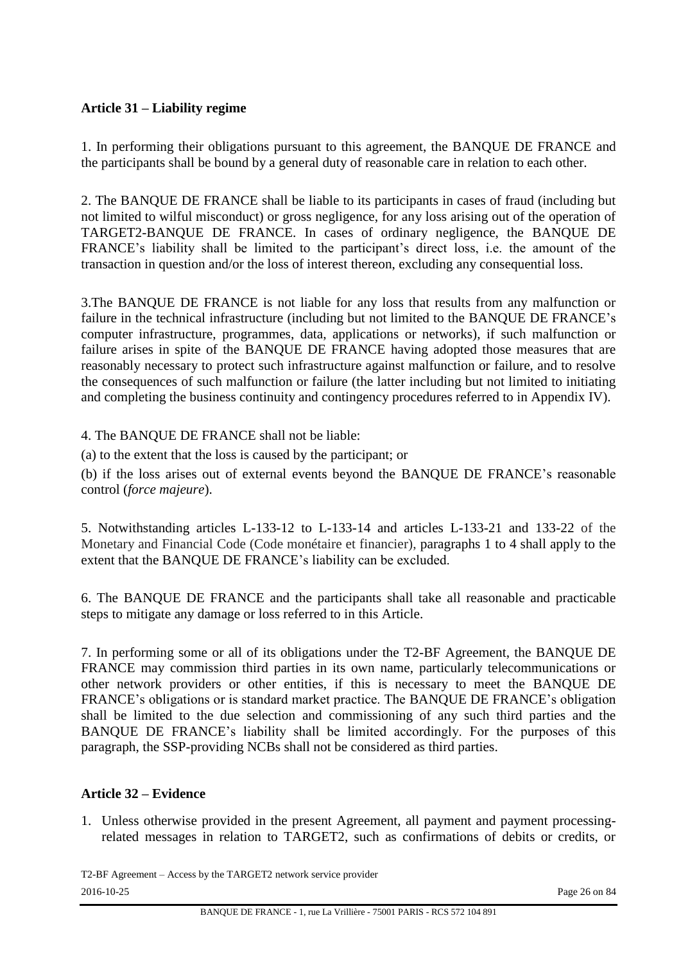# **Article 31 – Liability regime**

1. In performing their obligations pursuant to this agreement, the BANQUE DE FRANCE and the participants shall be bound by a general duty of reasonable care in relation to each other.

2. The BANQUE DE FRANCE shall be liable to its participants in cases of fraud (including but not limited to wilful misconduct) or gross negligence, for any loss arising out of the operation of TARGET2-BANQUE DE FRANCE. In cases of ordinary negligence, the BANQUE DE FRANCE's liability shall be limited to the participant's direct loss, i.e. the amount of the transaction in question and/or the loss of interest thereon, excluding any consequential loss.

3.The BANQUE DE FRANCE is not liable for any loss that results from any malfunction or failure in the technical infrastructure (including but not limited to the BANQUE DE FRANCE's computer infrastructure, programmes, data, applications or networks), if such malfunction or failure arises in spite of the BANQUE DE FRANCE having adopted those measures that are reasonably necessary to protect such infrastructure against malfunction or failure, and to resolve the consequences of such malfunction or failure (the latter including but not limited to initiating and completing the business continuity and contingency procedures referred to in Appendix IV).

4. The BANQUE DE FRANCE shall not be liable:

(a) to the extent that the loss is caused by the participant; or

(b) if the loss arises out of external events beyond the BANQUE DE FRANCE's reasonable control (*force majeure*).

5. Notwithstanding articles L-133-12 to L-133-14 and articles L-133-21 and 133-22 of the Monetary and Financial Code (Code monétaire et financier), paragraphs 1 to 4 shall apply to the extent that the BANQUE DE FRANCE's liability can be excluded.

6. The BANQUE DE FRANCE and the participants shall take all reasonable and practicable steps to mitigate any damage or loss referred to in this Article.

7. In performing some or all of its obligations under the T2-BF Agreement, the BANQUE DE FRANCE may commission third parties in its own name, particularly telecommunications or other network providers or other entities, if this is necessary to meet the BANQUE DE FRANCE's obligations or is standard market practice. The BANQUE DE FRANCE's obligation shall be limited to the due selection and commissioning of any such third parties and the BANQUE DE FRANCE's liability shall be limited accordingly. For the purposes of this paragraph, the SSP-providing NCBs shall not be considered as third parties.

#### **Article 32 – Evidence**

1. Unless otherwise provided in the present Agreement, all payment and payment processingrelated messages in relation to TARGET2, such as confirmations of debits or credits, or

T2-BF Agreement – Access by the TARGET2 network service provider 2016-10-25 Page 26 on 84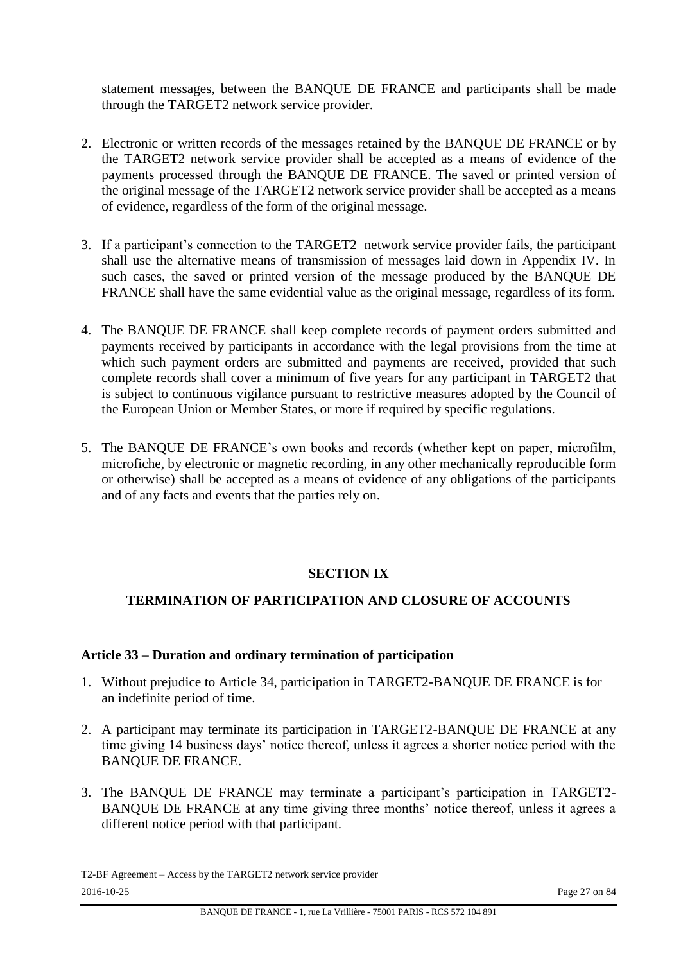statement messages, between the BANQUE DE FRANCE and participants shall be made through the TARGET2 network service provider.

- 2. Electronic or written records of the messages retained by the BANQUE DE FRANCE or by the TARGET2 network service provider shall be accepted as a means of evidence of the payments processed through the BANQUE DE FRANCE. The saved or printed version of the original message of the TARGET2 network service provider shall be accepted as a means of evidence, regardless of the form of the original message.
- 3. If a participant's connection to the TARGET2 network service provider fails, the participant shall use the alternative means of transmission of messages laid down in Appendix IV. In such cases, the saved or printed version of the message produced by the BANQUE DE FRANCE shall have the same evidential value as the original message, regardless of its form.
- 4. The BANQUE DE FRANCE shall keep complete records of payment orders submitted and payments received by participants in accordance with the legal provisions from the time at which such payment orders are submitted and payments are received, provided that such complete records shall cover a minimum of five years for any participant in TARGET2 that is subject to continuous vigilance pursuant to restrictive measures adopted by the Council of the European Union or Member States, or more if required by specific regulations.
- 5. The BANQUE DE FRANCE's own books and records (whether kept on paper, microfilm, microfiche, by electronic or magnetic recording, in any other mechanically reproducible form or otherwise) shall be accepted as a means of evidence of any obligations of the participants and of any facts and events that the parties rely on.

#### **SECTION IX**

# **TERMINATION OF PARTICIPATION AND CLOSURE OF ACCOUNTS**

#### **Article 33 – Duration and ordinary termination of participation**

- 1. Without prejudice to Article 34, participation in TARGET2-BANQUE DE FRANCE is for an indefinite period of time.
- 2. A participant may terminate its participation in TARGET2-BANQUE DE FRANCE at any time giving 14 business days' notice thereof, unless it agrees a shorter notice period with the BANQUE DE FRANCE.
- 3. The BANQUE DE FRANCE may terminate a participant's participation in TARGET2- BANQUE DE FRANCE at any time giving three months' notice thereof, unless it agrees a different notice period with that participant.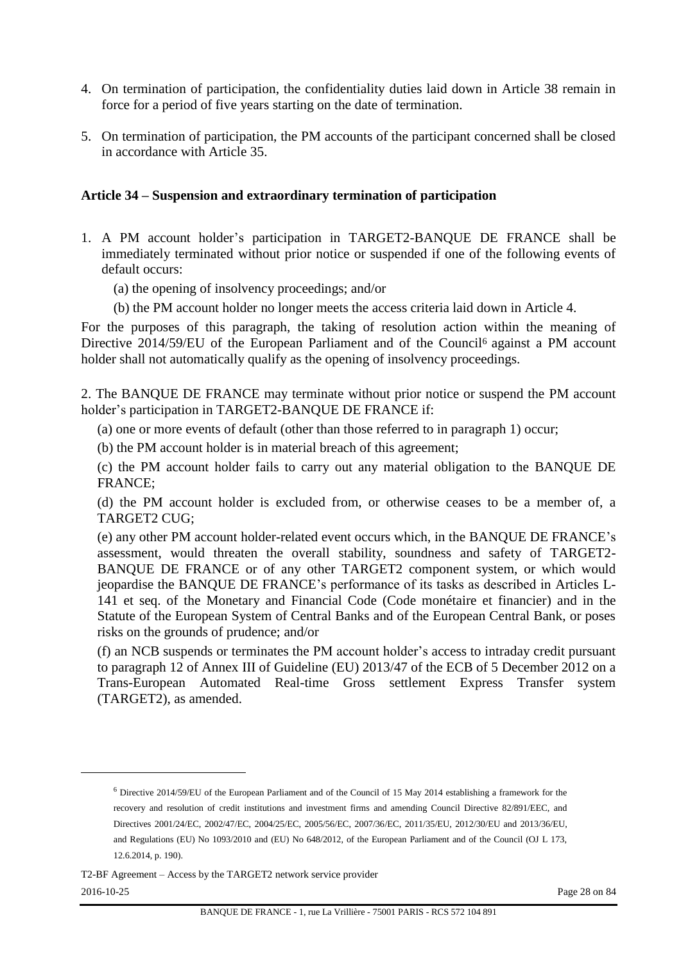- 4. On termination of participation, the confidentiality duties laid down in Article 38 remain in force for a period of five years starting on the date of termination.
- 5. On termination of participation, the PM accounts of the participant concerned shall be closed in accordance with Article 35.

#### **Article 34 – Suspension and extraordinary termination of participation**

- 1. A PM account holder's participation in TARGET2-BANQUE DE FRANCE shall be immediately terminated without prior notice or suspended if one of the following events of default occurs:
	- (a) the opening of insolvency proceedings; and/or
	- (b) the PM account holder no longer meets the access criteria laid down in Article 4.

For the purposes of this paragraph, the taking of resolution action within the meaning of Directive 2014/59/EU of the European Parliament and of the Council<sup>6</sup> against a PM account holder shall not automatically qualify as the opening of insolvency proceedings.

2. The BANQUE DE FRANCE may terminate without prior notice or suspend the PM account holder's participation in TARGET2-BANQUE DE FRANCE if:

(a) one or more events of default (other than those referred to in paragraph 1) occur;

(b) the PM account holder is in material breach of this agreement;

(c) the PM account holder fails to carry out any material obligation to the BANQUE DE FRANCE;

(d) the PM account holder is excluded from, or otherwise ceases to be a member of, a TARGET2 CUG;

(e) any other PM account holder-related event occurs which, in the BANQUE DE FRANCE's assessment, would threaten the overall stability, soundness and safety of TARGET2- BANQUE DE FRANCE or of any other TARGET2 component system, or which would jeopardise the BANQUE DE FRANCE's performance of its tasks as described in Articles L-141 et seq. of the Monetary and Financial Code (Code monétaire et financier) and in the Statute of the European System of Central Banks and of the European Central Bank, or poses risks on the grounds of prudence; and/or

(f) an NCB suspends or terminates the PM account holder's access to intraday credit pursuant to paragraph 12 of Annex III of Guideline (EU) 2013/47 of the ECB of 5 December 2012 on a Trans-European Automated Real-time Gross settlement Express Transfer system (TARGET2), as amended.

T2-BF Agreement – Access by the TARGET2 network service provider 2016-10-25 Page 28 on 84

l

<sup>6</sup> Directive 2014/59/EU of the European Parliament and of the Council of 15 May 2014 establishing a framework for the recovery and resolution of credit institutions and investment firms and amending Council Directive 82/891/EEC, and Directives 2001/24/EC, 2002/47/EC, 2004/25/EC, 2005/56/EC, 2007/36/EC, 2011/35/EU, 2012/30/EU and 2013/36/EU, and Regulations (EU) No 1093/2010 and (EU) No 648/2012, of the European Parliament and of the Council (OJ L 173, 12.6.2014, p. 190).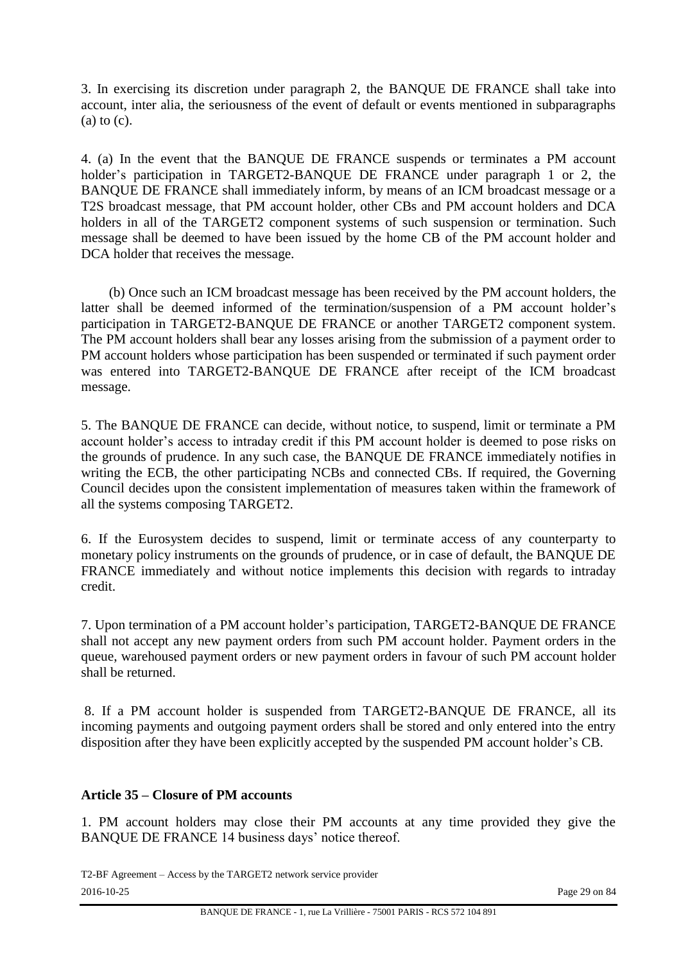3. In exercising its discretion under paragraph 2, the BANQUE DE FRANCE shall take into account, inter alia, the seriousness of the event of default or events mentioned in subparagraphs  $(a)$  to  $(c)$ .

4. (a) In the event that the BANQUE DE FRANCE suspends or terminates a PM account holder's participation in TARGET2-BANQUE DE FRANCE under paragraph 1 or 2, the BANQUE DE FRANCE shall immediately inform, by means of an ICM broadcast message or a T2S broadcast message, that PM account holder, other CBs and PM account holders and DCA holders in all of the TARGET2 component systems of such suspension or termination. Such message shall be deemed to have been issued by the home CB of the PM account holder and DCA holder that receives the message.

(b) Once such an ICM broadcast message has been received by the PM account holders, the latter shall be deemed informed of the termination/suspension of a PM account holder's participation in TARGET2-BANQUE DE FRANCE or another TARGET2 component system. The PM account holders shall bear any losses arising from the submission of a payment order to PM account holders whose participation has been suspended or terminated if such payment order was entered into TARGET2-BANQUE DE FRANCE after receipt of the ICM broadcast message.

5. The BANQUE DE FRANCE can decide, without notice, to suspend, limit or terminate a PM account holder's access to intraday credit if this PM account holder is deemed to pose risks on the grounds of prudence. In any such case, the BANQUE DE FRANCE immediately notifies in writing the ECB, the other participating NCBs and connected CBs. If required, the Governing Council decides upon the consistent implementation of measures taken within the framework of all the systems composing TARGET2.

6. If the Eurosystem decides to suspend, limit or terminate access of any counterparty to monetary policy instruments on the grounds of prudence, or in case of default, the BANQUE DE FRANCE immediately and without notice implements this decision with regards to intraday credit.

7. Upon termination of a PM account holder's participation, TARGET2-BANQUE DE FRANCE shall not accept any new payment orders from such PM account holder. Payment orders in the queue, warehoused payment orders or new payment orders in favour of such PM account holder shall be returned.

8. If a PM account holder is suspended from TARGET2-BANQUE DE FRANCE, all its incoming payments and outgoing payment orders shall be stored and only entered into the entry disposition after they have been explicitly accepted by the suspended PM account holder's CB.

#### **Article 35 – Closure of PM accounts**

1. PM account holders may close their PM accounts at any time provided they give the BANQUE DE FRANCE 14 business days' notice thereof.

T2-BF Agreement – Access by the TARGET2 network service provider 2016-10-25 Page 29 on 84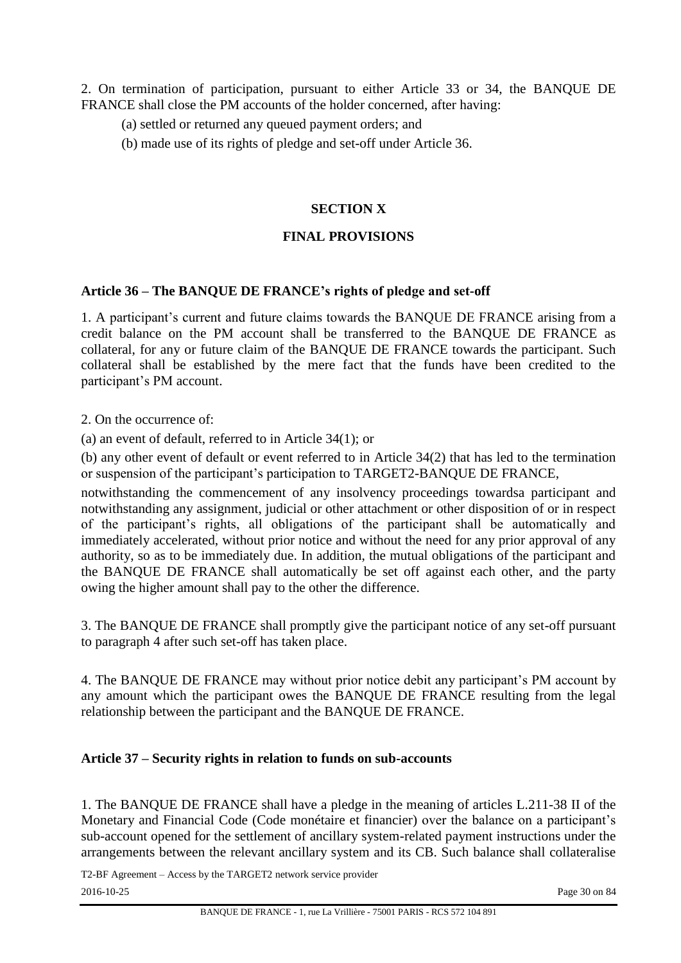2. On termination of participation, pursuant to either Article 33 or 34, the BANQUE DE FRANCE shall close the PM accounts of the holder concerned, after having:

- (a) settled or returned any queued payment orders; and
- (b) made use of its rights of pledge and set-off under Article 36.

## **SECTION X**

#### **FINAL PROVISIONS**

#### **Article 36 – The BANQUE DE FRANCE's rights of pledge and set-off**

1. A participant's current and future claims towards the BANQUE DE FRANCE arising from a credit balance on the PM account shall be transferred to the BANQUE DE FRANCE as collateral, for any or future claim of the BANQUE DE FRANCE towards the participant. Such collateral shall be established by the mere fact that the funds have been credited to the participant's PM account.

2. On the occurrence of:

(a) an event of default, referred to in Article 34(1); or

(b) any other event of default or event referred to in Article 34(2) that has led to the termination or suspension of the participant's participation to TARGET2-BANQUE DE FRANCE,

notwithstanding the commencement of any insolvency proceedings towardsa participant and notwithstanding any assignment, judicial or other attachment or other disposition of or in respect of the participant's rights, all obligations of the participant shall be automatically and immediately accelerated, without prior notice and without the need for any prior approval of any authority, so as to be immediately due. In addition, the mutual obligations of the participant and the BANQUE DE FRANCE shall automatically be set off against each other, and the party owing the higher amount shall pay to the other the difference.

3. The BANQUE DE FRANCE shall promptly give the participant notice of any set-off pursuant to paragraph 4 after such set-off has taken place.

4. The BANQUE DE FRANCE may without prior notice debit any participant's PM account by any amount which the participant owes the BANQUE DE FRANCE resulting from the legal relationship between the participant and the BANQUE DE FRANCE.

## **Article 37 – Security rights in relation to funds on sub-accounts**

1. The BANQUE DE FRANCE shall have a pledge in the meaning of articles L.211-38 II of the Monetary and Financial Code (Code monétaire et financier) over the balance on a participant's sub-account opened for the settlement of ancillary system-related payment instructions under the arrangements between the relevant ancillary system and its CB. Such balance shall collateralise

T2-BF Agreement – Access by the TARGET2 network service provider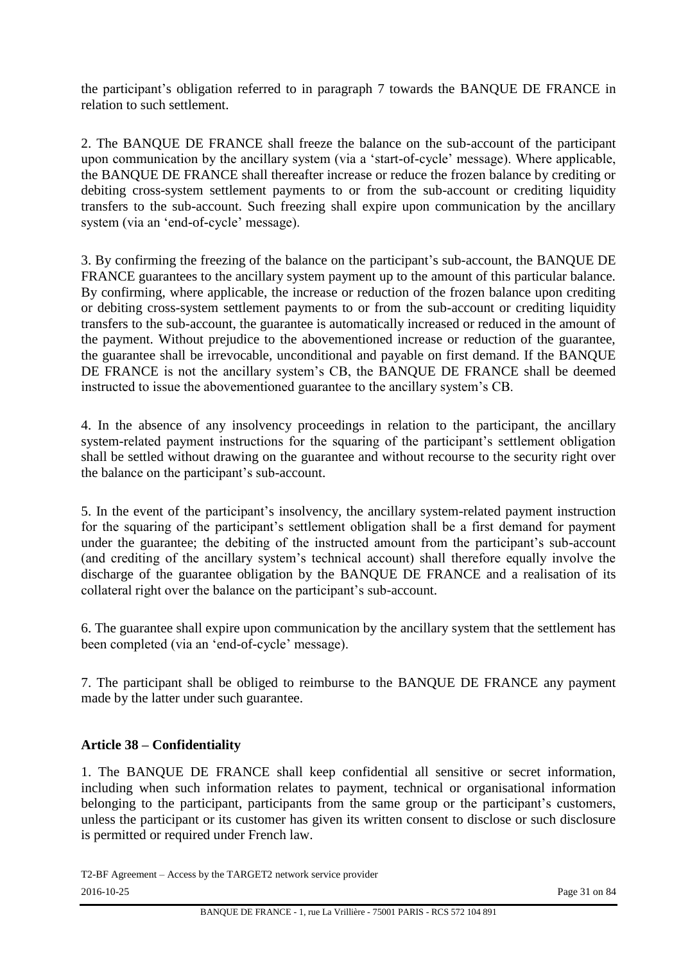the participant's obligation referred to in paragraph 7 towards the BANQUE DE FRANCE in relation to such settlement.

2. The BANQUE DE FRANCE shall freeze the balance on the sub-account of the participant upon communication by the ancillary system (via a 'start-of-cycle' message). Where applicable, the BANQUE DE FRANCE shall thereafter increase or reduce the frozen balance by crediting or debiting cross-system settlement payments to or from the sub-account or crediting liquidity transfers to the sub-account. Such freezing shall expire upon communication by the ancillary system (via an 'end-of-cycle' message).

3. By confirming the freezing of the balance on the participant's sub-account, the BANQUE DE FRANCE guarantees to the ancillary system payment up to the amount of this particular balance. By confirming, where applicable, the increase or reduction of the frozen balance upon crediting or debiting cross-system settlement payments to or from the sub-account or crediting liquidity transfers to the sub-account, the guarantee is automatically increased or reduced in the amount of the payment. Without prejudice to the abovementioned increase or reduction of the guarantee, the guarantee shall be irrevocable, unconditional and payable on first demand. If the BANQUE DE FRANCE is not the ancillary system's CB, the BANQUE DE FRANCE shall be deemed instructed to issue the abovementioned guarantee to the ancillary system's CB.

4. In the absence of any insolvency proceedings in relation to the participant, the ancillary system-related payment instructions for the squaring of the participant's settlement obligation shall be settled without drawing on the guarantee and without recourse to the security right over the balance on the participant's sub-account.

5. In the event of the participant's insolvency, the ancillary system-related payment instruction for the squaring of the participant's settlement obligation shall be a first demand for payment under the guarantee; the debiting of the instructed amount from the participant's sub-account (and crediting of the ancillary system's technical account) shall therefore equally involve the discharge of the guarantee obligation by the BANQUE DE FRANCE and a realisation of its collateral right over the balance on the participant's sub-account.

6. The guarantee shall expire upon communication by the ancillary system that the settlement has been completed (via an 'end-of-cycle' message).

7. The participant shall be obliged to reimburse to the BANQUE DE FRANCE any payment made by the latter under such guarantee.

#### **Article 38 – Confidentiality**

1. The BANQUE DE FRANCE shall keep confidential all sensitive or secret information, including when such information relates to payment, technical or organisational information belonging to the participant, participants from the same group or the participant's customers, unless the participant or its customer has given its written consent to disclose or such disclosure is permitted or required under French law.

T2-BF Agreement – Access by the TARGET2 network service provider 2016-10-25 Page 31 on 84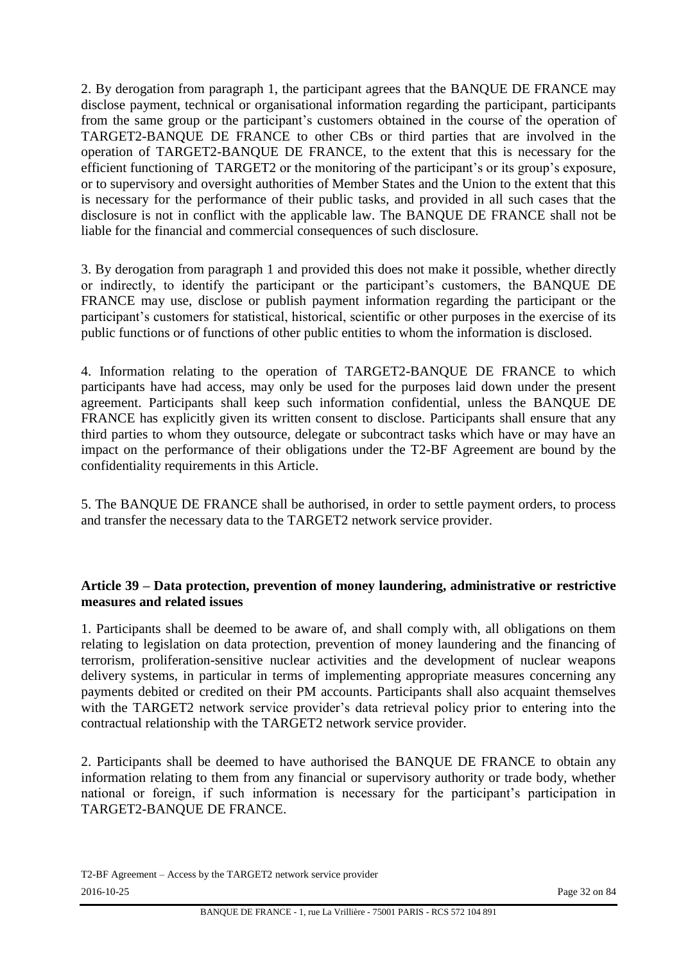2. By derogation from paragraph 1, the participant agrees that the BANQUE DE FRANCE may disclose payment, technical or organisational information regarding the participant, participants from the same group or the participant's customers obtained in the course of the operation of TARGET2-BANQUE DE FRANCE to other CBs or third parties that are involved in the operation of TARGET2-BANQUE DE FRANCE, to the extent that this is necessary for the efficient functioning of TARGET2 or the monitoring of the participant's or its group's exposure, or to supervisory and oversight authorities of Member States and the Union to the extent that this is necessary for the performance of their public tasks, and provided in all such cases that the disclosure is not in conflict with the applicable law. The BANQUE DE FRANCE shall not be liable for the financial and commercial consequences of such disclosure.

3. By derogation from paragraph 1 and provided this does not make it possible, whether directly or indirectly, to identify the participant or the participant's customers, the BANQUE DE FRANCE may use, disclose or publish payment information regarding the participant or the participant's customers for statistical, historical, scientific or other purposes in the exercise of its public functions or of functions of other public entities to whom the information is disclosed.

4. Information relating to the operation of TARGET2-BANQUE DE FRANCE to which participants have had access, may only be used for the purposes laid down under the present agreement. Participants shall keep such information confidential, unless the BANQUE DE FRANCE has explicitly given its written consent to disclose. Participants shall ensure that any third parties to whom they outsource, delegate or subcontract tasks which have or may have an impact on the performance of their obligations under the T2-BF Agreement are bound by the confidentiality requirements in this Article.

5. The BANQUE DE FRANCE shall be authorised, in order to settle payment orders, to process and transfer the necessary data to the TARGET2 network service provider.

#### **Article 39 – Data protection, prevention of money laundering, administrative or restrictive measures and related issues**

1. Participants shall be deemed to be aware of, and shall comply with, all obligations on them relating to legislation on data protection, prevention of money laundering and the financing of terrorism, proliferation-sensitive nuclear activities and the development of nuclear weapons delivery systems, in particular in terms of implementing appropriate measures concerning any payments debited or credited on their PM accounts. Participants shall also acquaint themselves with the TARGET2 network service provider's data retrieval policy prior to entering into the contractual relationship with the TARGET2 network service provider.

2. Participants shall be deemed to have authorised the BANQUE DE FRANCE to obtain any information relating to them from any financial or supervisory authority or trade body, whether national or foreign, if such information is necessary for the participant's participation in TARGET2-BANQUE DE FRANCE.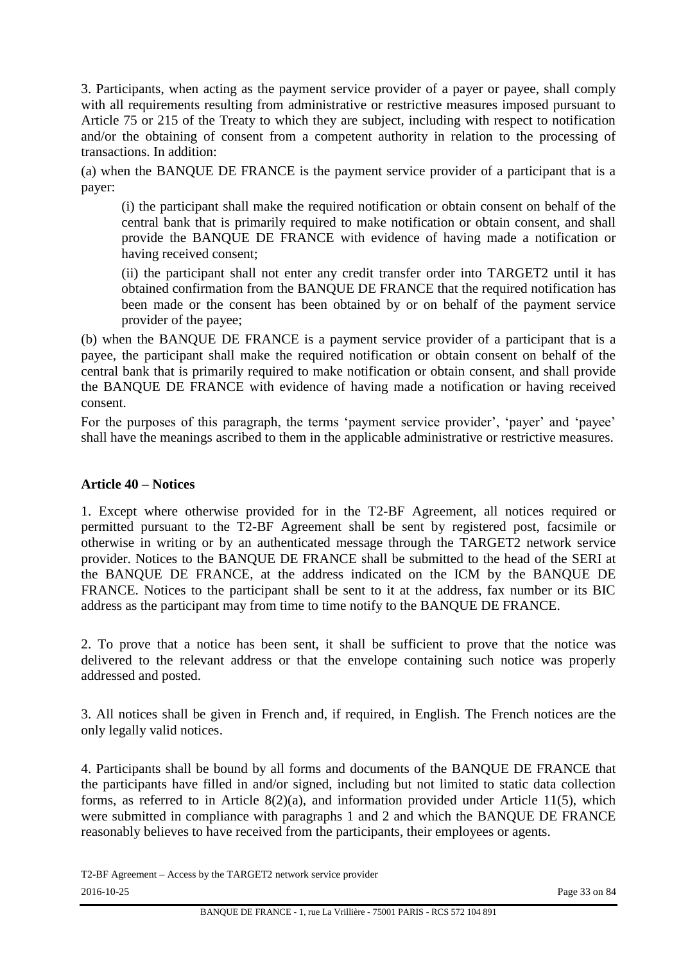3. Participants, when acting as the payment service provider of a payer or payee, shall comply with all requirements resulting from administrative or restrictive measures imposed pursuant to Article 75 or 215 of the Treaty to which they are subject, including with respect to notification and/or the obtaining of consent from a competent authority in relation to the processing of transactions. In addition:

(a) when the BANQUE DE FRANCE is the payment service provider of a participant that is a payer:

(i) the participant shall make the required notification or obtain consent on behalf of the central bank that is primarily required to make notification or obtain consent, and shall provide the BANQUE DE FRANCE with evidence of having made a notification or having received consent;

(ii) the participant shall not enter any credit transfer order into TARGET2 until it has obtained confirmation from the BANQUE DE FRANCE that the required notification has been made or the consent has been obtained by or on behalf of the payment service provider of the payee;

(b) when the BANQUE DE FRANCE is a payment service provider of a participant that is a payee, the participant shall make the required notification or obtain consent on behalf of the central bank that is primarily required to make notification or obtain consent, and shall provide the BANQUE DE FRANCE with evidence of having made a notification or having received consent.

For the purposes of this paragraph, the terms 'payment service provider', 'payer' and 'payee' shall have the meanings ascribed to them in the applicable administrative or restrictive measures.

#### **Article 40 – Notices**

1. Except where otherwise provided for in the T2-BF Agreement, all notices required or permitted pursuant to the T2-BF Agreement shall be sent by registered post, facsimile or otherwise in writing or by an authenticated message through the TARGET2 network service provider. Notices to the BANQUE DE FRANCE shall be submitted to the head of the SERI at the BANQUE DE FRANCE, at the address indicated on the ICM by the BANQUE DE FRANCE. Notices to the participant shall be sent to it at the address, fax number or its BIC address as the participant may from time to time notify to the BANQUE DE FRANCE.

2. To prove that a notice has been sent, it shall be sufficient to prove that the notice was delivered to the relevant address or that the envelope containing such notice was properly addressed and posted.

3. All notices shall be given in French and, if required, in English. The French notices are the only legally valid notices.

4. Participants shall be bound by all forms and documents of the BANQUE DE FRANCE that the participants have filled in and/or signed, including but not limited to static data collection forms, as referred to in Article 8(2)(a), and information provided under Article 11(5), which were submitted in compliance with paragraphs 1 and 2 and which the BANQUE DE FRANCE reasonably believes to have received from the participants, their employees or agents.

T2-BF Agreement – Access by the TARGET2 network service provider 2016-10-25 Page 33 on 84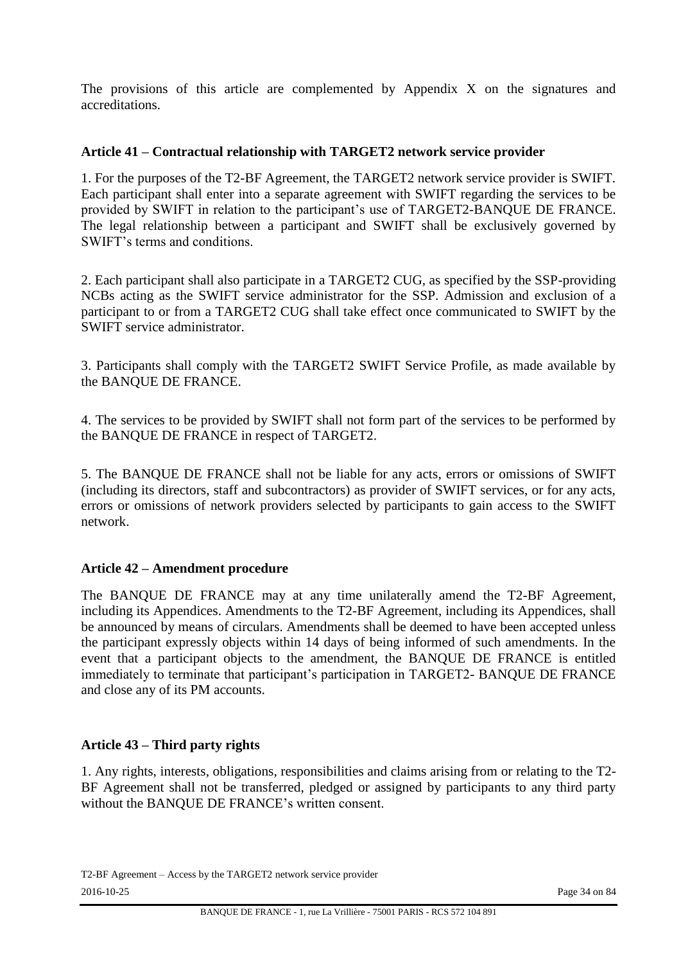The provisions of this article are complemented by Appendix X on the signatures and accreditations.

#### **Article 41 – Contractual relationship with TARGET2 network service provider**

1. For the purposes of the T2-BF Agreement, the TARGET2 network service provider is SWIFT. Each participant shall enter into a separate agreement with SWIFT regarding the services to be provided by SWIFT in relation to the participant's use of TARGET2-BANQUE DE FRANCE. The legal relationship between a participant and SWIFT shall be exclusively governed by SWIFT's terms and conditions.

2. Each participant shall also participate in a TARGET2 CUG, as specified by the SSP-providing NCBs acting as the SWIFT service administrator for the SSP. Admission and exclusion of a participant to or from a TARGET2 CUG shall take effect once communicated to SWIFT by the SWIFT service administrator.

3. Participants shall comply with the TARGET2 SWIFT Service Profile, as made available by the BANQUE DE FRANCE.

4. The services to be provided by SWIFT shall not form part of the services to be performed by the BANQUE DE FRANCE in respect of TARGET2.

5. The BANQUE DE FRANCE shall not be liable for any acts, errors or omissions of SWIFT (including its directors, staff and subcontractors) as provider of SWIFT services, or for any acts, errors or omissions of network providers selected by participants to gain access to the SWIFT network.

#### **Article 42 – Amendment procedure**

The BANQUE DE FRANCE may at any time unilaterally amend the T2-BF Agreement, including its Appendices. Amendments to the T2-BF Agreement, including its Appendices, shall be announced by means of circulars. Amendments shall be deemed to have been accepted unless the participant expressly objects within 14 days of being informed of such amendments. In the event that a participant objects to the amendment, the BANQUE DE FRANCE is entitled immediately to terminate that participant's participation in TARGET2- BANQUE DE FRANCE and close any of its PM accounts.

# **Article 43 – Third party rights**

1. Any rights, interests, obligations, responsibilities and claims arising from or relating to the T2- BF Agreement shall not be transferred, pledged or assigned by participants to any third party without the BANQUE DE FRANCE's written consent.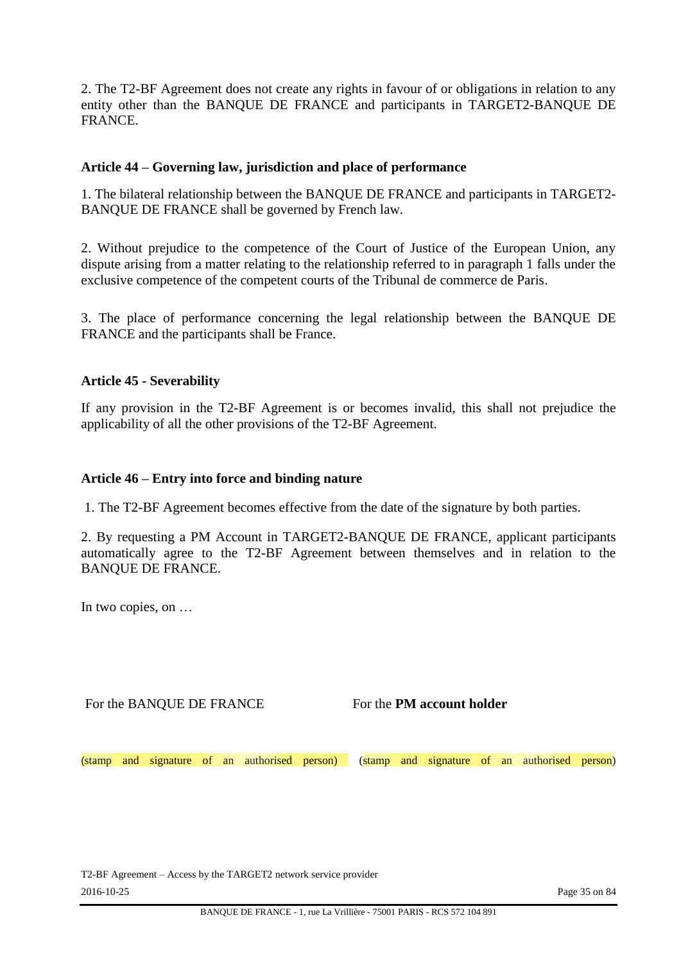2. The T2-BF Agreement does not create any rights in favour of or obligations in relation to any entity other than the BANQUE DE FRANCE and participants in TARGET2-BANQUE DE FRANCE.

#### **Article 44 – Governing law, jurisdiction and place of performance**

1. The bilateral relationship between the BANQUE DE FRANCE and participants in TARGET2- BANQUE DE FRANCE shall be governed by French law.

2. Without prejudice to the competence of the Court of Justice of the European Union, any dispute arising from a matter relating to the relationship referred to in paragraph 1 falls under the exclusive competence of the competent courts of the Tribunal de commerce de Paris.

3. The place of performance concerning the legal relationship between the BANQUE DE FRANCE and the participants shall be France.

#### **Article 45 - Severability**

If any provision in the T2-BF Agreement is or becomes invalid, this shall not prejudice the applicability of all the other provisions of the T2-BF Agreement.

#### **Article 46 – Entry into force and binding nature**

1. The T2-BF Agreement becomes effective from the date of the signature by both parties.

2. By requesting a PM Account in TARGET2-BANQUE DE FRANCE, applicant participants automatically agree to the T2-BF Agreement between themselves and in relation to the BANQUE DE FRANCE.

In two copies, on …

For the BANQUE DE FRANCE FOR the **PM account holder** 

(stamp and signature of an authorised person) (stamp and signature of an authorised person)

T2-BF Agreement – Access by the TARGET2 network service provider 2016-10-25 Page 35 on 84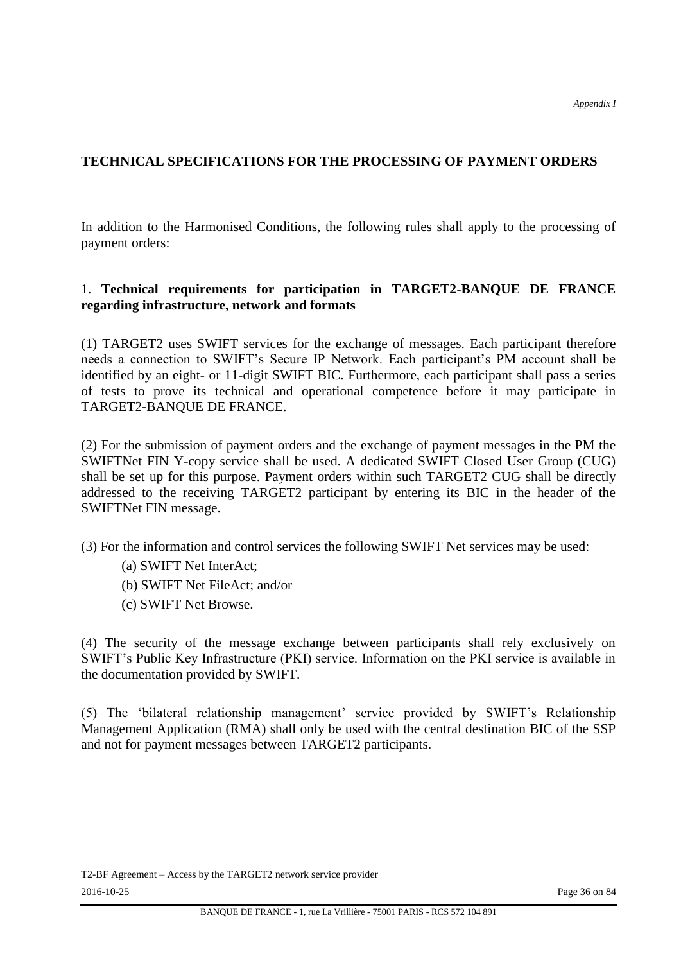# **TECHNICAL SPECIFICATIONS FOR THE PROCESSING OF PAYMENT ORDERS**

In addition to the Harmonised Conditions, the following rules shall apply to the processing of payment orders:

#### 1. **Technical requirements for participation in TARGET2-BANQUE DE FRANCE regarding infrastructure, network and formats**

(1) TARGET2 uses SWIFT services for the exchange of messages. Each participant therefore needs a connection to SWIFT's Secure IP Network. Each participant's PM account shall be identified by an eight- or 11-digit SWIFT BIC. Furthermore, each participant shall pass a series of tests to prove its technical and operational competence before it may participate in TARGET2-BANQUE DE FRANCE.

(2) For the submission of payment orders and the exchange of payment messages in the PM the SWIFTNet FIN Y-copy service shall be used. A dedicated SWIFT Closed User Group (CUG) shall be set up for this purpose. Payment orders within such TARGET2 CUG shall be directly addressed to the receiving TARGET2 participant by entering its BIC in the header of the SWIFTNet FIN message.

(3) For the information and control services the following SWIFT Net services may be used:

- (a) SWIFT Net InterAct;
- (b) SWIFT Net FileAct; and/or
- (c) SWIFT Net Browse.

(4) The security of the message exchange between participants shall rely exclusively on SWIFT's Public Key Infrastructure (PKI) service. Information on the PKI service is available in the documentation provided by SWIFT.

(5) The 'bilateral relationship management' service provided by SWIFT's Relationship Management Application (RMA) shall only be used with the central destination BIC of the SSP and not for payment messages between TARGET2 participants.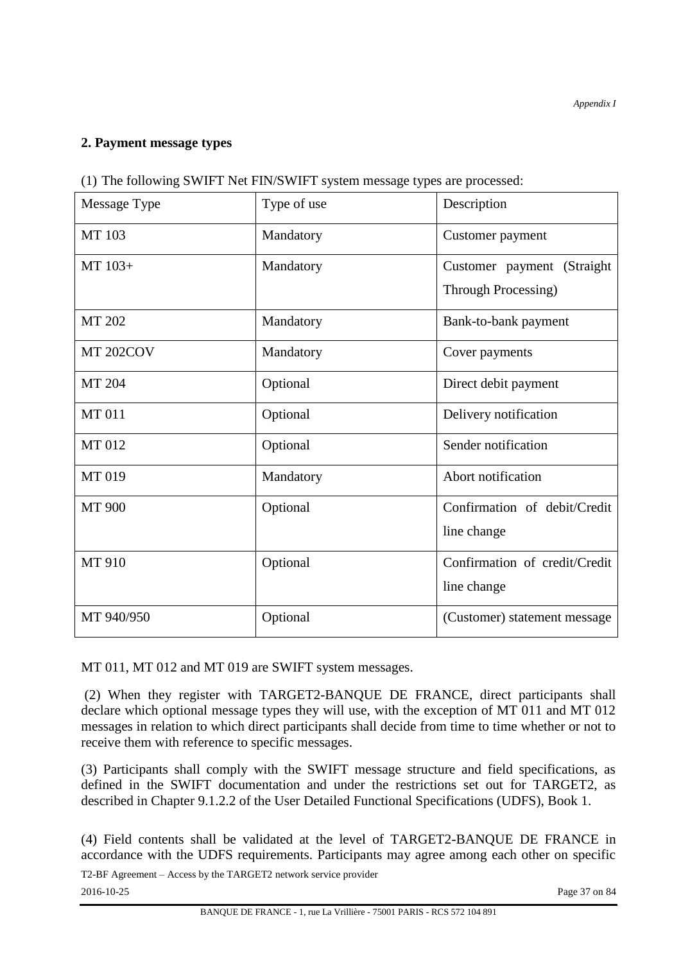## **2. Payment message types**

|  |  | (1) The following SWIFT Net FIN/SWIFT system message types are processed: |  |
|--|--|---------------------------------------------------------------------------|--|
|  |  |                                                                           |  |
|  |  |                                                                           |  |

| Message Type         | Type of use | Description                                              |  |  |  |
|----------------------|-------------|----------------------------------------------------------|--|--|--|
| <b>MT</b> 103        | Mandatory   | Customer payment                                         |  |  |  |
| MT 103+              | Mandatory   | Customer payment (Straight<br><b>Through Processing)</b> |  |  |  |
| <b>MT 202</b>        | Mandatory   | Bank-to-bank payment                                     |  |  |  |
| MT <sub>202COV</sub> | Mandatory   | Cover payments                                           |  |  |  |
| MT 204               | Optional    | Direct debit payment                                     |  |  |  |
| <b>MT011</b>         | Optional    | Delivery notification                                    |  |  |  |
| <b>MT012</b>         | Optional    | Sender notification                                      |  |  |  |
| MT 019               | Mandatory   | Abort notification                                       |  |  |  |
| <b>MT 900</b>        | Optional    | Confirmation of debit/Credit                             |  |  |  |
|                      |             | line change                                              |  |  |  |
| MT 910               | Optional    | Confirmation of credit/Credit                            |  |  |  |
|                      |             | line change                                              |  |  |  |
| MT 940/950           | Optional    | (Customer) statement message                             |  |  |  |

MT 011, MT 012 and MT 019 are SWIFT system messages.

(2) When they register with TARGET2-BANQUE DE FRANCE, direct participants shall declare which optional message types they will use, with the exception of MT 011 and MT 012 messages in relation to which direct participants shall decide from time to time whether or not to receive them with reference to specific messages.

(3) Participants shall comply with the SWIFT message structure and field specifications, as defined in the SWIFT documentation and under the restrictions set out for TARGET2, as described in Chapter 9.1.2.2 of the User Detailed Functional Specifications (UDFS), Book 1.

(4) Field contents shall be validated at the level of TARGET2-BANQUE DE FRANCE in accordance with the UDFS requirements. Participants may agree among each other on specific

T2-BF Agreement – Access by the TARGET2 network service provider 2016-10-25 Page 37 on 84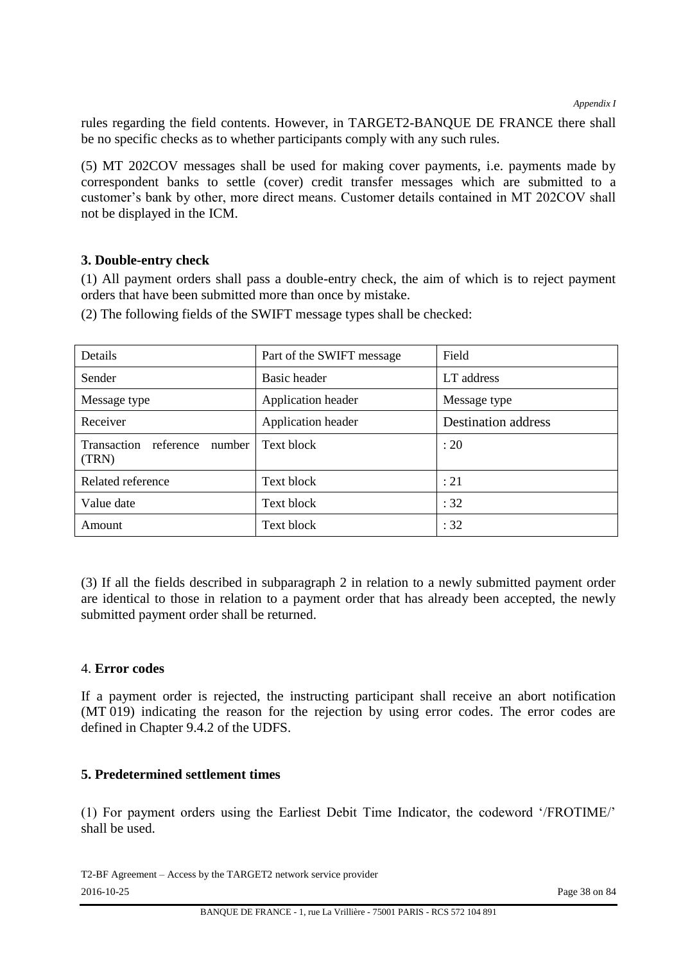rules regarding the field contents. However, in TARGET2-BANQUE DE FRANCE there shall be no specific checks as to whether participants comply with any such rules.

(5) MT 202COV messages shall be used for making cover payments, i.e. payments made by correspondent banks to settle (cover) credit transfer messages which are submitted to a customer's bank by other, more direct means. Customer details contained in MT 202COV shall not be displayed in the ICM.

#### **3. Double-entry check**

(1) All payment orders shall pass a double-entry check, the aim of which is to reject payment orders that have been submitted more than once by mistake.

| Details                                  | Part of the SWIFT message | Field                      |
|------------------------------------------|---------------------------|----------------------------|
| Sender                                   | Basic header              | LT address                 |
| Message type                             | Application header        | Message type               |
| Receiver                                 | Application header        | <b>Destination address</b> |
| Transaction reference<br>number<br>(TRN) | Text block                | : 20                       |
| Related reference                        | Text block                | : 21                       |
| Value date                               | Text block                | :32                        |
| Amount                                   | Text block                | :32                        |

(2) The following fields of the SWIFT message types shall be checked:

(3) If all the fields described in subparagraph 2 in relation to a newly submitted payment order are identical to those in relation to a payment order that has already been accepted, the newly submitted payment order shall be returned.

#### 4. **Error codes**

If a payment order is rejected, the instructing participant shall receive an abort notification (MT 019) indicating the reason for the rejection by using error codes. The error codes are defined in Chapter 9.4.2 of the UDFS.

#### **5. Predetermined settlement times**

(1) For payment orders using the Earliest Debit Time Indicator, the codeword '/FROTIME/' shall be used.

T2-BF Agreement – Access by the TARGET2 network service provider 2016-10-25 Page 38 on 84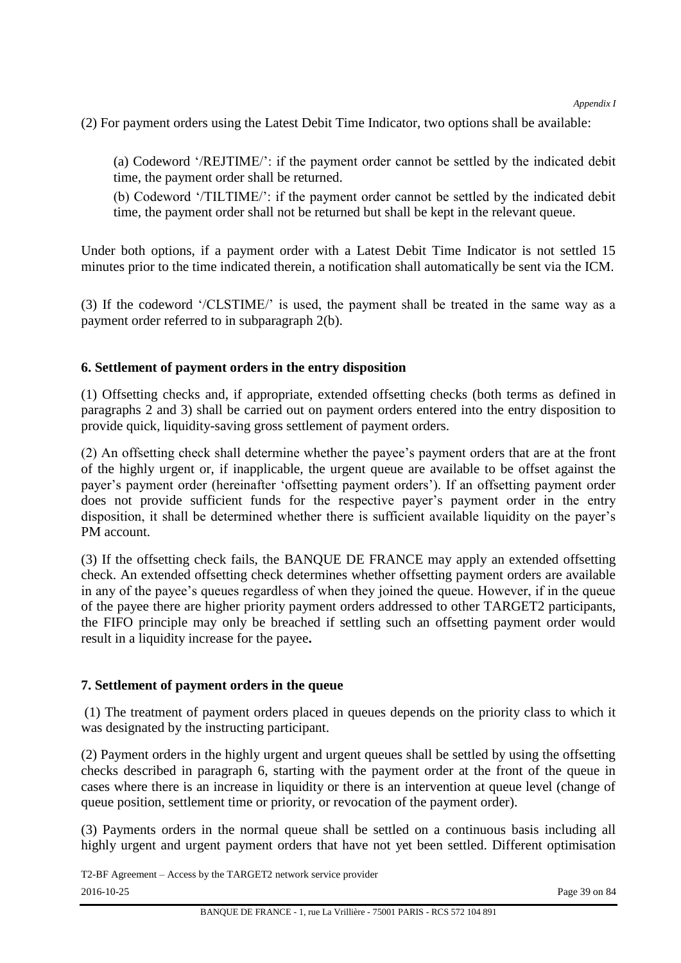(2) For payment orders using the Latest Debit Time Indicator, two options shall be available:

(a) Codeword '/REJTIME/': if the payment order cannot be settled by the indicated debit time, the payment order shall be returned.

(b) Codeword '/TILTIME/': if the payment order cannot be settled by the indicated debit time, the payment order shall not be returned but shall be kept in the relevant queue.

Under both options, if a payment order with a Latest Debit Time Indicator is not settled 15 minutes prior to the time indicated therein, a notification shall automatically be sent via the ICM.

(3) If the codeword '/CLSTIME/' is used, the payment shall be treated in the same way as a payment order referred to in subparagraph 2(b).

## **6. Settlement of payment orders in the entry disposition**

(1) Offsetting checks and, if appropriate, extended offsetting checks (both terms as defined in paragraphs 2 and 3) shall be carried out on payment orders entered into the entry disposition to provide quick, liquidity-saving gross settlement of payment orders.

(2) An offsetting check shall determine whether the payee's payment orders that are at the front of the highly urgent or, if inapplicable, the urgent queue are available to be offset against the payer's payment order (hereinafter 'offsetting payment orders'). If an offsetting payment order does not provide sufficient funds for the respective payer's payment order in the entry disposition, it shall be determined whether there is sufficient available liquidity on the payer's PM account.

(3) If the offsetting check fails, the BANQUE DE FRANCE may apply an extended offsetting check. An extended offsetting check determines whether offsetting payment orders are available in any of the payee's queues regardless of when they joined the queue. However, if in the queue of the payee there are higher priority payment orders addressed to other TARGET2 participants, the FIFO principle may only be breached if settling such an offsetting payment order would result in a liquidity increase for the payee**.** 

## **7. Settlement of payment orders in the queue**

(1) The treatment of payment orders placed in queues depends on the priority class to which it was designated by the instructing participant.

(2) Payment orders in the highly urgent and urgent queues shall be settled by using the offsetting checks described in paragraph 6, starting with the payment order at the front of the queue in cases where there is an increase in liquidity or there is an intervention at queue level (change of queue position, settlement time or priority, or revocation of the payment order).

(3) Payments orders in the normal queue shall be settled on a continuous basis including all highly urgent and urgent payment orders that have not yet been settled. Different optimisation

T2-BF Agreement – Access by the TARGET2 network service provider 2016-10-25 Page 39 on 84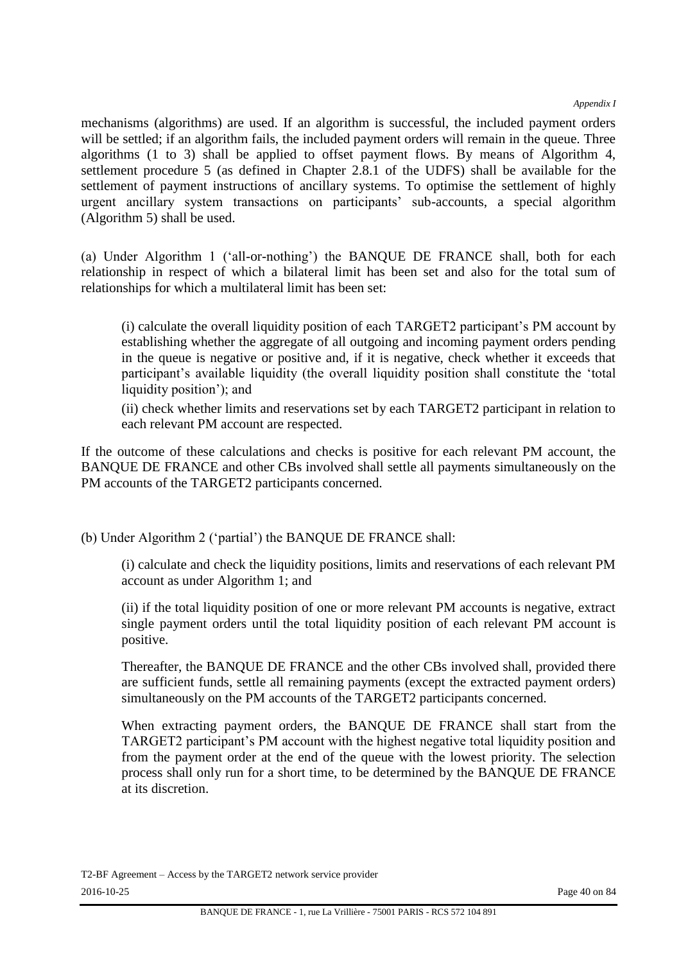*Appendix I*

mechanisms (algorithms) are used. If an algorithm is successful, the included payment orders will be settled; if an algorithm fails, the included payment orders will remain in the queue. Three algorithms (1 to 3) shall be applied to offset payment flows. By means of Algorithm 4, settlement procedure 5 (as defined in Chapter 2.8.1 of the UDFS) shall be available for the settlement of payment instructions of ancillary systems. To optimise the settlement of highly urgent ancillary system transactions on participants' sub-accounts, a special algorithm (Algorithm 5) shall be used.

(a) Under Algorithm 1 ('all-or-nothing') the BANQUE DE FRANCE shall, both for each relationship in respect of which a bilateral limit has been set and also for the total sum of relationships for which a multilateral limit has been set:

(i) calculate the overall liquidity position of each TARGET2 participant's PM account by establishing whether the aggregate of all outgoing and incoming payment orders pending in the queue is negative or positive and, if it is negative, check whether it exceeds that participant's available liquidity (the overall liquidity position shall constitute the 'total liquidity position'); and

(ii) check whether limits and reservations set by each TARGET2 participant in relation to each relevant PM account are respected.

If the outcome of these calculations and checks is positive for each relevant PM account, the BANQUE DE FRANCE and other CBs involved shall settle all payments simultaneously on the PM accounts of the TARGET2 participants concerned.

(b) Under Algorithm 2 ('partial') the BANQUE DE FRANCE shall:

(i) calculate and check the liquidity positions, limits and reservations of each relevant PM account as under Algorithm 1; and

(ii) if the total liquidity position of one or more relevant PM accounts is negative, extract single payment orders until the total liquidity position of each relevant PM account is positive.

Thereafter, the BANQUE DE FRANCE and the other CBs involved shall, provided there are sufficient funds, settle all remaining payments (except the extracted payment orders) simultaneously on the PM accounts of the TARGET2 participants concerned.

When extracting payment orders, the BANQUE DE FRANCE shall start from the TARGET2 participant's PM account with the highest negative total liquidity position and from the payment order at the end of the queue with the lowest priority. The selection process shall only run for a short time, to be determined by the BANQUE DE FRANCE at its discretion.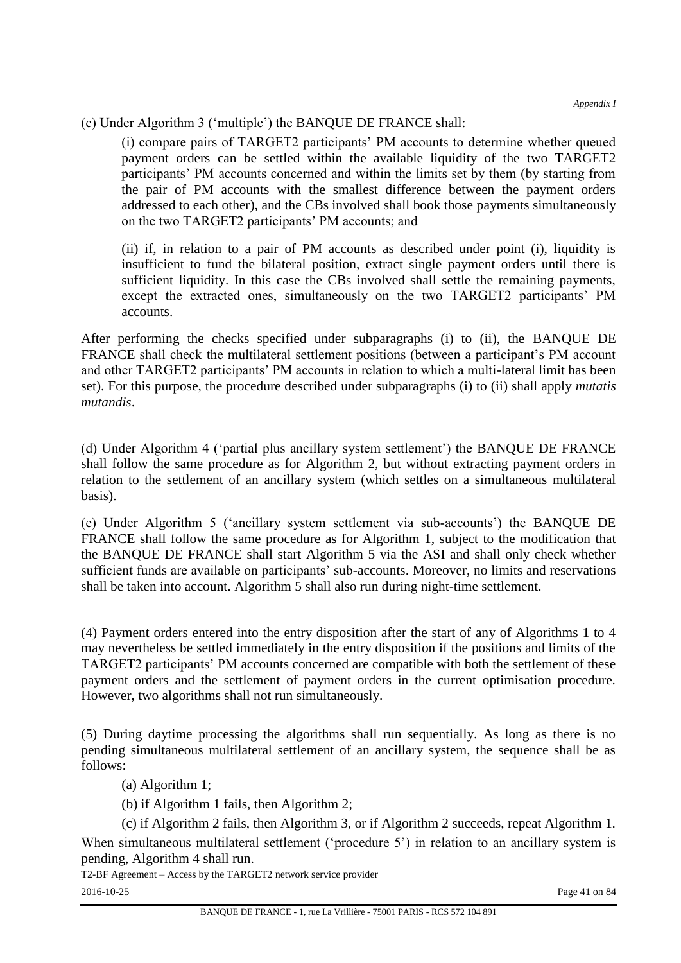*Appendix I*

# (c) Under Algorithm 3 ('multiple') the BANQUE DE FRANCE shall:

(i) compare pairs of TARGET2 participants' PM accounts to determine whether queued payment orders can be settled within the available liquidity of the two TARGET2 participants' PM accounts concerned and within the limits set by them (by starting from the pair of PM accounts with the smallest difference between the payment orders addressed to each other), and the CBs involved shall book those payments simultaneously on the two TARGET2 participants' PM accounts; and

(ii) if, in relation to a pair of PM accounts as described under point (i), liquidity is insufficient to fund the bilateral position, extract single payment orders until there is sufficient liquidity. In this case the CBs involved shall settle the remaining payments, except the extracted ones, simultaneously on the two TARGET2 participants' PM accounts.

After performing the checks specified under subparagraphs (i) to (ii), the BANQUE DE FRANCE shall check the multilateral settlement positions (between a participant's PM account and other TARGET2 participants' PM accounts in relation to which a multi-lateral limit has been set). For this purpose, the procedure described under subparagraphs (i) to (ii) shall apply *mutatis mutandis*.

(d) Under Algorithm 4 ('partial plus ancillary system settlement') the BANQUE DE FRANCE shall follow the same procedure as for Algorithm 2, but without extracting payment orders in relation to the settlement of an ancillary system (which settles on a simultaneous multilateral basis).

(e) Under Algorithm 5 ('ancillary system settlement via sub-accounts') the BANQUE DE FRANCE shall follow the same procedure as for Algorithm 1, subject to the modification that the BANQUE DE FRANCE shall start Algorithm 5 via the ASI and shall only check whether sufficient funds are available on participants' sub-accounts. Moreover, no limits and reservations shall be taken into account. Algorithm 5 shall also run during night-time settlement.

(4) Payment orders entered into the entry disposition after the start of any of Algorithms 1 to 4 may nevertheless be settled immediately in the entry disposition if the positions and limits of the TARGET2 participants' PM accounts concerned are compatible with both the settlement of these payment orders and the settlement of payment orders in the current optimisation procedure. However, two algorithms shall not run simultaneously.

(5) During daytime processing the algorithms shall run sequentially. As long as there is no pending simultaneous multilateral settlement of an ancillary system, the sequence shall be as follows:

(a) Algorithm 1;

(b) if Algorithm 1 fails, then Algorithm 2;

(c) if Algorithm 2 fails, then Algorithm 3, or if Algorithm 2 succeeds, repeat Algorithm 1.

When simultaneous multilateral settlement ('procedure 5') in relation to an ancillary system is pending, Algorithm 4 shall run.

T2-BF Agreement – Access by the TARGET2 network service provider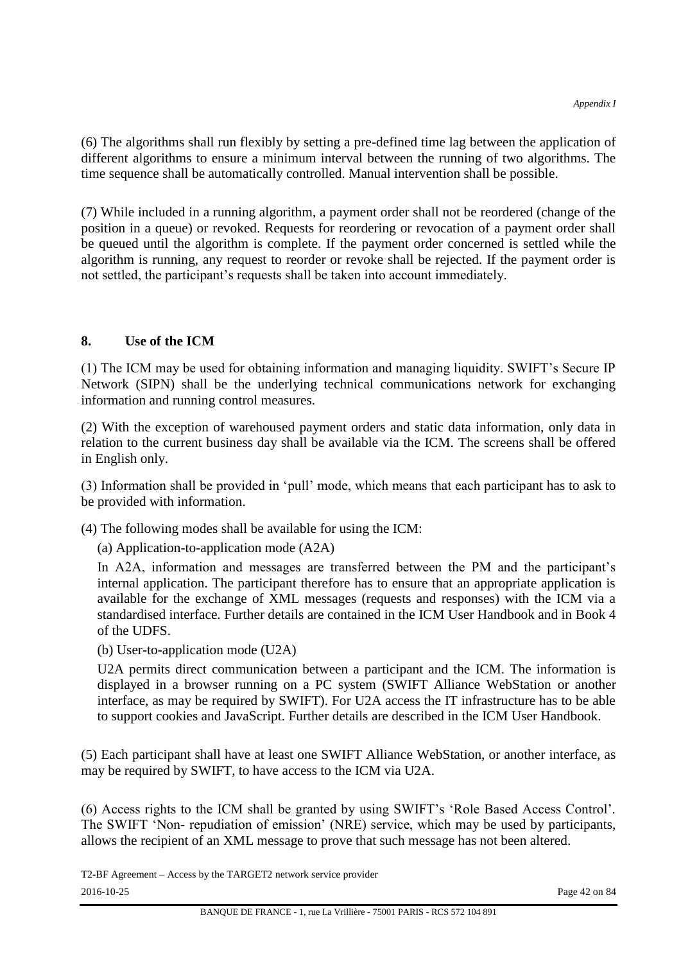(6) The algorithms shall run flexibly by setting a pre-defined time lag between the application of different algorithms to ensure a minimum interval between the running of two algorithms. The time sequence shall be automatically controlled. Manual intervention shall be possible.

(7) While included in a running algorithm, a payment order shall not be reordered (change of the position in a queue) or revoked. Requests for reordering or revocation of a payment order shall be queued until the algorithm is complete. If the payment order concerned is settled while the algorithm is running, any request to reorder or revoke shall be rejected. If the payment order is not settled, the participant's requests shall be taken into account immediately.

## **8. Use of the ICM**

(1) The ICM may be used for obtaining information and managing liquidity. SWIFT's Secure IP Network (SIPN) shall be the underlying technical communications network for exchanging information and running control measures.

(2) With the exception of warehoused payment orders and static data information, only data in relation to the current business day shall be available via the ICM. The screens shall be offered in English only.

(3) Information shall be provided in 'pull' mode, which means that each participant has to ask to be provided with information.

(4) The following modes shall be available for using the ICM:

(a) Application-to-application mode (A2A)

In A2A, information and messages are transferred between the PM and the participant's internal application. The participant therefore has to ensure that an appropriate application is available for the exchange of XML messages (requests and responses) with the ICM via a standardised interface. Further details are contained in the ICM User Handbook and in Book 4 of the UDFS.

(b) User-to-application mode (U2A)

U2A permits direct communication between a participant and the ICM. The information is displayed in a browser running on a PC system (SWIFT Alliance WebStation or another interface, as may be required by SWIFT). For U2A access the IT infrastructure has to be able to support cookies and JavaScript. Further details are described in the ICM User Handbook.

(5) Each participant shall have at least one SWIFT Alliance WebStation, or another interface, as may be required by SWIFT, to have access to the ICM via U2A.

(6) Access rights to the ICM shall be granted by using SWIFT's 'Role Based Access Control'. The SWIFT 'Non- repudiation of emission' (NRE) service, which may be used by participants, allows the recipient of an XML message to prove that such message has not been altered.

T2-BF Agreement – Access by the TARGET2 network service provider 2016-10-25 Page 42 on 84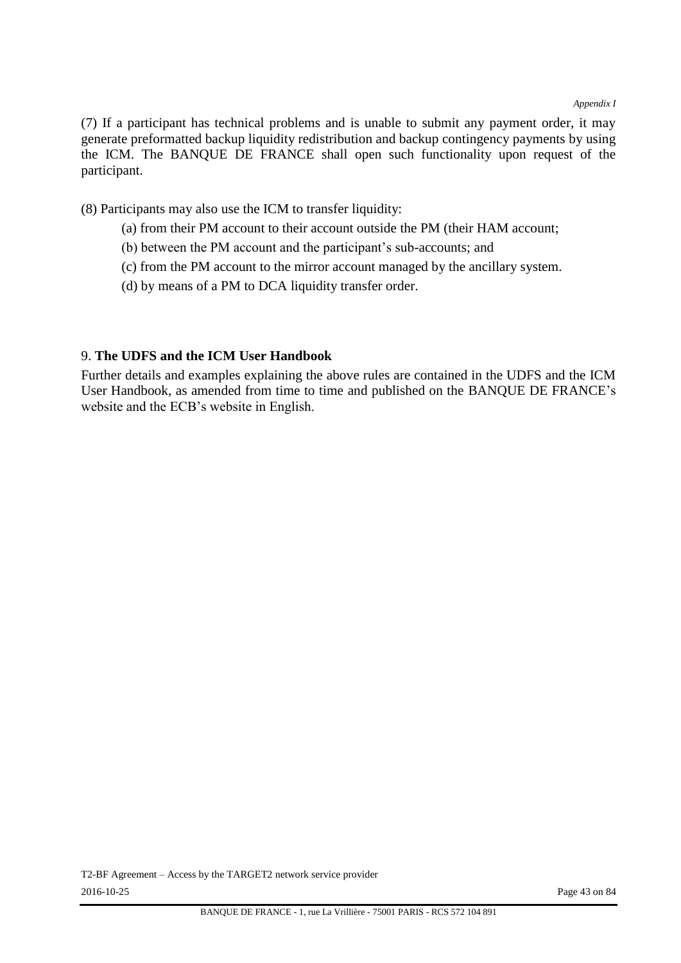(7) If a participant has technical problems and is unable to submit any payment order, it may generate preformatted backup liquidity redistribution and backup contingency payments by using the ICM. The BANQUE DE FRANCE shall open such functionality upon request of the participant.

(8) Participants may also use the ICM to transfer liquidity:

- (a) from their PM account to their account outside the PM (their HAM account;
- (b) between the PM account and the participant's sub-accounts; and
- (c) from the PM account to the mirror account managed by the ancillary system.
- (d) by means of a PM to DCA liquidity transfer order.

#### 9. **The UDFS and the ICM User Handbook**

Further details and examples explaining the above rules are contained in the UDFS and the ICM User Handbook, as amended from time to time and published on the BANQUE DE FRANCE's website and the ECB's website in English.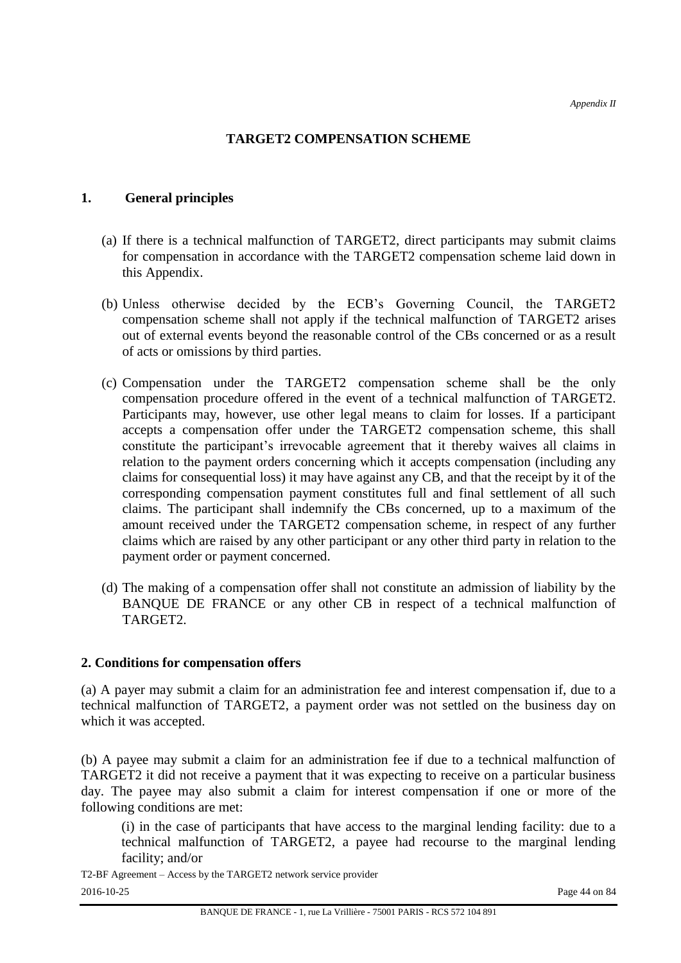## **TARGET2 COMPENSATION SCHEME**

#### **1. General principles**

- (a) If there is a technical malfunction of TARGET2, direct participants may submit claims for compensation in accordance with the TARGET2 compensation scheme laid down in this Appendix.
- (b) Unless otherwise decided by the ECB's Governing Council, the TARGET2 compensation scheme shall not apply if the technical malfunction of TARGET2 arises out of external events beyond the reasonable control of the CBs concerned or as a result of acts or omissions by third parties.
- (c) Compensation under the TARGET2 compensation scheme shall be the only compensation procedure offered in the event of a technical malfunction of TARGET2. Participants may, however, use other legal means to claim for losses. If a participant accepts a compensation offer under the TARGET2 compensation scheme, this shall constitute the participant's irrevocable agreement that it thereby waives all claims in relation to the payment orders concerning which it accepts compensation (including any claims for consequential loss) it may have against any CB, and that the receipt by it of the corresponding compensation payment constitutes full and final settlement of all such claims. The participant shall indemnify the CBs concerned, up to a maximum of the amount received under the TARGET2 compensation scheme, in respect of any further claims which are raised by any other participant or any other third party in relation to the payment order or payment concerned.
- (d) The making of a compensation offer shall not constitute an admission of liability by the BANQUE DE FRANCE or any other CB in respect of a technical malfunction of TARGET2.

#### **2. Conditions for compensation offers**

(a) A payer may submit a claim for an administration fee and interest compensation if, due to a technical malfunction of TARGET2, a payment order was not settled on the business day on which it was accepted.

(b) A payee may submit a claim for an administration fee if due to a technical malfunction of TARGET2 it did not receive a payment that it was expecting to receive on a particular business day. The payee may also submit a claim for interest compensation if one or more of the following conditions are met:

(i) in the case of participants that have access to the marginal lending facility: due to a technical malfunction of TARGET2, a payee had recourse to the marginal lending facility; and/or

T2-BF Agreement – Access by the TARGET2 network service provider 2016-10-25 Page 44 on 84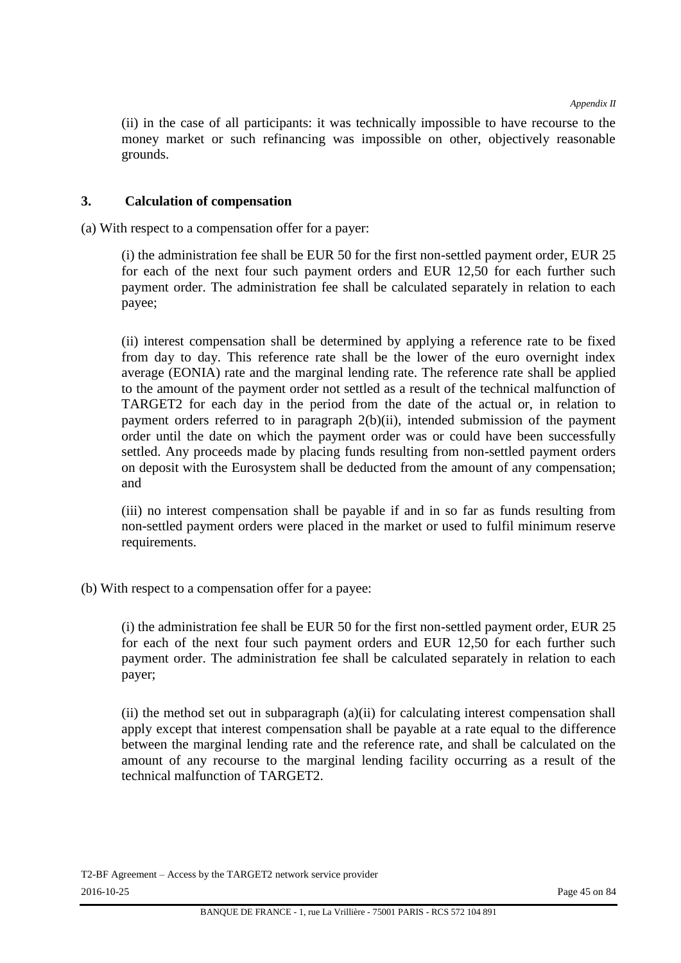(ii) in the case of all participants: it was technically impossible to have recourse to the money market or such refinancing was impossible on other, objectively reasonable grounds.

#### **3. Calculation of compensation**

(a) With respect to a compensation offer for a payer:

(i) the administration fee shall be EUR 50 for the first non-settled payment order, EUR 25 for each of the next four such payment orders and EUR 12,50 for each further such payment order. The administration fee shall be calculated separately in relation to each payee;

(ii) interest compensation shall be determined by applying a reference rate to be fixed from day to day. This reference rate shall be the lower of the euro overnight index average (EONIA) rate and the marginal lending rate. The reference rate shall be applied to the amount of the payment order not settled as a result of the technical malfunction of TARGET2 for each day in the period from the date of the actual or, in relation to payment orders referred to in paragraph 2(b)(ii), intended submission of the payment order until the date on which the payment order was or could have been successfully settled. Any proceeds made by placing funds resulting from non-settled payment orders on deposit with the Eurosystem shall be deducted from the amount of any compensation; and

(iii) no interest compensation shall be payable if and in so far as funds resulting from non-settled payment orders were placed in the market or used to fulfil minimum reserve requirements.

(b) With respect to a compensation offer for a payee:

(i) the administration fee shall be EUR 50 for the first non-settled payment order, EUR 25 for each of the next four such payment orders and EUR 12,50 for each further such payment order. The administration fee shall be calculated separately in relation to each payer;

(ii) the method set out in subparagraph (a)(ii) for calculating interest compensation shall apply except that interest compensation shall be payable at a rate equal to the difference between the marginal lending rate and the reference rate, and shall be calculated on the amount of any recourse to the marginal lending facility occurring as a result of the technical malfunction of TARGET2.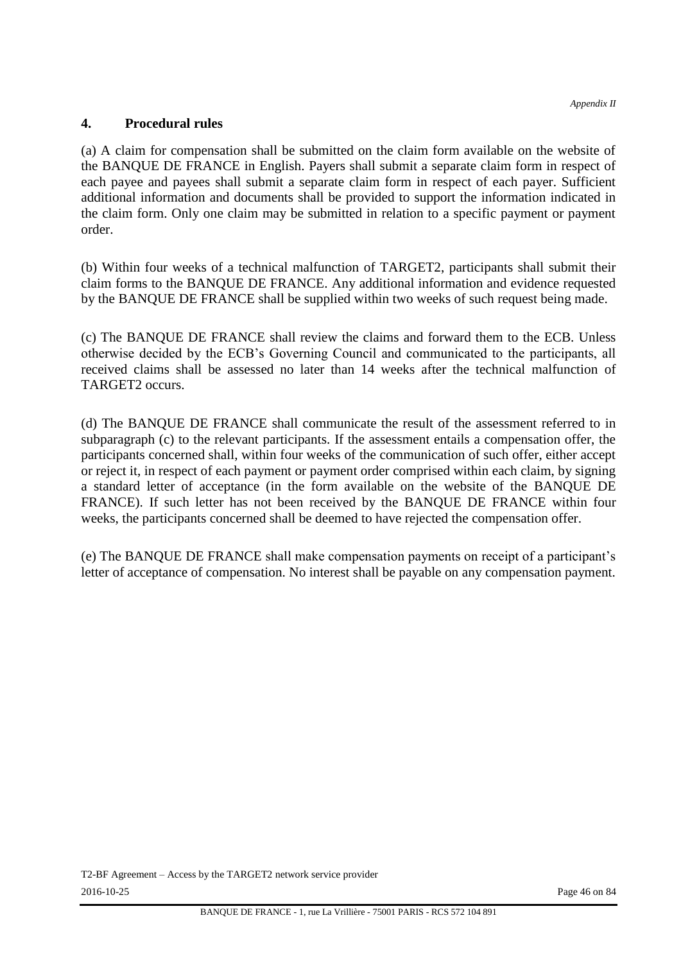#### **4. Procedural rules**

(a) A claim for compensation shall be submitted on the claim form available on the website of the BANQUE DE FRANCE in English. Payers shall submit a separate claim form in respect of each payee and payees shall submit a separate claim form in respect of each payer. Sufficient additional information and documents shall be provided to support the information indicated in the claim form. Only one claim may be submitted in relation to a specific payment or payment order.

(b) Within four weeks of a technical malfunction of TARGET2, participants shall submit their claim forms to the BANQUE DE FRANCE. Any additional information and evidence requested by the BANQUE DE FRANCE shall be supplied within two weeks of such request being made.

(c) The BANQUE DE FRANCE shall review the claims and forward them to the ECB. Unless otherwise decided by the ECB's Governing Council and communicated to the participants, all received claims shall be assessed no later than 14 weeks after the technical malfunction of TARGET2 occurs.

(d) The BANQUE DE FRANCE shall communicate the result of the assessment referred to in subparagraph (c) to the relevant participants. If the assessment entails a compensation offer, the participants concerned shall, within four weeks of the communication of such offer, either accept or reject it, in respect of each payment or payment order comprised within each claim, by signing a standard letter of acceptance (in the form available on the website of the BANQUE DE FRANCE). If such letter has not been received by the BANQUE DE FRANCE within four weeks, the participants concerned shall be deemed to have rejected the compensation offer.

(e) The BANQUE DE FRANCE shall make compensation payments on receipt of a participant's letter of acceptance of compensation. No interest shall be payable on any compensation payment.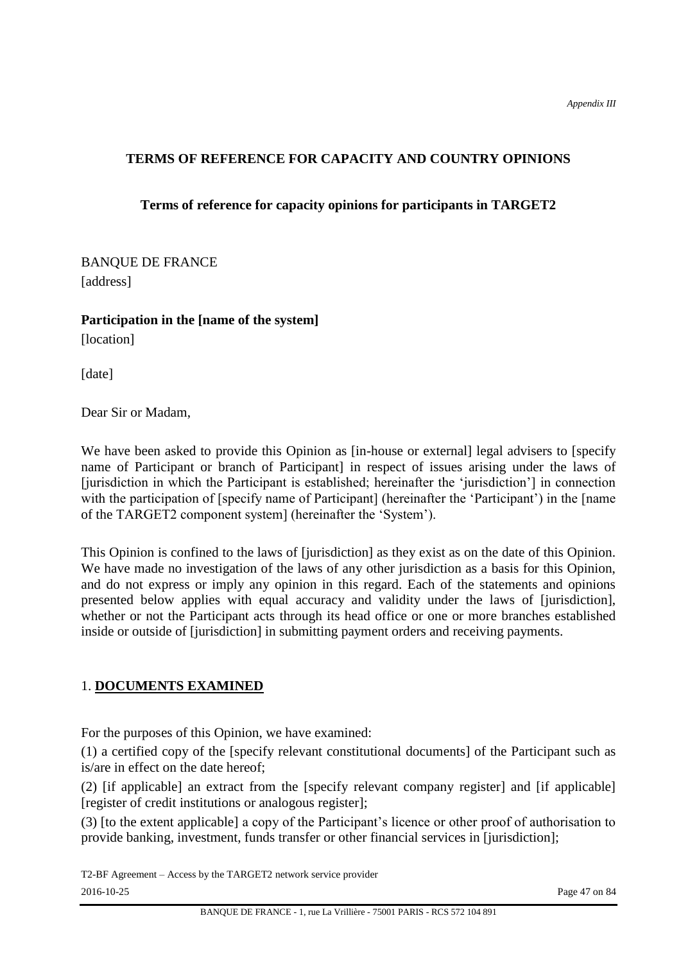# **TERMS OF REFERENCE FOR CAPACITY AND COUNTRY OPINIONS**

# **Terms of reference for capacity opinions for participants in TARGET2**

BANQUE DE FRANCE [address]

**Participation in the [name of the system]**  [location]

[date]

Dear Sir or Madam,

We have been asked to provide this Opinion as [in-house or external] legal advisers to [specify] name of Participant or branch of Participant] in respect of issues arising under the laws of [jurisdiction in which the Participant is established; hereinafter the 'jurisdiction'] in connection with the participation of [specify name of Participant] (hereinafter the 'Participant') in the [name of the TARGET2 component system] (hereinafter the 'System').

This Opinion is confined to the laws of [jurisdiction] as they exist as on the date of this Opinion. We have made no investigation of the laws of any other jurisdiction as a basis for this Opinion, and do not express or imply any opinion in this regard. Each of the statements and opinions presented below applies with equal accuracy and validity under the laws of [jurisdiction], whether or not the Participant acts through its head office or one or more branches established inside or outside of [jurisdiction] in submitting payment orders and receiving payments.

## 1. **DOCUMENTS EXAMINED**

For the purposes of this Opinion, we have examined:

(1) a certified copy of the [specify relevant constitutional documents] of the Participant such as is/are in effect on the date hereof;

(2) [if applicable] an extract from the [specify relevant company register] and [if applicable] [register of credit institutions or analogous register];

(3) [to the extent applicable] a copy of the Participant's licence or other proof of authorisation to provide banking, investment, funds transfer or other financial services in [jurisdiction];

T2-BF Agreement – Access by the TARGET2 network service provider 2016-10-25 Page 47 on 84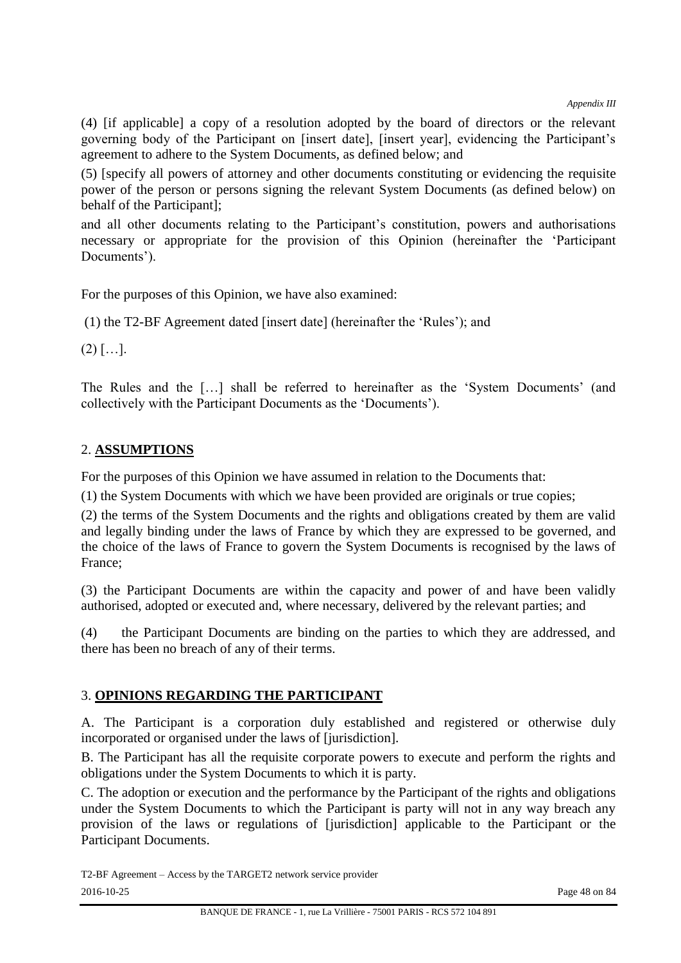(4) [if applicable] a copy of a resolution adopted by the board of directors or the relevant governing body of the Participant on [insert date], [insert year], evidencing the Participant's agreement to adhere to the System Documents, as defined below; and

(5) [specify all powers of attorney and other documents constituting or evidencing the requisite power of the person or persons signing the relevant System Documents (as defined below) on behalf of the Participant];

and all other documents relating to the Participant's constitution, powers and authorisations necessary or appropriate for the provision of this Opinion (hereinafter the 'Participant Documents').

For the purposes of this Opinion, we have also examined:

(1) the T2-BF Agreement dated [insert date] (hereinafter the 'Rules'); and

 $(2)$  […].

The Rules and the […] shall be referred to hereinafter as the 'System Documents' (and collectively with the Participant Documents as the 'Documents').

# 2. **ASSUMPTIONS**

For the purposes of this Opinion we have assumed in relation to the Documents that:

(1) the System Documents with which we have been provided are originals or true copies;

(2) the terms of the System Documents and the rights and obligations created by them are valid and legally binding under the laws of France by which they are expressed to be governed, and the choice of the laws of France to govern the System Documents is recognised by the laws of France;

(3) the Participant Documents are within the capacity and power of and have been validly authorised, adopted or executed and, where necessary, delivered by the relevant parties; and

(4) the Participant Documents are binding on the parties to which they are addressed, and there has been no breach of any of their terms.

# 3. **OPINIONS REGARDING THE PARTICIPANT**

A. The Participant is a corporation duly established and registered or otherwise duly incorporated or organised under the laws of [jurisdiction].

B. The Participant has all the requisite corporate powers to execute and perform the rights and obligations under the System Documents to which it is party.

C. The adoption or execution and the performance by the Participant of the rights and obligations under the System Documents to which the Participant is party will not in any way breach any provision of the laws or regulations of [jurisdiction] applicable to the Participant or the Participant Documents.

T2-BF Agreement – Access by the TARGET2 network service provider 2016-10-25 Page 48 on 84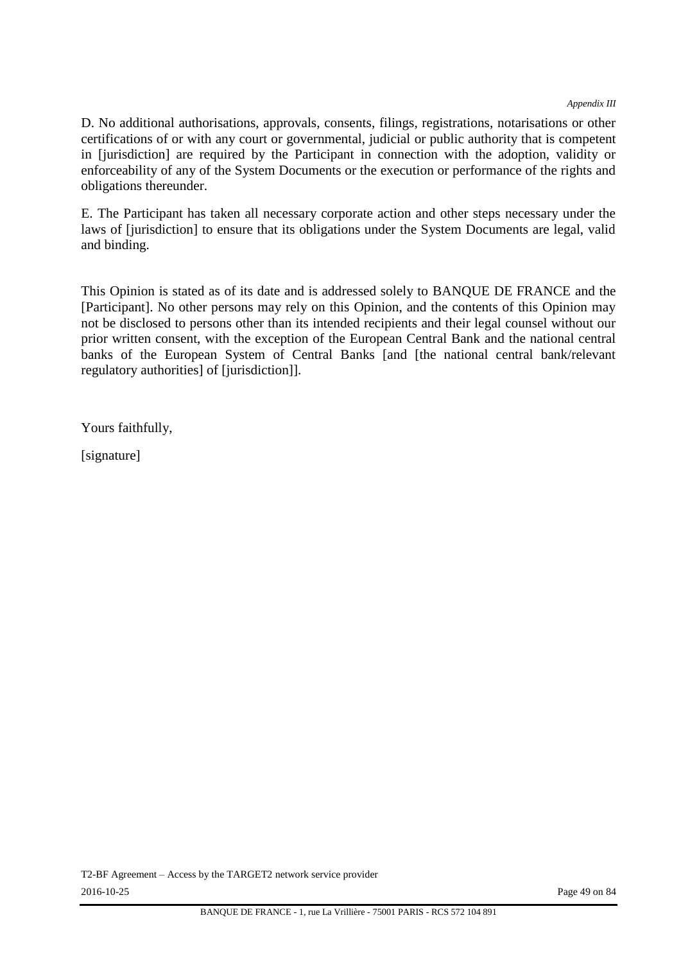*Appendix III*

D. No additional authorisations, approvals, consents, filings, registrations, notarisations or other certifications of or with any court or governmental, judicial or public authority that is competent in [jurisdiction] are required by the Participant in connection with the adoption, validity or enforceability of any of the System Documents or the execution or performance of the rights and obligations thereunder.

E. The Participant has taken all necessary corporate action and other steps necessary under the laws of [jurisdiction] to ensure that its obligations under the System Documents are legal, valid and binding.

This Opinion is stated as of its date and is addressed solely to BANQUE DE FRANCE and the [Participant]. No other persons may rely on this Opinion, and the contents of this Opinion may not be disclosed to persons other than its intended recipients and their legal counsel without our prior written consent, with the exception of the European Central Bank and the national central banks of the European System of Central Banks [and [the national central bank/relevant regulatory authorities] of [jurisdiction]].

Yours faithfully,

[signature]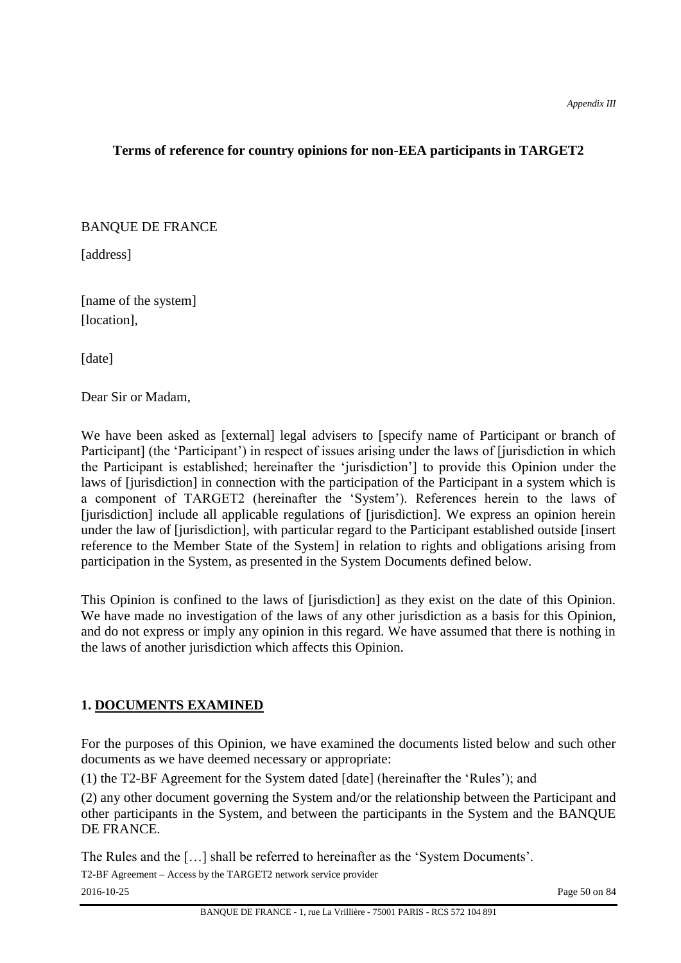# **Terms of reference for country opinions for non-EEA participants in TARGET2**

## BANQUE DE FRANCE

[address]

[name of the system] [location].

[date]

Dear Sir or Madam,

We have been asked as [external] legal advisers to [specify name of Participant or branch of Participant] (the 'Participant') in respect of issues arising under the laws of [jurisdiction in which the Participant is established; hereinafter the 'jurisdiction'] to provide this Opinion under the laws of [jurisdiction] in connection with the participation of the Participant in a system which is a component of TARGET2 (hereinafter the 'System'). References herein to the laws of [jurisdiction] include all applicable regulations of [jurisdiction]. We express an opinion herein under the law of [jurisdiction], with particular regard to the Participant established outside [insert reference to the Member State of the System] in relation to rights and obligations arising from participation in the System, as presented in the System Documents defined below.

This Opinion is confined to the laws of [jurisdiction] as they exist on the date of this Opinion. We have made no investigation of the laws of any other jurisdiction as a basis for this Opinion, and do not express or imply any opinion in this regard. We have assumed that there is nothing in the laws of another jurisdiction which affects this Opinion.

# **1. DOCUMENTS EXAMINED**

For the purposes of this Opinion, we have examined the documents listed below and such other documents as we have deemed necessary or appropriate:

(1) the T2-BF Agreement for the System dated [date] (hereinafter the 'Rules'); and

(2) any other document governing the System and/or the relationship between the Participant and other participants in the System, and between the participants in the System and the BANQUE DE FRANCE.

The Rules and the […] shall be referred to hereinafter as the 'System Documents'.

T2-BF Agreement – Access by the TARGET2 network service provider 2016-10-25 Page 50 on 84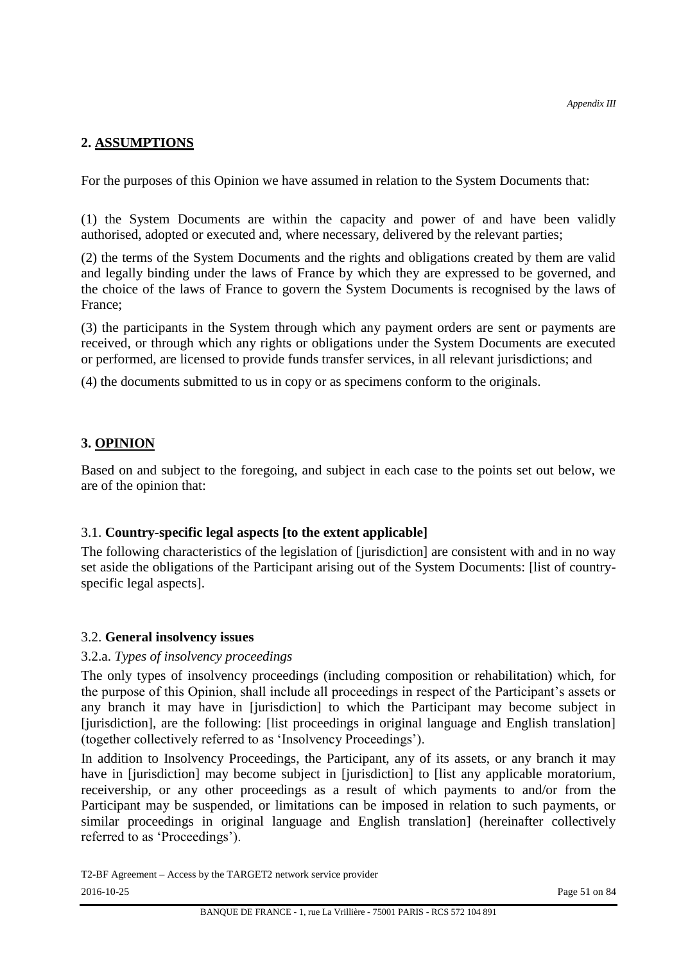# **2. ASSUMPTIONS**

For the purposes of this Opinion we have assumed in relation to the System Documents that:

(1) the System Documents are within the capacity and power of and have been validly authorised, adopted or executed and, where necessary, delivered by the relevant parties;

(2) the terms of the System Documents and the rights and obligations created by them are valid and legally binding under the laws of France by which they are expressed to be governed, and the choice of the laws of France to govern the System Documents is recognised by the laws of France;

(3) the participants in the System through which any payment orders are sent or payments are received, or through which any rights or obligations under the System Documents are executed or performed, are licensed to provide funds transfer services, in all relevant jurisdictions; and

(4) the documents submitted to us in copy or as specimens conform to the originals.

# **3. OPINION**

Based on and subject to the foregoing, and subject in each case to the points set out below, we are of the opinion that:

## 3.1. **Country-specific legal aspects [to the extent applicable]**

The following characteristics of the legislation of [jurisdiction] are consistent with and in no way set aside the obligations of the Participant arising out of the System Documents: [list of countryspecific legal aspects].

## 3.2. **General insolvency issues**

## 3.2.a. *Types of insolvency proceedings*

The only types of insolvency proceedings (including composition or rehabilitation) which, for the purpose of this Opinion, shall include all proceedings in respect of the Participant's assets or any branch it may have in [jurisdiction] to which the Participant may become subject in [jurisdiction], are the following: [list proceedings in original language and English translation] (together collectively referred to as 'Insolvency Proceedings').

In addition to Insolvency Proceedings, the Participant, any of its assets, or any branch it may have in [jurisdiction] may become subject in [jurisdiction] to [list any applicable moratorium, receivership, or any other proceedings as a result of which payments to and/or from the Participant may be suspended, or limitations can be imposed in relation to such payments, or similar proceedings in original language and English translation] (hereinafter collectively referred to as 'Proceedings').

T2-BF Agreement – Access by the TARGET2 network service provider 2016-10-25 Page 51 on 84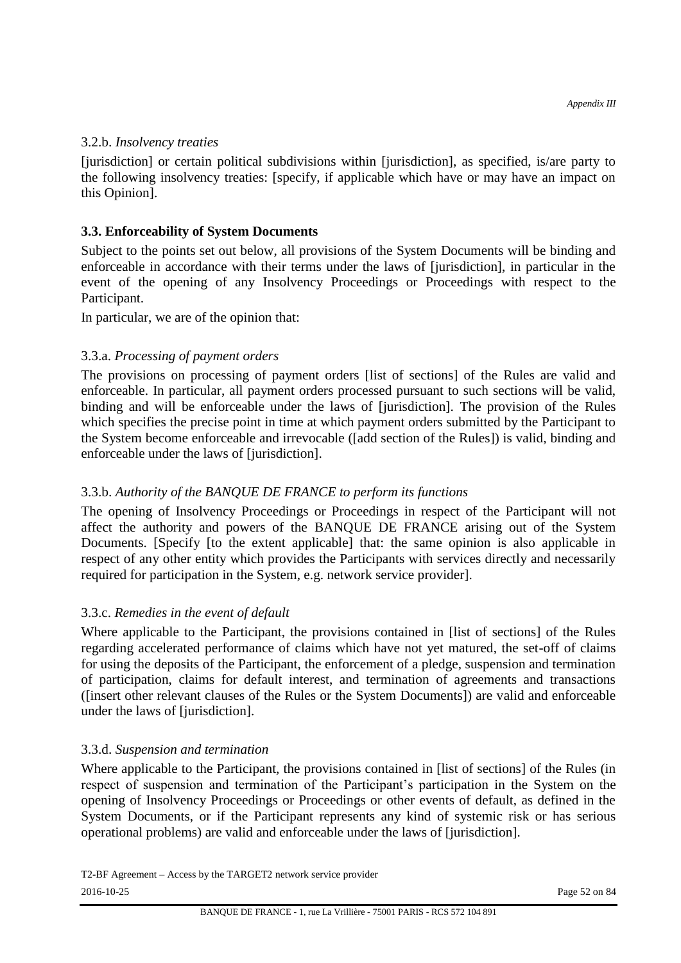#### 3.2.b. *Insolvency treaties*

[jurisdiction] or certain political subdivisions within [jurisdiction], as specified, is/are party to the following insolvency treaties: [specify, if applicable which have or may have an impact on this Opinion].

## **3.3. Enforceability of System Documents**

Subject to the points set out below, all provisions of the System Documents will be binding and enforceable in accordance with their terms under the laws of [jurisdiction], in particular in the event of the opening of any Insolvency Proceedings or Proceedings with respect to the Participant.

In particular, we are of the opinion that:

## 3.3.a. *Processing of payment orders*

The provisions on processing of payment orders [list of sections] of the Rules are valid and enforceable. In particular, all payment orders processed pursuant to such sections will be valid, binding and will be enforceable under the laws of [jurisdiction]. The provision of the Rules which specifies the precise point in time at which payment orders submitted by the Participant to the System become enforceable and irrevocable ([add section of the Rules]) is valid, binding and enforceable under the laws of [jurisdiction].

# 3.3.b. *Authority of the BANQUE DE FRANCE to perform its functions*

The opening of Insolvency Proceedings or Proceedings in respect of the Participant will not affect the authority and powers of the BANQUE DE FRANCE arising out of the System Documents. [Specify [to the extent applicable] that: the same opinion is also applicable in respect of any other entity which provides the Participants with services directly and necessarily required for participation in the System, e.g. network service provider].

## 3.3.c. *Remedies in the event of default*

Where applicable to the Participant, the provisions contained in [list of sections] of the Rules regarding accelerated performance of claims which have not yet matured, the set-off of claims for using the deposits of the Participant, the enforcement of a pledge, suspension and termination of participation, claims for default interest, and termination of agreements and transactions ([insert other relevant clauses of the Rules or the System Documents]) are valid and enforceable under the laws of [jurisdiction].

## 3.3.d. *Suspension and termination*

Where applicable to the Participant, the provisions contained in [list of sections] of the Rules (in respect of suspension and termination of the Participant's participation in the System on the opening of Insolvency Proceedings or Proceedings or other events of default, as defined in the System Documents, or if the Participant represents any kind of systemic risk or has serious operational problems) are valid and enforceable under the laws of [jurisdiction].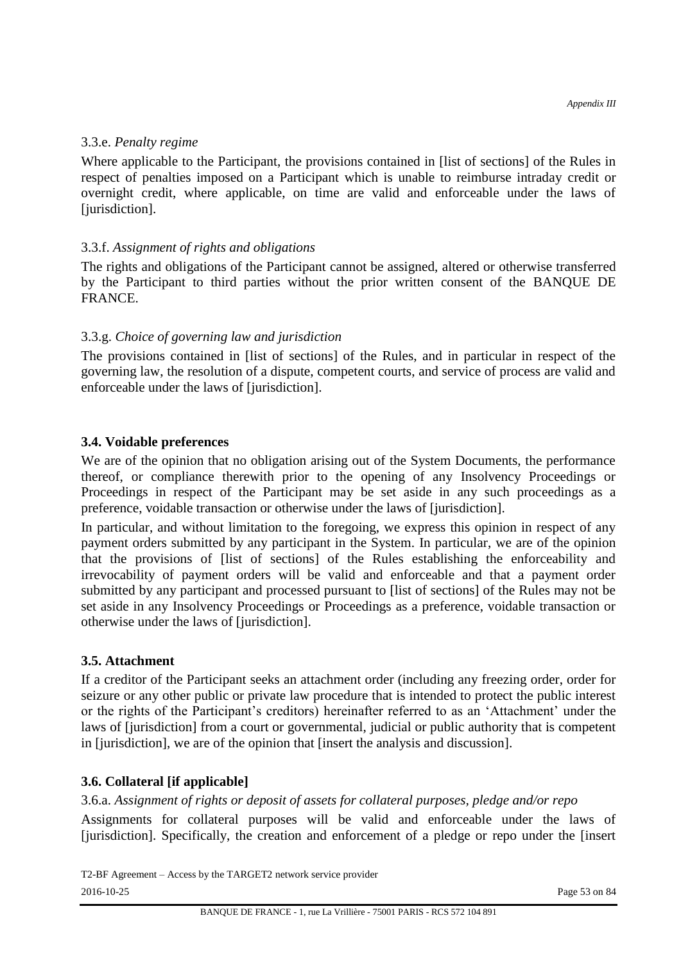#### 3.3.e. *Penalty regime*

Where applicable to the Participant, the provisions contained in [list of sections] of the Rules in respect of penalties imposed on a Participant which is unable to reimburse intraday credit or overnight credit, where applicable, on time are valid and enforceable under the laws of [jurisdiction].

## 3.3.f. *Assignment of rights and obligations*

The rights and obligations of the Participant cannot be assigned, altered or otherwise transferred by the Participant to third parties without the prior written consent of the BANQUE DE FRANCE.

# 3.3.g. *Choice of governing law and jurisdiction*

The provisions contained in [list of sections] of the Rules, and in particular in respect of the governing law, the resolution of a dispute, competent courts, and service of process are valid and enforceable under the laws of [jurisdiction].

## **3.4. Voidable preferences**

We are of the opinion that no obligation arising out of the System Documents, the performance thereof, or compliance therewith prior to the opening of any Insolvency Proceedings or Proceedings in respect of the Participant may be set aside in any such proceedings as a preference, voidable transaction or otherwise under the laws of [jurisdiction].

In particular, and without limitation to the foregoing, we express this opinion in respect of any payment orders submitted by any participant in the System. In particular, we are of the opinion that the provisions of [list of sections] of the Rules establishing the enforceability and irrevocability of payment orders will be valid and enforceable and that a payment order submitted by any participant and processed pursuant to [list of sections] of the Rules may not be set aside in any Insolvency Proceedings or Proceedings as a preference, voidable transaction or otherwise under the laws of [jurisdiction].

# **3.5. Attachment**

If a creditor of the Participant seeks an attachment order (including any freezing order, order for seizure or any other public or private law procedure that is intended to protect the public interest or the rights of the Participant's creditors) hereinafter referred to as an 'Attachment' under the laws of [jurisdiction] from a court or governmental, judicial or public authority that is competent in [jurisdiction], we are of the opinion that [insert the analysis and discussion].

## **3.6. Collateral [if applicable]**

3.6.a. *Assignment of rights or deposit of assets for collateral purposes, pledge and/or repo* 

Assignments for collateral purposes will be valid and enforceable under the laws of [jurisdiction]. Specifically, the creation and enforcement of a pledge or repo under the [insert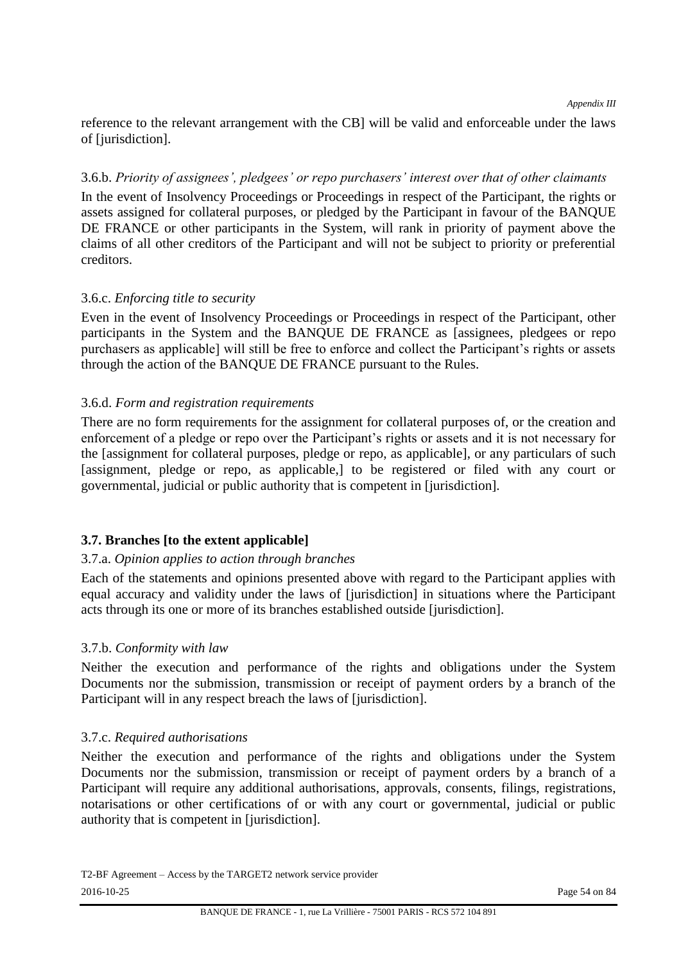reference to the relevant arrangement with the CB] will be valid and enforceable under the laws of [jurisdiction].

#### 3.6.b. *Priority of assignees', pledgees' or repo purchasers' interest over that of other claimants*

In the event of Insolvency Proceedings or Proceedings in respect of the Participant, the rights or assets assigned for collateral purposes, or pledged by the Participant in favour of the BANQUE DE FRANCE or other participants in the System, will rank in priority of payment above the claims of all other creditors of the Participant and will not be subject to priority or preferential creditors.

## 3.6.c. *Enforcing title to security*

Even in the event of Insolvency Proceedings or Proceedings in respect of the Participant, other participants in the System and the BANQUE DE FRANCE as [assignees, pledgees or repo purchasers as applicable] will still be free to enforce and collect the Participant's rights or assets through the action of the BANQUE DE FRANCE pursuant to the Rules.

## 3.6.d. *Form and registration requirements*

There are no form requirements for the assignment for collateral purposes of, or the creation and enforcement of a pledge or repo over the Participant's rights or assets and it is not necessary for the [assignment for collateral purposes, pledge or repo, as applicable], or any particulars of such [assignment, pledge or repo, as applicable,] to be registered or filed with any court or governmental, judicial or public authority that is competent in [jurisdiction].

## **3.7. Branches [to the extent applicable]**

#### 3.7.a. *Opinion applies to action through branches*

Each of the statements and opinions presented above with regard to the Participant applies with equal accuracy and validity under the laws of [jurisdiction] in situations where the Participant acts through its one or more of its branches established outside [jurisdiction].

#### 3.7.b. *Conformity with law*

Neither the execution and performance of the rights and obligations under the System Documents nor the submission, transmission or receipt of payment orders by a branch of the Participant will in any respect breach the laws of [jurisdiction].

#### 3.7.c. *Required authorisations*

Neither the execution and performance of the rights and obligations under the System Documents nor the submission, transmission or receipt of payment orders by a branch of a Participant will require any additional authorisations, approvals, consents, filings, registrations, notarisations or other certifications of or with any court or governmental, judicial or public authority that is competent in [jurisdiction].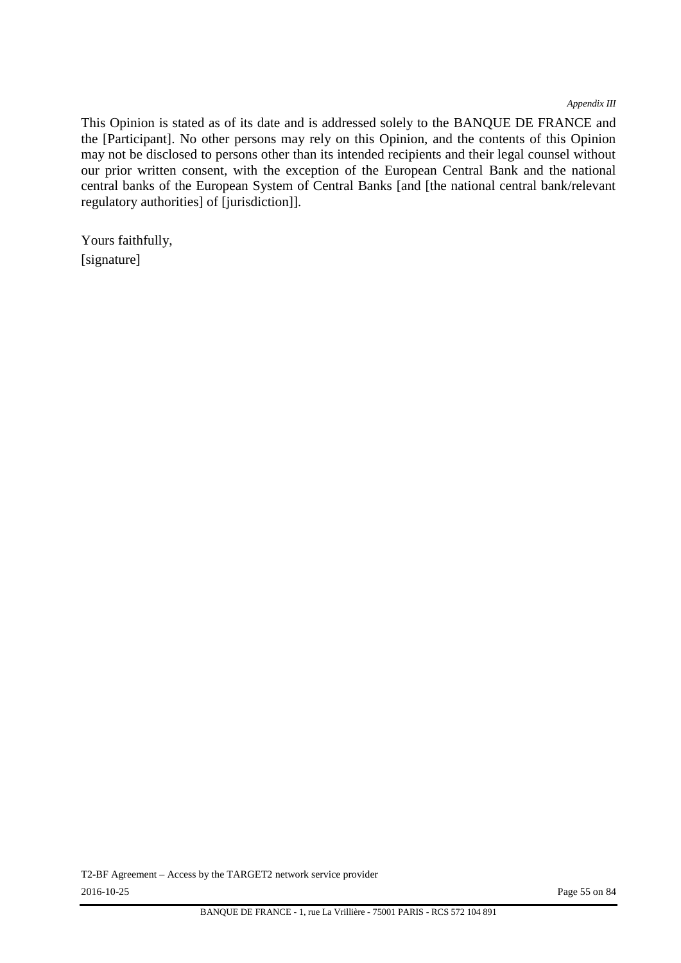*Appendix III*

This Opinion is stated as of its date and is addressed solely to the BANQUE DE FRANCE and the [Participant]. No other persons may rely on this Opinion, and the contents of this Opinion may not be disclosed to persons other than its intended recipients and their legal counsel without our prior written consent, with the exception of the European Central Bank and the national central banks of the European System of Central Banks [and [the national central bank/relevant regulatory authorities] of [jurisdiction]].

Yours faithfully, [signature]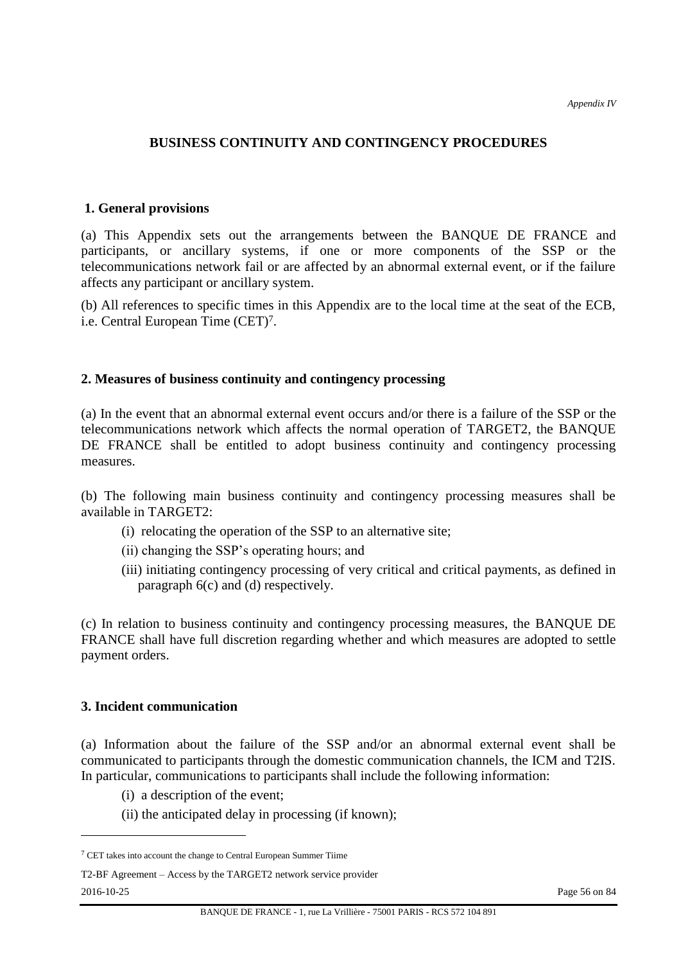#### **BUSINESS CONTINUITY AND CONTINGENCY PROCEDURES**

#### **1. General provisions**

(a) This Appendix sets out the arrangements between the BANQUE DE FRANCE and participants, or ancillary systems, if one or more components of the SSP or the telecommunications network fail or are affected by an abnormal external event, or if the failure affects any participant or ancillary system.

(b) All references to specific times in this Appendix are to the local time at the seat of the ECB, i.e. Central European Time (CET) 7 .

#### **2. Measures of business continuity and contingency processing**

(a) In the event that an abnormal external event occurs and/or there is a failure of the SSP or the telecommunications network which affects the normal operation of TARGET2, the BANQUE DE FRANCE shall be entitled to adopt business continuity and contingency processing measures.

(b) The following main business continuity and contingency processing measures shall be available in TARGET2:

- (i) relocating the operation of the SSP to an alternative site;
- (ii) changing the SSP's operating hours; and
- (iii) initiating contingency processing of very critical and critical payments, as defined in paragraph 6(c) and (d) respectively.

(c) In relation to business continuity and contingency processing measures, the BANQUE DE FRANCE shall have full discretion regarding whether and which measures are adopted to settle payment orders.

#### **3. Incident communication**

 $\overline{a}$ 

(a) Information about the failure of the SSP and/or an abnormal external event shall be communicated to participants through the domestic communication channels, the ICM and T2IS. In particular, communications to participants shall include the following information:

- (i) a description of the event;
- (ii) the anticipated delay in processing (if known);

<sup>7</sup> CET takes into account the change to Central European Summer Tiime

T2-BF Agreement – Access by the TARGET2 network service provider 2016-10-25 Page 56 on 84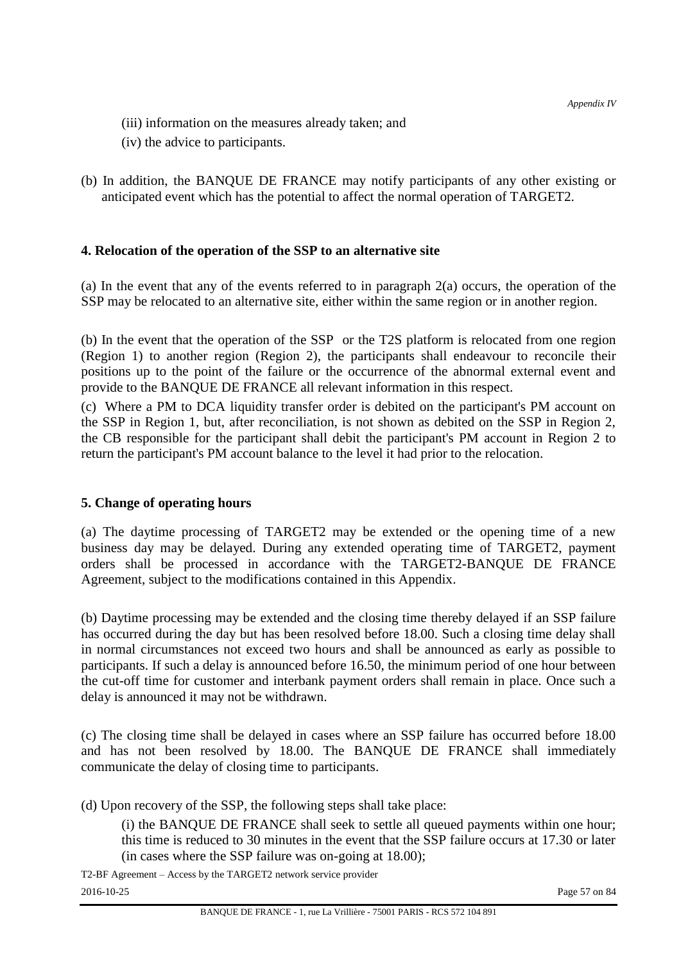- (iii) information on the measures already taken; and
- (iv) the advice to participants.
- (b) In addition, the BANQUE DE FRANCE may notify participants of any other existing or anticipated event which has the potential to affect the normal operation of TARGET2.

## **4. Relocation of the operation of the SSP to an alternative site**

(a) In the event that any of the events referred to in paragraph 2(a) occurs, the operation of the SSP may be relocated to an alternative site, either within the same region or in another region.

(b) In the event that the operation of the SSP or the T2S platform is relocated from one region (Region 1) to another region (Region 2), the participants shall endeavour to reconcile their positions up to the point of the failure or the occurrence of the abnormal external event and provide to the BANQUE DE FRANCE all relevant information in this respect.

(c) Where a PM to DCA liquidity transfer order is debited on the participant's PM account on the SSP in Region 1, but, after reconciliation, is not shown as debited on the SSP in Region 2, the CB responsible for the participant shall debit the participant's PM account in Region 2 to return the participant's PM account balance to the level it had prior to the relocation.

#### **5. Change of operating hours**

(a) The daytime processing of TARGET2 may be extended or the opening time of a new business day may be delayed. During any extended operating time of TARGET2, payment orders shall be processed in accordance with the TARGET2-BANQUE DE FRANCE Agreement, subject to the modifications contained in this Appendix.

(b) Daytime processing may be extended and the closing time thereby delayed if an SSP failure has occurred during the day but has been resolved before 18.00. Such a closing time delay shall in normal circumstances not exceed two hours and shall be announced as early as possible to participants. If such a delay is announced before 16.50, the minimum period of one hour between the cut-off time for customer and interbank payment orders shall remain in place. Once such a delay is announced it may not be withdrawn.

(c) The closing time shall be delayed in cases where an SSP failure has occurred before 18.00 and has not been resolved by 18.00. The BANQUE DE FRANCE shall immediately communicate the delay of closing time to participants.

(d) Upon recovery of the SSP, the following steps shall take place:

(i) the BANQUE DE FRANCE shall seek to settle all queued payments within one hour; this time is reduced to 30 minutes in the event that the SSP failure occurs at 17.30 or later (in cases where the SSP failure was on-going at 18.00);

T2-BF Agreement – Access by the TARGET2 network service provider 2016-10-25 Page 57 on 84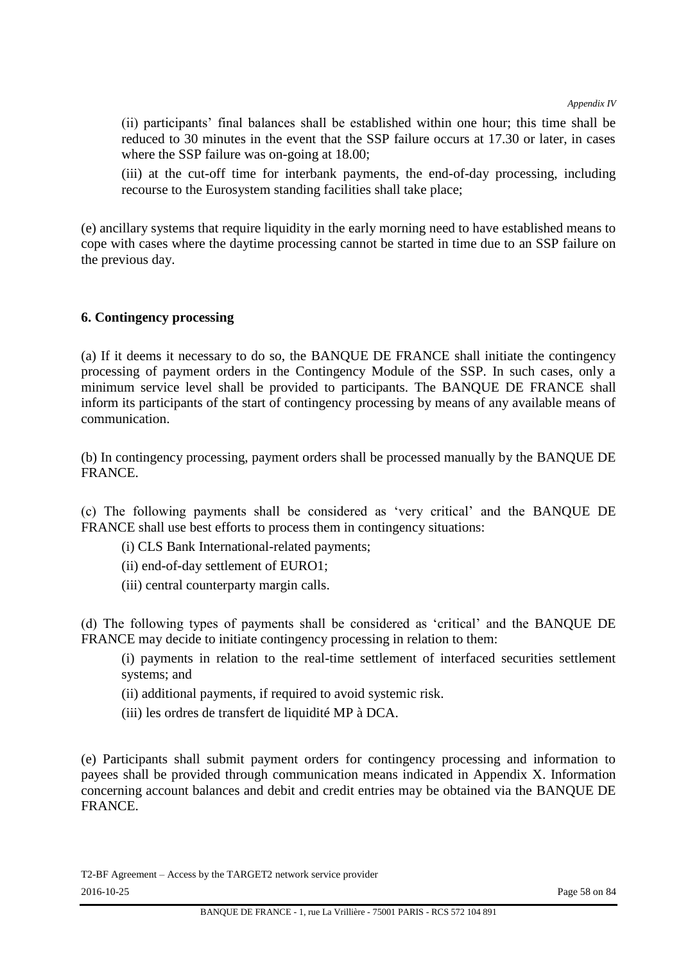(ii) participants' final balances shall be established within one hour; this time shall be reduced to 30 minutes in the event that the SSP failure occurs at 17.30 or later, in cases where the SSP failure was on-going at 18.00;

(iii) at the cut-off time for interbank payments, the end-of-day processing, including recourse to the Eurosystem standing facilities shall take place;

(e) ancillary systems that require liquidity in the early morning need to have established means to cope with cases where the daytime processing cannot be started in time due to an SSP failure on the previous day.

#### **6. Contingency processing**

(a) If it deems it necessary to do so, the BANQUE DE FRANCE shall initiate the contingency processing of payment orders in the Contingency Module of the SSP. In such cases, only a minimum service level shall be provided to participants. The BANQUE DE FRANCE shall inform its participants of the start of contingency processing by means of any available means of communication.

(b) In contingency processing, payment orders shall be processed manually by the BANQUE DE FRANCE.

(c) The following payments shall be considered as 'very critical' and the BANQUE DE FRANCE shall use best efforts to process them in contingency situations:

- (i) CLS Bank International-related payments;
- (ii) end-of-day settlement of EURO1;
- (iii) central counterparty margin calls.

(d) The following types of payments shall be considered as 'critical' and the BANQUE DE FRANCE may decide to initiate contingency processing in relation to them:

(i) payments in relation to the real-time settlement of interfaced securities settlement systems; and

(ii) additional payments, if required to avoid systemic risk.

(iii) les ordres de transfert de liquidité MP à DCA.

(e) Participants shall submit payment orders for contingency processing and information to payees shall be provided through communication means indicated in Appendix X. Information concerning account balances and debit and credit entries may be obtained via the BANQUE DE FRANCE.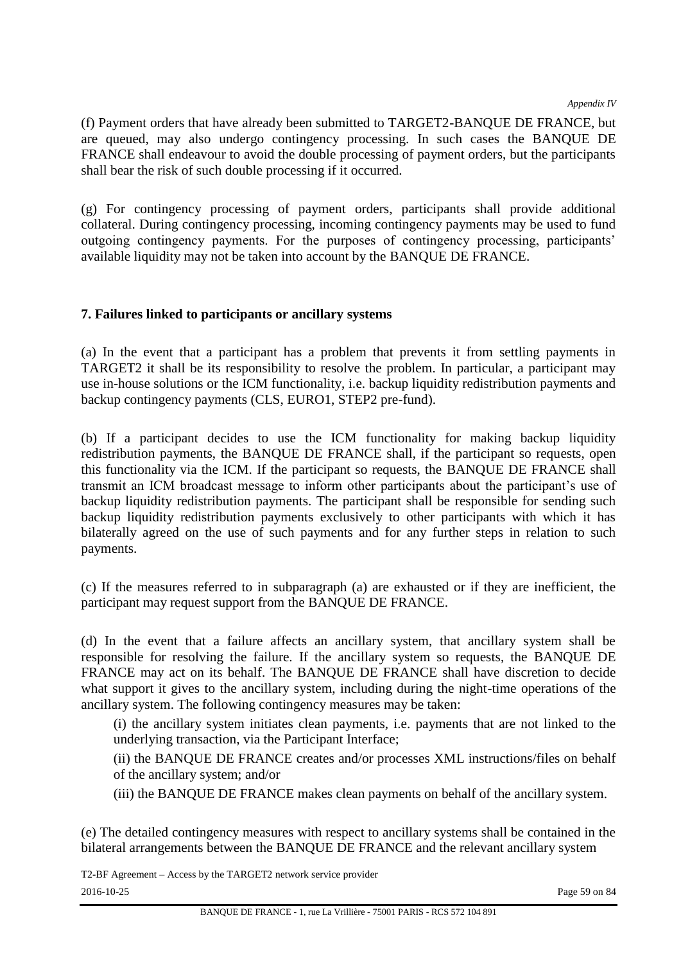*Appendix IV*

(f) Payment orders that have already been submitted to TARGET2-BANQUE DE FRANCE, but are queued, may also undergo contingency processing. In such cases the BANQUE DE FRANCE shall endeavour to avoid the double processing of payment orders, but the participants shall bear the risk of such double processing if it occurred.

(g) For contingency processing of payment orders, participants shall provide additional collateral. During contingency processing, incoming contingency payments may be used to fund outgoing contingency payments. For the purposes of contingency processing, participants' available liquidity may not be taken into account by the BANQUE DE FRANCE.

# **7. Failures linked to participants or ancillary systems**

(a) In the event that a participant has a problem that prevents it from settling payments in TARGET2 it shall be its responsibility to resolve the problem. In particular, a participant may use in-house solutions or the ICM functionality, i.e. backup liquidity redistribution payments and backup contingency payments (CLS, EURO1, STEP2 pre-fund).

(b) If a participant decides to use the ICM functionality for making backup liquidity redistribution payments, the BANQUE DE FRANCE shall, if the participant so requests, open this functionality via the ICM. If the participant so requests, the BANQUE DE FRANCE shall transmit an ICM broadcast message to inform other participants about the participant's use of backup liquidity redistribution payments. The participant shall be responsible for sending such backup liquidity redistribution payments exclusively to other participants with which it has bilaterally agreed on the use of such payments and for any further steps in relation to such payments.

(c) If the measures referred to in subparagraph (a) are exhausted or if they are inefficient, the participant may request support from the BANQUE DE FRANCE.

(d) In the event that a failure affects an ancillary system, that ancillary system shall be responsible for resolving the failure. If the ancillary system so requests, the BANQUE DE FRANCE may act on its behalf. The BANQUE DE FRANCE shall have discretion to decide what support it gives to the ancillary system, including during the night-time operations of the ancillary system. The following contingency measures may be taken:

(i) the ancillary system initiates clean payments, i.e. payments that are not linked to the underlying transaction, via the Participant Interface;

(ii) the BANQUE DE FRANCE creates and/or processes XML instructions/files on behalf of the ancillary system; and/or

(iii) the BANQUE DE FRANCE makes clean payments on behalf of the ancillary system.

(e) The detailed contingency measures with respect to ancillary systems shall be contained in the bilateral arrangements between the BANQUE DE FRANCE and the relevant ancillary system

T2-BF Agreement – Access by the TARGET2 network service provider 2016-10-25 Page 59 on 84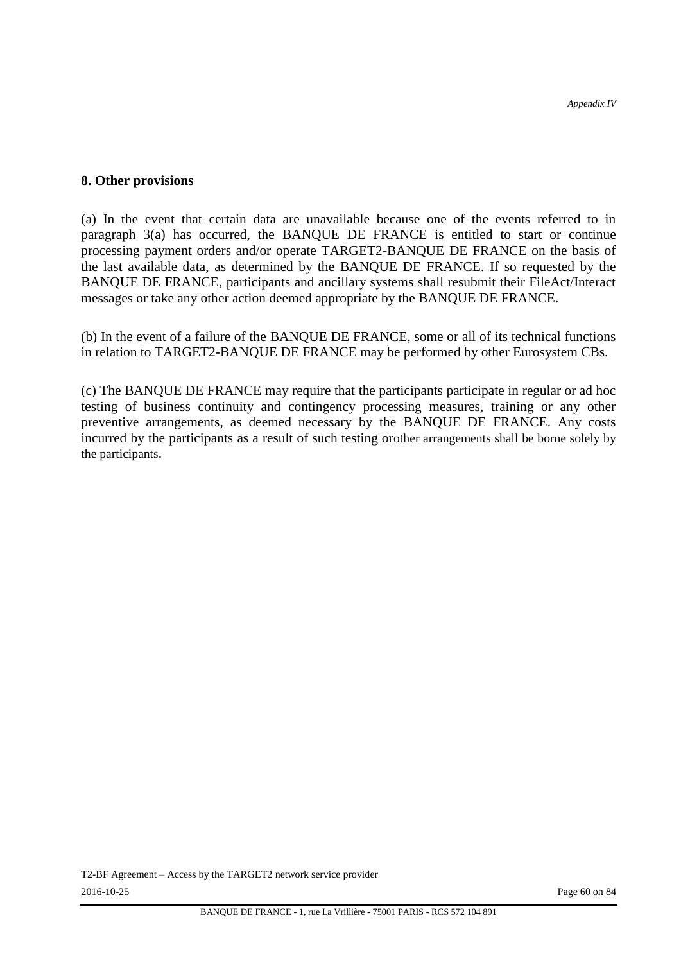#### **8. Other provisions**

(a) In the event that certain data are unavailable because one of the events referred to in paragraph 3(a) has occurred, the BANQUE DE FRANCE is entitled to start or continue processing payment orders and/or operate TARGET2-BANQUE DE FRANCE on the basis of the last available data, as determined by the BANQUE DE FRANCE. If so requested by the BANQUE DE FRANCE, participants and ancillary systems shall resubmit their FileAct/Interact messages or take any other action deemed appropriate by the BANQUE DE FRANCE.

(b) In the event of a failure of the BANQUE DE FRANCE, some or all of its technical functions in relation to TARGET2-BANQUE DE FRANCE may be performed by other Eurosystem CBs.

(c) The BANQUE DE FRANCE may require that the participants participate in regular or ad hoc testing of business continuity and contingency processing measures, training or any other preventive arrangements, as deemed necessary by the BANQUE DE FRANCE. Any costs incurred by the participants as a result of such testing orother arrangements shall be borne solely by the participants.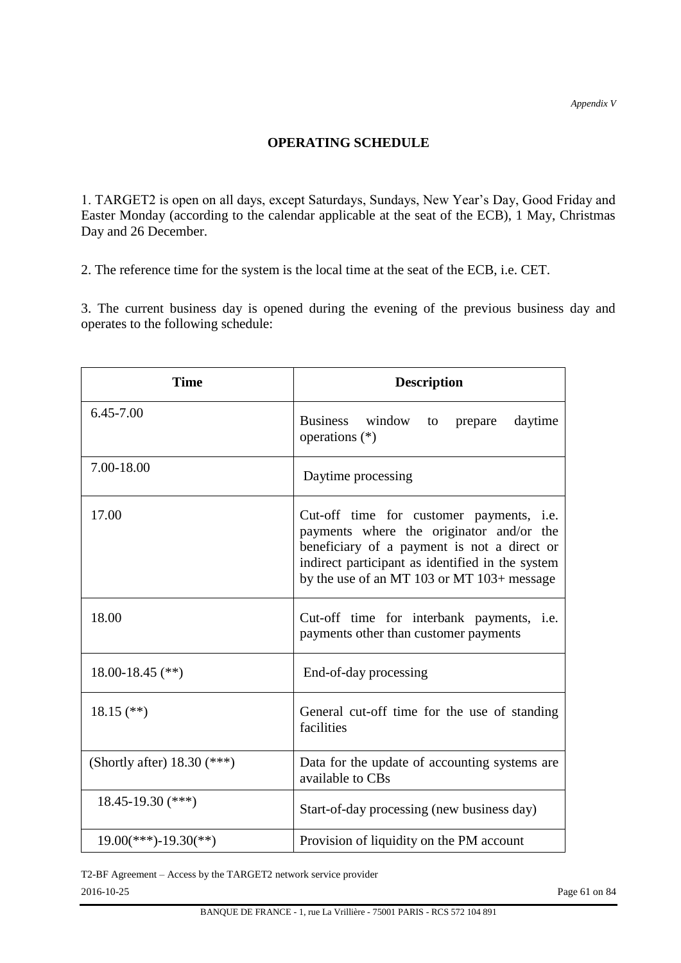## **OPERATING SCHEDULE**

1. TARGET2 is open on all days, except Saturdays, Sundays, New Year's Day, Good Friday and Easter Monday (according to the calendar applicable at the seat of the ECB), 1 May, Christmas Day and 26 December.

2. The reference time for the system is the local time at the seat of the ECB, i.e. CET.

3. The current business day is opened during the evening of the previous business day and operates to the following schedule:

| <b>Time</b>                   | <b>Description</b>                                                                                                                                                                                                                    |  |  |  |  |  |
|-------------------------------|---------------------------------------------------------------------------------------------------------------------------------------------------------------------------------------------------------------------------------------|--|--|--|--|--|
| 6.45-7.00                     | <b>Business</b><br>window<br>daytime<br>to<br>prepare<br>operations $(*)$                                                                                                                                                             |  |  |  |  |  |
| 7.00-18.00                    | Daytime processing                                                                                                                                                                                                                    |  |  |  |  |  |
| 17.00                         | Cut-off time for customer payments, i.e.<br>payments where the originator and/or the<br>beneficiary of a payment is not a direct or<br>indirect participant as identified in the system<br>by the use of an MT 103 or MT 103+ message |  |  |  |  |  |
| 18.00                         | Cut-off time for interbank payments, i.e.<br>payments other than customer payments                                                                                                                                                    |  |  |  |  |  |
| 18.00-18.45 $(**)$            | End-of-day processing                                                                                                                                                                                                                 |  |  |  |  |  |
| $18.15$ (**)                  | General cut-off time for the use of standing<br>facilities                                                                                                                                                                            |  |  |  |  |  |
| (Shortly after) $18.30$ (***) | Data for the update of accounting systems are<br>available to CBs                                                                                                                                                                     |  |  |  |  |  |
| $18.45 - 19.30$ (***)         | Start-of-day processing (new business day)                                                                                                                                                                                            |  |  |  |  |  |
| $19.00$ (***)-19.30(**)       | Provision of liquidity on the PM account                                                                                                                                                                                              |  |  |  |  |  |

T2-BF Agreement – Access by the TARGET2 network service provider 2016-10-25 Page 61 on 84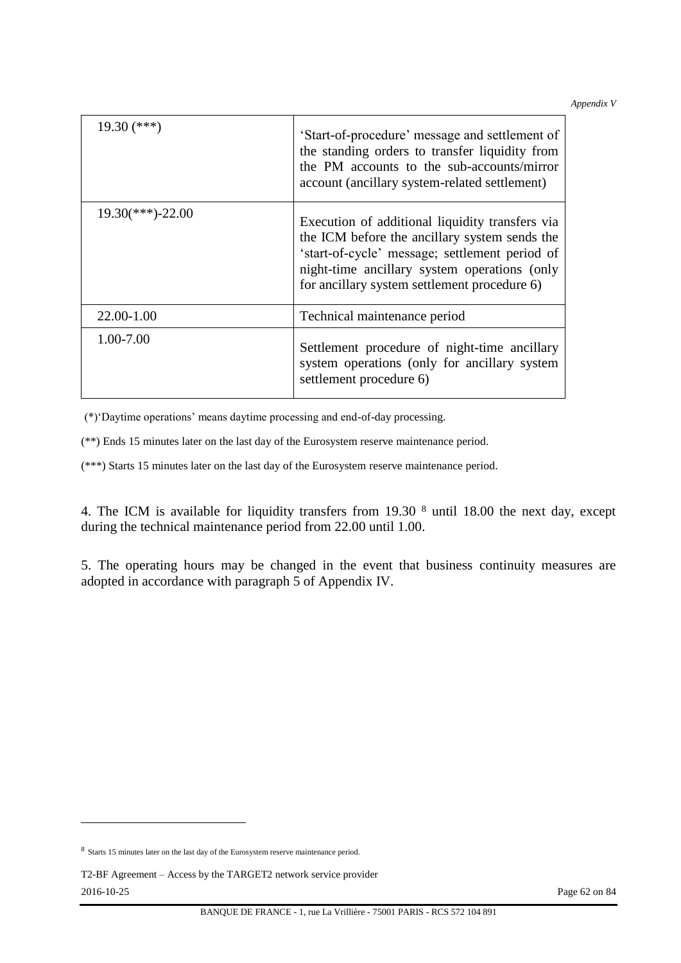*Appendix V*

| $19.30$ (***)       | 'Start-of-procedure' message and settlement of<br>the standing orders to transfer liquidity from<br>the PM accounts to the sub-accounts/mirror<br>account (ancillary system-related settlement)                                                    |
|---------------------|----------------------------------------------------------------------------------------------------------------------------------------------------------------------------------------------------------------------------------------------------|
| $19.30$ (***)-22.00 | Execution of additional liquidity transfers via<br>the ICM before the ancillary system sends the<br>'start-of-cycle' message; settlement period of<br>night-time ancillary system operations (only<br>for ancillary system settlement procedure 6) |
| 22.00-1.00          | Technical maintenance period                                                                                                                                                                                                                       |
| 1.00-7.00           | Settlement procedure of night-time ancillary<br>system operations (only for ancillary system<br>settlement procedure 6)                                                                                                                            |

(\*)'Daytime operations' means daytime processing and end-of-day processing.

(\*\*) Ends 15 minutes later on the last day of the Eurosystem reserve maintenance period.

(\*\*\*) Starts 15 minutes later on the last day of the Eurosystem reserve maintenance period.

4. The ICM is available for liquidity transfers from 19.30 <sup>8</sup> until 18.00 the next day, except during the technical maintenance period from 22.00 until 1.00.

5. The operating hours may be changed in the event that business continuity measures are adopted in accordance with paragraph 5 of Appendix IV.

l

<sup>&</sup>lt;sup>8</sup> Starts 15 minutes later on the last day of the Eurosystem reserve maintenance period.

T2-BF Agreement – Access by the TARGET2 network service provider 2016-10-25 Page 62 on 84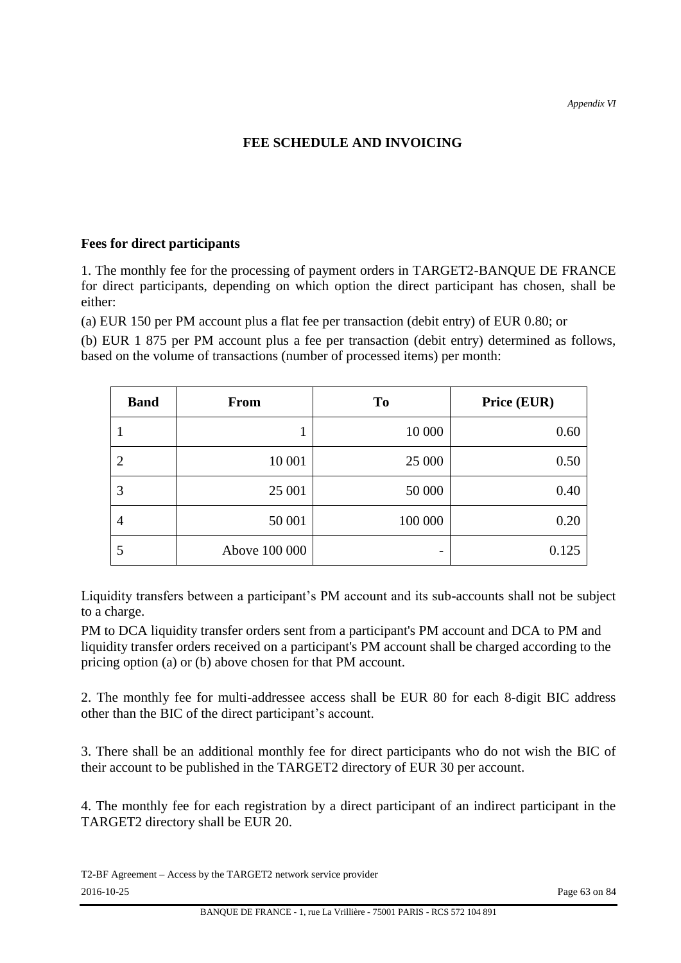# **FEE SCHEDULE AND INVOICING**

## **Fees for direct participants**

1. The monthly fee for the processing of payment orders in TARGET2-BANQUE DE FRANCE for direct participants, depending on which option the direct participant has chosen, shall be either:

(a) EUR 150 per PM account plus a flat fee per transaction (debit entry) of EUR 0.80; or

(b) EUR 1 875 per PM account plus a fee per transaction (debit entry) determined as follows, based on the volume of transactions (number of processed items) per month:

| <b>Band</b>    | <b>From</b>   | T <sub>o</sub> | Price (EUR) |
|----------------|---------------|----------------|-------------|
|                | л.            | 10 000         | 0.60        |
| $\overline{2}$ | 10 001        | 25 000         | 0.50        |
| 3              | 25 001        | 50 000         | 0.40        |
| $\overline{4}$ | 50 001        | 100 000        | 0.20        |
| 5              | Above 100 000 |                | 0.125       |

Liquidity transfers between a participant's PM account and its sub-accounts shall not be subject to a charge.

PM to DCA liquidity transfer orders sent from a participant's PM account and DCA to PM and liquidity transfer orders received on a participant's PM account shall be charged according to the pricing option (a) or (b) above chosen for that PM account.

2. The monthly fee for multi-addressee access shall be EUR 80 for each 8-digit BIC address other than the BIC of the direct participant's account.

3. There shall be an additional monthly fee for direct participants who do not wish the BIC of their account to be published in the TARGET2 directory of EUR 30 per account.

4. The monthly fee for each registration by a direct participant of an indirect participant in the TARGET2 directory shall be EUR 20.

T2-BF Agreement – Access by the TARGET2 network service provider 2016-10-25 Page 63 on 84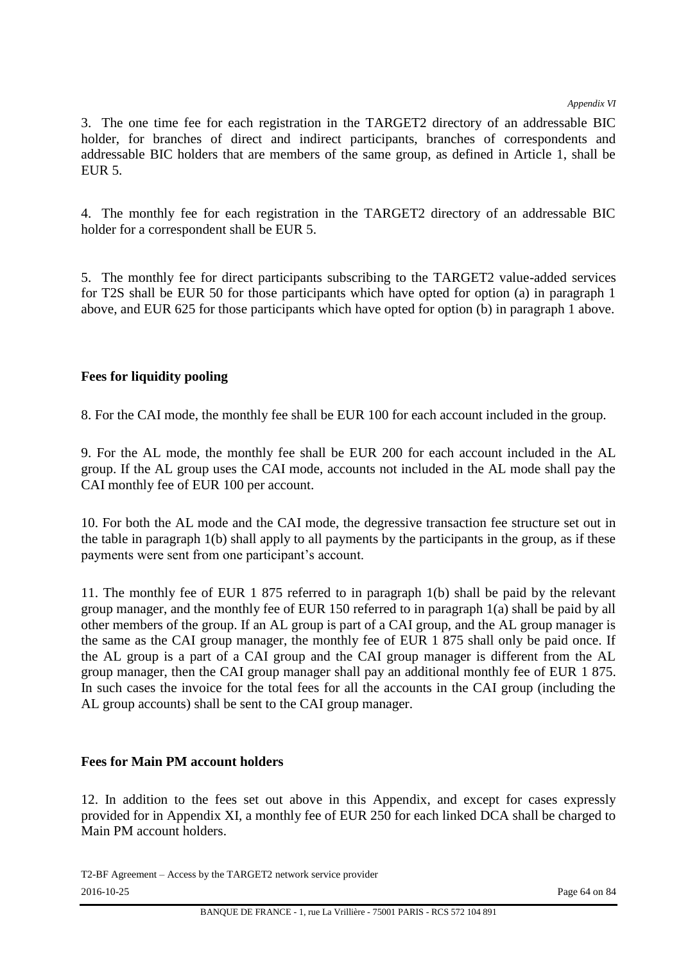*Appendix VI*

3. The one time fee for each registration in the TARGET2 directory of an addressable BIC holder, for branches of direct and indirect participants, branches of correspondents and addressable BIC holders that are members of the same group, as defined in Article 1, shall be EUR 5.

4. The monthly fee for each registration in the TARGET2 directory of an addressable BIC holder for a correspondent shall be EUR 5.

5. The monthly fee for direct participants subscribing to the TARGET2 value-added services for T2S shall be EUR 50 for those participants which have opted for option (a) in paragraph 1 above, and EUR 625 for those participants which have opted for option (b) in paragraph 1 above.

# **Fees for liquidity pooling**

8. For the CAI mode, the monthly fee shall be EUR 100 for each account included in the group.

9. For the AL mode, the monthly fee shall be EUR 200 for each account included in the AL group. If the AL group uses the CAI mode, accounts not included in the AL mode shall pay the CAI monthly fee of EUR 100 per account.

10. For both the AL mode and the CAI mode, the degressive transaction fee structure set out in the table in paragraph 1(b) shall apply to all payments by the participants in the group, as if these payments were sent from one participant's account.

11. The monthly fee of EUR 1 875 referred to in paragraph 1(b) shall be paid by the relevant group manager, and the monthly fee of EUR 150 referred to in paragraph 1(a) shall be paid by all other members of the group. If an AL group is part of a CAI group, and the AL group manager is the same as the CAI group manager, the monthly fee of EUR 1 875 shall only be paid once. If the AL group is a part of a CAI group and the CAI group manager is different from the AL group manager, then the CAI group manager shall pay an additional monthly fee of EUR 1 875. In such cases the invoice for the total fees for all the accounts in the CAI group (including the AL group accounts) shall be sent to the CAI group manager.

## **Fees for Main PM account holders**

12. In addition to the fees set out above in this Appendix, and except for cases expressly provided for in Appendix XI, a monthly fee of EUR 250 for each linked DCA shall be charged to Main PM account holders.

T2-BF Agreement – Access by the TARGET2 network service provider 2016-10-25 Page 64 on 84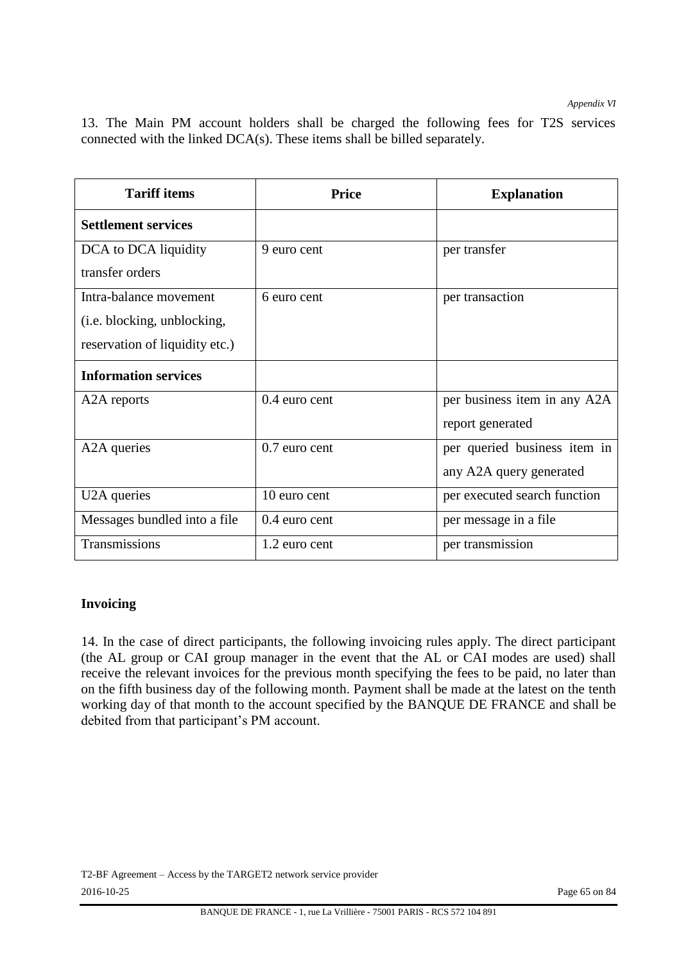*Appendix VI*

|  |  |  |  |  | 13. The Main PM account holders shall be charged the following fees for T2S services |  |  |
|--|--|--|--|--|--------------------------------------------------------------------------------------|--|--|
|  |  |  |  |  | connected with the linked $DCA(s)$ . These items shall be billed separately.         |  |  |

| <b>Tariff items</b>            | Price           | <b>Explanation</b>           |  |  |  |
|--------------------------------|-----------------|------------------------------|--|--|--|
| <b>Settlement services</b>     |                 |                              |  |  |  |
| DCA to DCA liquidity           | 9 euro cent     | per transfer                 |  |  |  |
| transfer orders                |                 |                              |  |  |  |
| Intra-balance movement         | 6 euro cent     | per transaction              |  |  |  |
| (i.e. blocking, unblocking,    |                 |                              |  |  |  |
| reservation of liquidity etc.) |                 |                              |  |  |  |
| <b>Information services</b>    |                 |                              |  |  |  |
| A <sub>2</sub> A reports       | $0.4$ euro cent | per business item in any A2A |  |  |  |
|                                |                 | report generated             |  |  |  |
| A <sub>2</sub> A queries       | 0.7 euro cent   | per queried business item in |  |  |  |
|                                |                 | any A2A query generated      |  |  |  |
| U2A queries                    | 10 euro cent    | per executed search function |  |  |  |
| Messages bundled into a file   | $0.4$ euro cent | per message in a file        |  |  |  |
| Transmissions                  | 1.2 euro cent   | per transmission             |  |  |  |

#### **Invoicing**

14. In the case of direct participants, the following invoicing rules apply. The direct participant (the AL group or CAI group manager in the event that the AL or CAI modes are used) shall receive the relevant invoices for the previous month specifying the fees to be paid, no later than on the fifth business day of the following month. Payment shall be made at the latest on the tenth working day of that month to the account specified by the BANQUE DE FRANCE and shall be debited from that participant's PM account.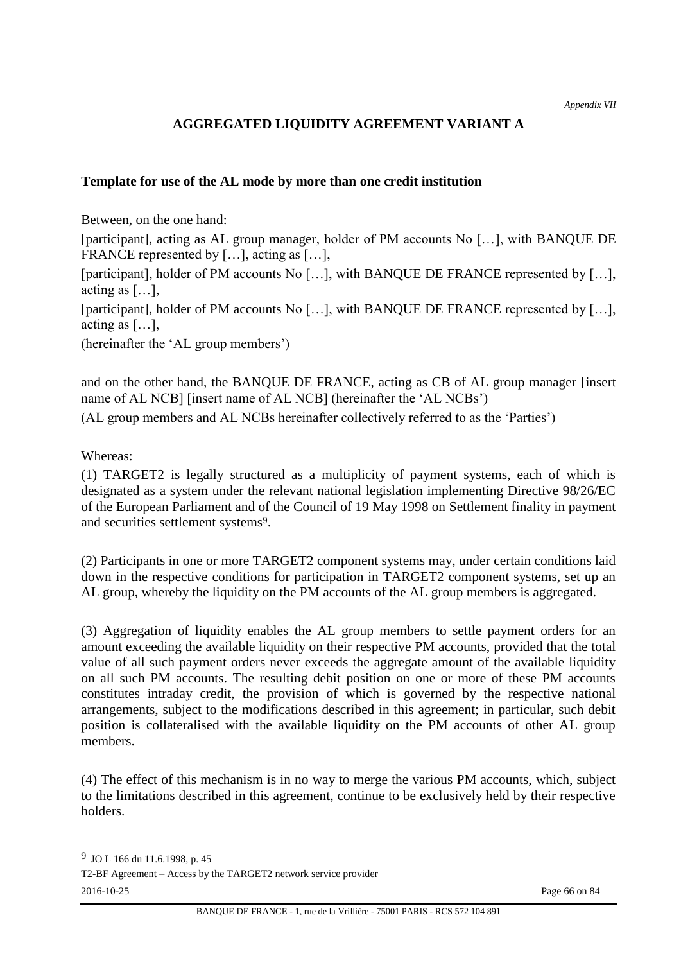# **AGGREGATED LIQUIDITY AGREEMENT VARIANT A**

#### **Template for use of the AL mode by more than one credit institution**

Between, on the one hand:

[participant], acting as AL group manager, holder of PM accounts No […], with BANQUE DE FRANCE represented by [...], acting as [...],

[participant], holder of PM accounts No [...], with BANQUE DE FRANCE represented by [...], acting as  $[\dots]$ ,

[participant], holder of PM accounts No [...], with BANQUE DE FRANCE represented by [...], acting as […],

(hereinafter the 'AL group members')

and on the other hand, the BANQUE DE FRANCE, acting as CB of AL group manager [insert name of AL NCB] [insert name of AL NCB] (hereinafter the 'AL NCBs') (AL group members and AL NCBs hereinafter collectively referred to as the 'Parties')

Whereas:

(1) TARGET2 is legally structured as a multiplicity of payment systems, each of which is designated as a system under the relevant national legislation implementing Directive 98/26/EC of the European Parliament and of the Council of 19 May 1998 on Settlement finality in payment and securities settlement systems9.

(2) Participants in one or more TARGET2 component systems may, under certain conditions laid down in the respective conditions for participation in TARGET2 component systems, set up an AL group, whereby the liquidity on the PM accounts of the AL group members is aggregated.

(3) Aggregation of liquidity enables the AL group members to settle payment orders for an amount exceeding the available liquidity on their respective PM accounts, provided that the total value of all such payment orders never exceeds the aggregate amount of the available liquidity on all such PM accounts. The resulting debit position on one or more of these PM accounts constitutes intraday credit, the provision of which is governed by the respective national arrangements, subject to the modifications described in this agreement; in particular, such debit position is collateralised with the available liquidity on the PM accounts of other AL group members.

(4) The effect of this mechanism is in no way to merge the various PM accounts, which, subject to the limitations described in this agreement, continue to be exclusively held by their respective holders.

T2-BF Agreement – Access by the TARGET2 network service provider

l

2016-10-25 Page 66 on 84

<sup>9</sup> JO L 166 du 11.6.1998, p. 45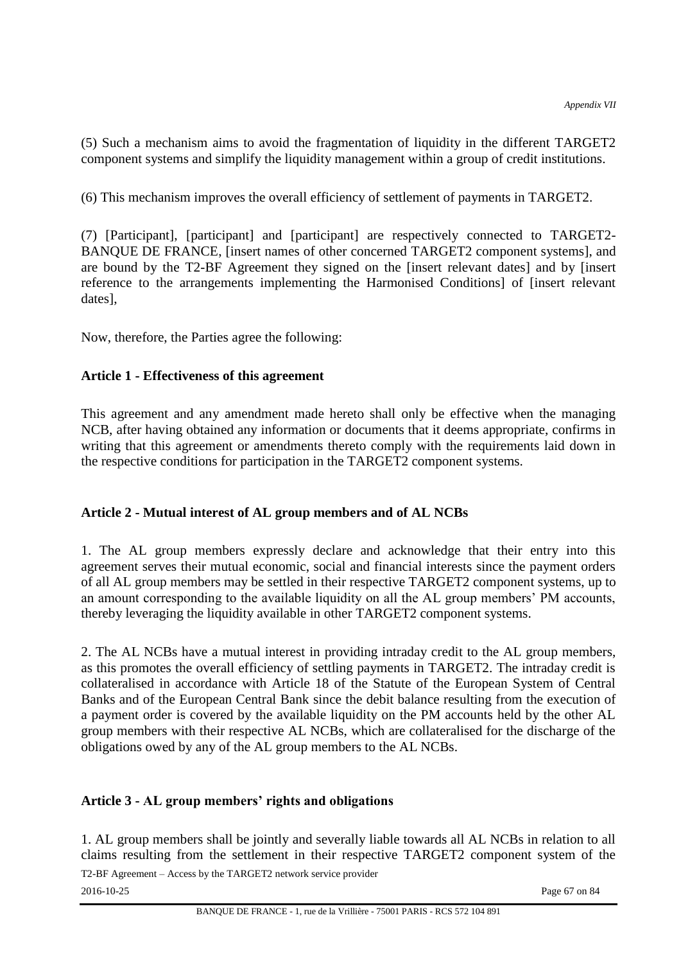(5) Such a mechanism aims to avoid the fragmentation of liquidity in the different TARGET2 component systems and simplify the liquidity management within a group of credit institutions.

(6) This mechanism improves the overall efficiency of settlement of payments in TARGET2.

(7) [Participant], [participant] and [participant] are respectively connected to TARGET2- BANQUE DE FRANCE, [insert names of other concerned TARGET2 component systems], and are bound by the T2-BF Agreement they signed on the [insert relevant dates] and by [insert reference to the arrangements implementing the Harmonised Conditions] of [insert relevant dates],

Now, therefore, the Parties agree the following:

## **Article 1 - Effectiveness of this agreement**

This agreement and any amendment made hereto shall only be effective when the managing NCB, after having obtained any information or documents that it deems appropriate, confirms in writing that this agreement or amendments thereto comply with the requirements laid down in the respective conditions for participation in the TARGET2 component systems.

## **Article 2 - Mutual interest of AL group members and of AL NCBs**

1. The AL group members expressly declare and acknowledge that their entry into this agreement serves their mutual economic, social and financial interests since the payment orders of all AL group members may be settled in their respective TARGET2 component systems, up to an amount corresponding to the available liquidity on all the AL group members' PM accounts, thereby leveraging the liquidity available in other TARGET2 component systems.

2. The AL NCBs have a mutual interest in providing intraday credit to the AL group members, as this promotes the overall efficiency of settling payments in TARGET2. The intraday credit is collateralised in accordance with Article 18 of the Statute of the European System of Central Banks and of the European Central Bank since the debit balance resulting from the execution of a payment order is covered by the available liquidity on the PM accounts held by the other AL group members with their respective AL NCBs, which are collateralised for the discharge of the obligations owed by any of the AL group members to the AL NCBs.

## **Article 3 - AL group members' rights and obligations**

1. AL group members shall be jointly and severally liable towards all AL NCBs in relation to all claims resulting from the settlement in their respective TARGET2 component system of the

T2-BF Agreement – Access by the TARGET2 network service provider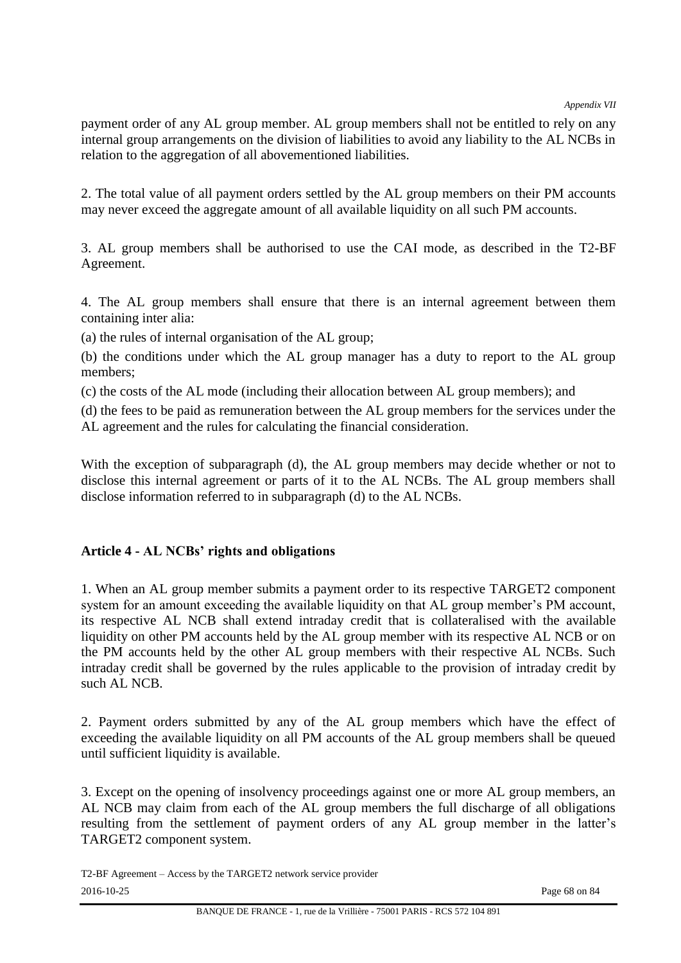payment order of any AL group member. AL group members shall not be entitled to rely on any internal group arrangements on the division of liabilities to avoid any liability to the AL NCBs in relation to the aggregation of all abovementioned liabilities.

2. The total value of all payment orders settled by the AL group members on their PM accounts may never exceed the aggregate amount of all available liquidity on all such PM accounts.

3. AL group members shall be authorised to use the CAI mode, as described in the T2-BF Agreement.

4. The AL group members shall ensure that there is an internal agreement between them containing inter alia:

(a) the rules of internal organisation of the AL group;

(b) the conditions under which the AL group manager has a duty to report to the AL group members;

(c) the costs of the AL mode (including their allocation between AL group members); and

(d) the fees to be paid as remuneration between the AL group members for the services under the AL agreement and the rules for calculating the financial consideration.

With the exception of subparagraph (d), the AL group members may decide whether or not to disclose this internal agreement or parts of it to the AL NCBs. The AL group members shall disclose information referred to in subparagraph (d) to the AL NCBs.

## **Article 4 - AL NCBs' rights and obligations**

1. When an AL group member submits a payment order to its respective TARGET2 component system for an amount exceeding the available liquidity on that AL group member's PM account, its respective AL NCB shall extend intraday credit that is collateralised with the available liquidity on other PM accounts held by the AL group member with its respective AL NCB or on the PM accounts held by the other AL group members with their respective AL NCBs. Such intraday credit shall be governed by the rules applicable to the provision of intraday credit by such AL NCB.

2. Payment orders submitted by any of the AL group members which have the effect of exceeding the available liquidity on all PM accounts of the AL group members shall be queued until sufficient liquidity is available.

3. Except on the opening of insolvency proceedings against one or more AL group members, an AL NCB may claim from each of the AL group members the full discharge of all obligations resulting from the settlement of payment orders of any AL group member in the latter's TARGET2 component system.

T2-BF Agreement – Access by the TARGET2 network service provider 2016-10-25 Page 68 on 84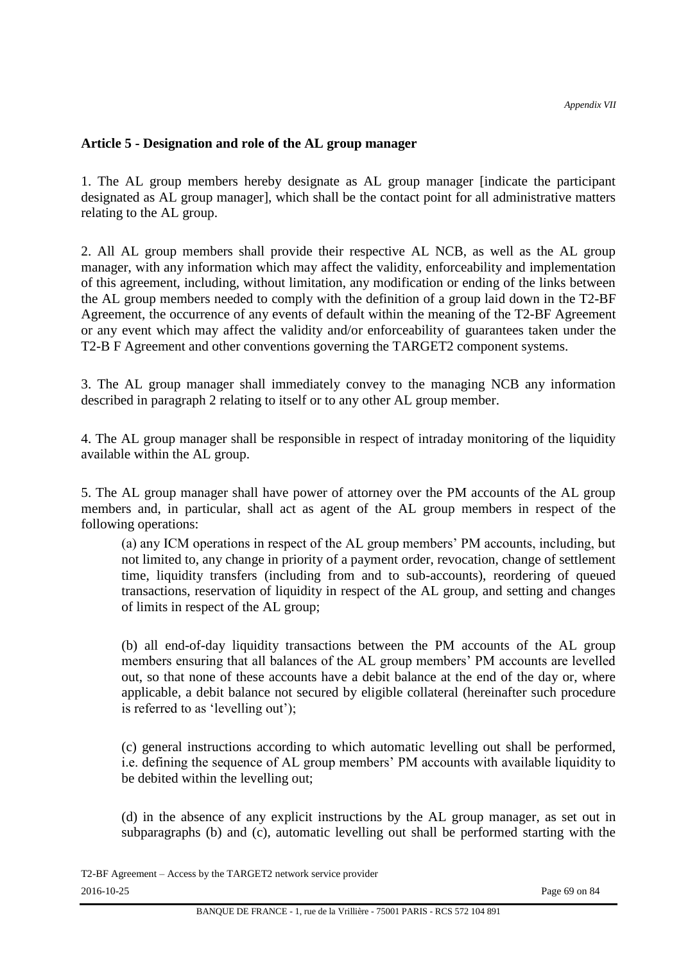#### **Article 5 - Designation and role of the AL group manager**

1. The AL group members hereby designate as AL group manager [indicate the participant designated as AL group manager], which shall be the contact point for all administrative matters relating to the AL group.

2. All AL group members shall provide their respective AL NCB, as well as the AL group manager, with any information which may affect the validity, enforceability and implementation of this agreement, including, without limitation, any modification or ending of the links between the AL group members needed to comply with the definition of a group laid down in the T2-BF Agreement, the occurrence of any events of default within the meaning of the T2-BF Agreement or any event which may affect the validity and/or enforceability of guarantees taken under the T2-B F Agreement and other conventions governing the TARGET2 component systems.

3. The AL group manager shall immediately convey to the managing NCB any information described in paragraph 2 relating to itself or to any other AL group member.

4. The AL group manager shall be responsible in respect of intraday monitoring of the liquidity available within the AL group.

5. The AL group manager shall have power of attorney over the PM accounts of the AL group members and, in particular, shall act as agent of the AL group members in respect of the following operations:

(a) any ICM operations in respect of the AL group members' PM accounts, including, but not limited to, any change in priority of a payment order, revocation, change of settlement time, liquidity transfers (including from and to sub-accounts), reordering of queued transactions, reservation of liquidity in respect of the AL group, and setting and changes of limits in respect of the AL group;

(b) all end-of-day liquidity transactions between the PM accounts of the AL group members ensuring that all balances of the AL group members' PM accounts are levelled out, so that none of these accounts have a debit balance at the end of the day or, where applicable, a debit balance not secured by eligible collateral (hereinafter such procedure is referred to as 'levelling out');

(c) general instructions according to which automatic levelling out shall be performed, i.e. defining the sequence of AL group members' PM accounts with available liquidity to be debited within the levelling out;

(d) in the absence of any explicit instructions by the AL group manager, as set out in subparagraphs (b) and (c), automatic levelling out shall be performed starting with the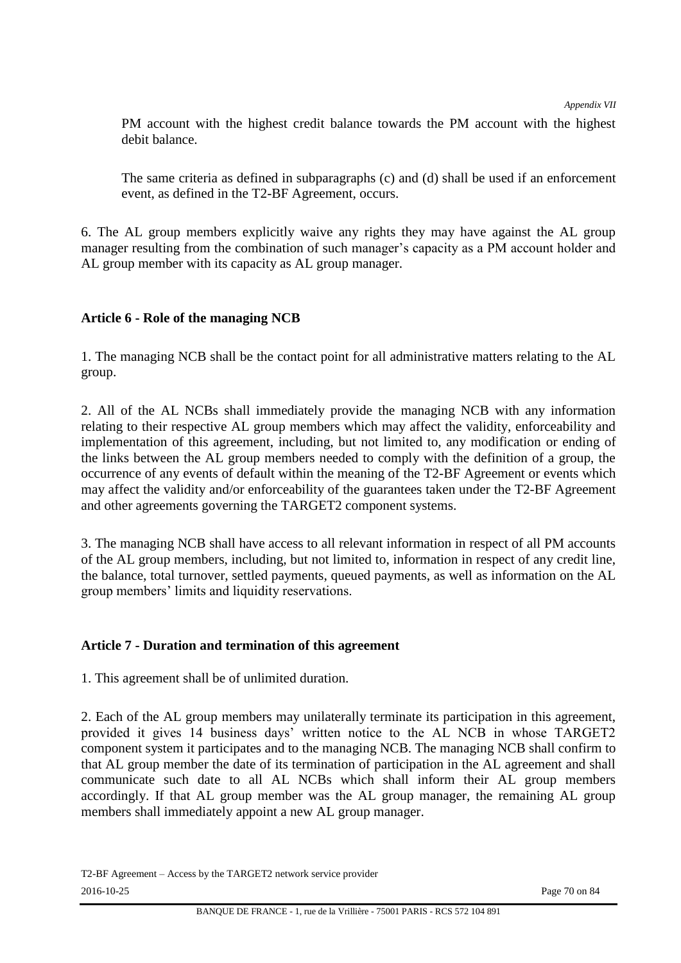PM account with the highest credit balance towards the PM account with the highest debit balance.

The same criteria as defined in subparagraphs (c) and (d) shall be used if an enforcement event, as defined in the T2-BF Agreement, occurs.

6. The AL group members explicitly waive any rights they may have against the AL group manager resulting from the combination of such manager's capacity as a PM account holder and AL group member with its capacity as AL group manager.

# **Article 6 - Role of the managing NCB**

1. The managing NCB shall be the contact point for all administrative matters relating to the AL group.

2. All of the AL NCBs shall immediately provide the managing NCB with any information relating to their respective AL group members which may affect the validity, enforceability and implementation of this agreement, including, but not limited to, any modification or ending of the links between the AL group members needed to comply with the definition of a group, the occurrence of any events of default within the meaning of the T2-BF Agreement or events which may affect the validity and/or enforceability of the guarantees taken under the T2-BF Agreement and other agreements governing the TARGET2 component systems.

3. The managing NCB shall have access to all relevant information in respect of all PM accounts of the AL group members, including, but not limited to, information in respect of any credit line, the balance, total turnover, settled payments, queued payments, as well as information on the AL group members' limits and liquidity reservations.

## **Article 7 - Duration and termination of this agreement**

1. This agreement shall be of unlimited duration.

2. Each of the AL group members may unilaterally terminate its participation in this agreement, provided it gives 14 business days' written notice to the AL NCB in whose TARGET2 component system it participates and to the managing NCB. The managing NCB shall confirm to that AL group member the date of its termination of participation in the AL agreement and shall communicate such date to all AL NCBs which shall inform their AL group members accordingly. If that AL group member was the AL group manager, the remaining AL group members shall immediately appoint a new AL group manager.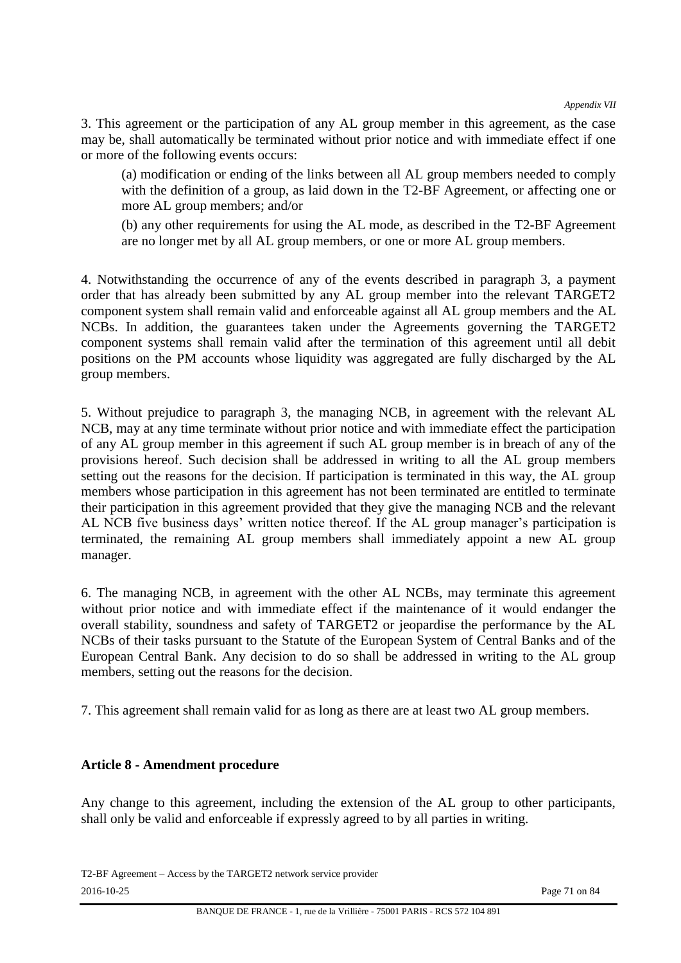3. This agreement or the participation of any AL group member in this agreement, as the case may be, shall automatically be terminated without prior notice and with immediate effect if one or more of the following events occurs:

(a) modification or ending of the links between all AL group members needed to comply with the definition of a group, as laid down in the T2-BF Agreement, or affecting one or more AL group members; and/or

(b) any other requirements for using the AL mode, as described in the T2-BF Agreement are no longer met by all AL group members, or one or more AL group members.

4. Notwithstanding the occurrence of any of the events described in paragraph 3, a payment order that has already been submitted by any AL group member into the relevant TARGET2 component system shall remain valid and enforceable against all AL group members and the AL NCBs. In addition, the guarantees taken under the Agreements governing the TARGET2 component systems shall remain valid after the termination of this agreement until all debit positions on the PM accounts whose liquidity was aggregated are fully discharged by the AL group members.

5. Without prejudice to paragraph 3, the managing NCB, in agreement with the relevant AL NCB, may at any time terminate without prior notice and with immediate effect the participation of any AL group member in this agreement if such AL group member is in breach of any of the provisions hereof. Such decision shall be addressed in writing to all the AL group members setting out the reasons for the decision. If participation is terminated in this way, the AL group members whose participation in this agreement has not been terminated are entitled to terminate their participation in this agreement provided that they give the managing NCB and the relevant AL NCB five business days' written notice thereof. If the AL group manager's participation is terminated, the remaining AL group members shall immediately appoint a new AL group manager.

6. The managing NCB, in agreement with the other AL NCBs, may terminate this agreement without prior notice and with immediate effect if the maintenance of it would endanger the overall stability, soundness and safety of TARGET2 or jeopardise the performance by the AL NCBs of their tasks pursuant to the Statute of the European System of Central Banks and of the European Central Bank. Any decision to do so shall be addressed in writing to the AL group members, setting out the reasons for the decision.

7. This agreement shall remain valid for as long as there are at least two AL group members.

#### **Article 8 - Amendment procedure**

Any change to this agreement, including the extension of the AL group to other participants, shall only be valid and enforceable if expressly agreed to by all parties in writing.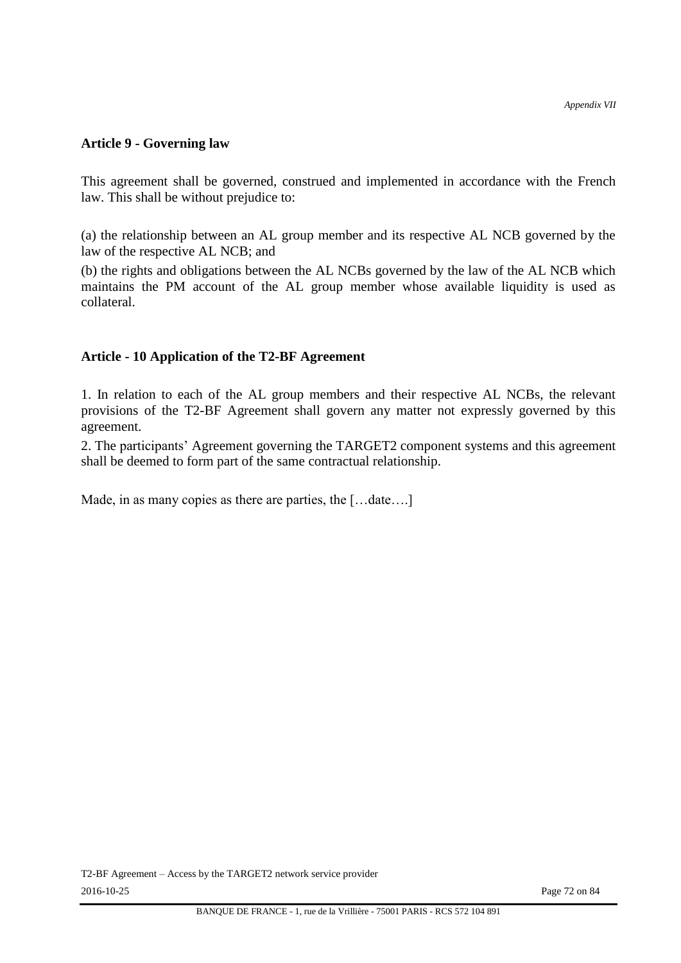## **Article 9 - Governing law**

This agreement shall be governed, construed and implemented in accordance with the French law. This shall be without prejudice to:

(a) the relationship between an AL group member and its respective AL NCB governed by the law of the respective AL NCB; and

(b) the rights and obligations between the AL NCBs governed by the law of the AL NCB which maintains the PM account of the AL group member whose available liquidity is used as collateral.

#### **Article - 10 Application of the T2-BF Agreement**

1. In relation to each of the AL group members and their respective AL NCBs, the relevant provisions of the T2-BF Agreement shall govern any matter not expressly governed by this agreement.

2. The participants' Agreement governing the TARGET2 component systems and this agreement shall be deemed to form part of the same contractual relationship.

Made, in as many copies as there are parties, the [...date....]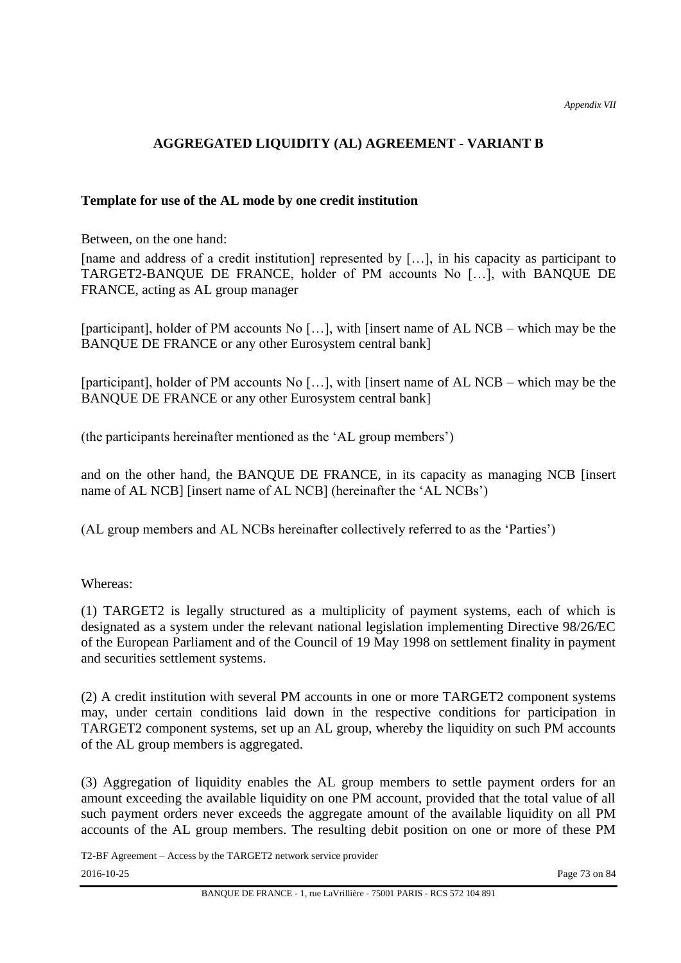# **AGGREGATED LIQUIDITY (AL) AGREEMENT - VARIANT B**

### **Template for use of the AL mode by one credit institution**

Between, on the one hand:

[name and address of a credit institution] represented by […], in his capacity as participant to TARGET2-BANQUE DE FRANCE, holder of PM accounts No […], with BANQUE DE FRANCE, acting as AL group manager

[participant], holder of PM accounts No […], with [insert name of AL NCB – which may be the BANQUE DE FRANCE or any other Eurosystem central bank]

[participant], holder of PM accounts No […], with [insert name of AL NCB – which may be the BANQUE DE FRANCE or any other Eurosystem central bank]

(the participants hereinafter mentioned as the 'AL group members')

and on the other hand, the BANQUE DE FRANCE, in its capacity as managing NCB [insert name of AL NCB] [insert name of AL NCB] (hereinafter the 'AL NCBs')

(AL group members and AL NCBs hereinafter collectively referred to as the 'Parties')

#### Whereas:

(1) TARGET2 is legally structured as a multiplicity of payment systems, each of which is designated as a system under the relevant national legislation implementing Directive 98/26/EC of the European Parliament and of the Council of 19 May 1998 on settlement finality in payment and securities settlement systems.

(2) A credit institution with several PM accounts in one or more TARGET2 component systems may, under certain conditions laid down in the respective conditions for participation in TARGET2 component systems, set up an AL group, whereby the liquidity on such PM accounts of the AL group members is aggregated.

(3) Aggregation of liquidity enables the AL group members to settle payment orders for an amount exceeding the available liquidity on one PM account, provided that the total value of all such payment orders never exceeds the aggregate amount of the available liquidity on all PM accounts of the AL group members. The resulting debit position on one or more of these PM

T2-BF Agreement – Access by the TARGET2 network service provider 2016-10-25 Page 73 on 84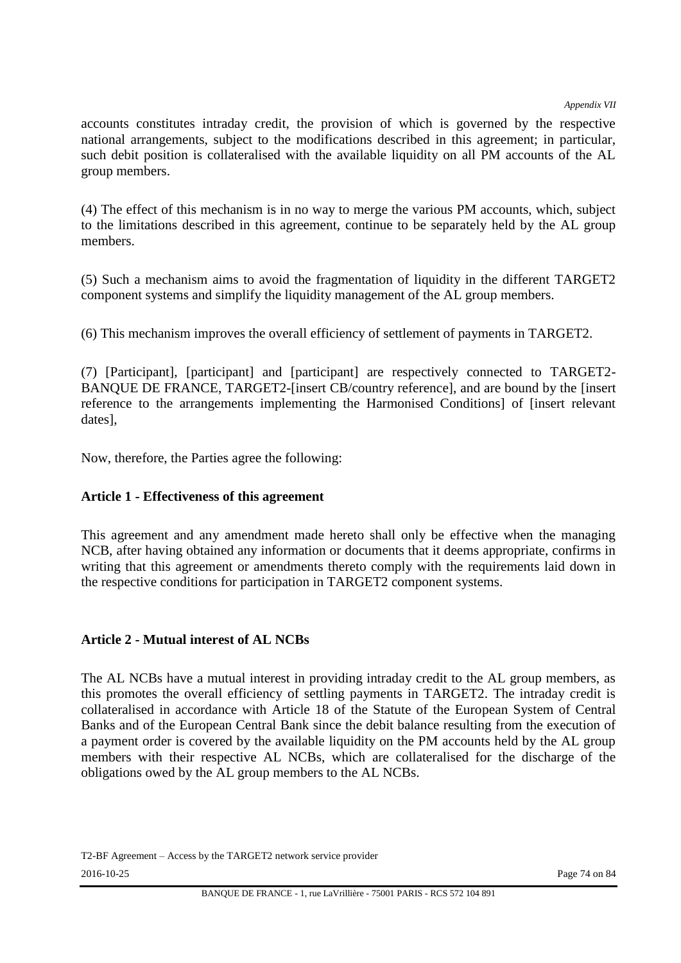*Appendix VII*

accounts constitutes intraday credit, the provision of which is governed by the respective national arrangements, subject to the modifications described in this agreement; in particular, such debit position is collateralised with the available liquidity on all PM accounts of the AL group members.

(4) The effect of this mechanism is in no way to merge the various PM accounts, which, subject to the limitations described in this agreement, continue to be separately held by the AL group members.

(5) Such a mechanism aims to avoid the fragmentation of liquidity in the different TARGET2 component systems and simplify the liquidity management of the AL group members.

(6) This mechanism improves the overall efficiency of settlement of payments in TARGET2.

(7) [Participant], [participant] and [participant] are respectively connected to TARGET2- BANQUE DE FRANCE, TARGET2-[insert CB/country reference], and are bound by the [insert reference to the arrangements implementing the Harmonised Conditions] of [insert relevant dates],

Now, therefore, the Parties agree the following:

# **Article 1 - Effectiveness of this agreement**

This agreement and any amendment made hereto shall only be effective when the managing NCB, after having obtained any information or documents that it deems appropriate, confirms in writing that this agreement or amendments thereto comply with the requirements laid down in the respective conditions for participation in TARGET2 component systems.

# **Article 2 - Mutual interest of AL NCBs**

The AL NCBs have a mutual interest in providing intraday credit to the AL group members, as this promotes the overall efficiency of settling payments in TARGET2. The intraday credit is collateralised in accordance with Article 18 of the Statute of the European System of Central Banks and of the European Central Bank since the debit balance resulting from the execution of a payment order is covered by the available liquidity on the PM accounts held by the AL group members with their respective AL NCBs, which are collateralised for the discharge of the obligations owed by the AL group members to the AL NCBs.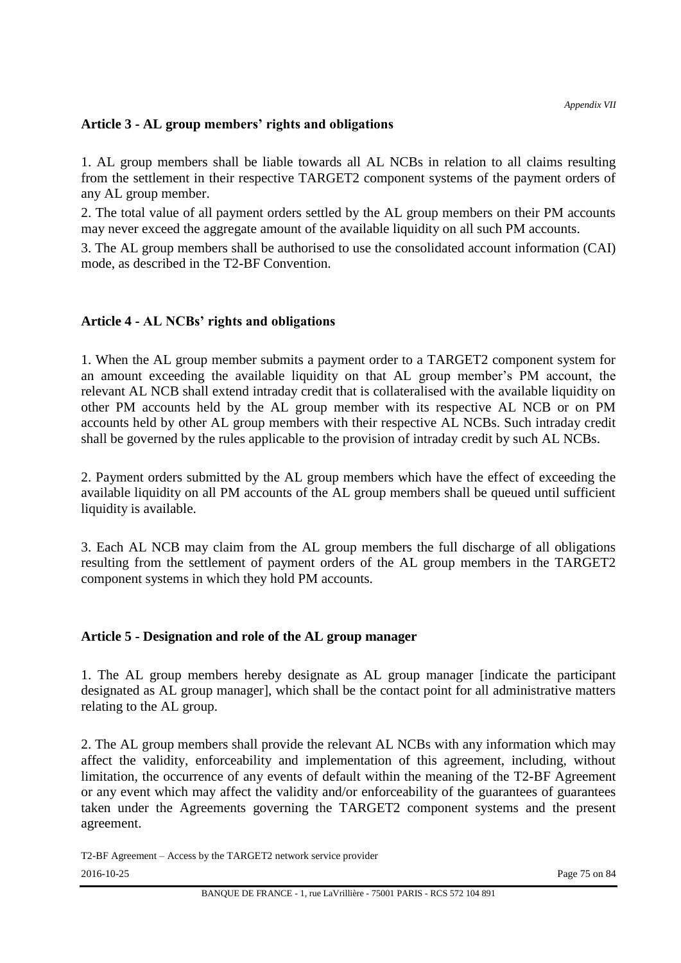# **Article 3 - AL group members' rights and obligations**

1. AL group members shall be liable towards all AL NCBs in relation to all claims resulting from the settlement in their respective TARGET2 component systems of the payment orders of any AL group member.

2. The total value of all payment orders settled by the AL group members on their PM accounts may never exceed the aggregate amount of the available liquidity on all such PM accounts.

3. The AL group members shall be authorised to use the consolidated account information (CAI) mode, as described in the T2-BF Convention.

# **Article 4 - AL NCBs' rights and obligations**

1. When the AL group member submits a payment order to a TARGET2 component system for an amount exceeding the available liquidity on that AL group member's PM account, the relevant AL NCB shall extend intraday credit that is collateralised with the available liquidity on other PM accounts held by the AL group member with its respective AL NCB or on PM accounts held by other AL group members with their respective AL NCBs. Such intraday credit shall be governed by the rules applicable to the provision of intraday credit by such AL NCBs.

2. Payment orders submitted by the AL group members which have the effect of exceeding the available liquidity on all PM accounts of the AL group members shall be queued until sufficient liquidity is available.

3. Each AL NCB may claim from the AL group members the full discharge of all obligations resulting from the settlement of payment orders of the AL group members in the TARGET2 component systems in which they hold PM accounts.

# **Article 5 - Designation and role of the AL group manager**

1. The AL group members hereby designate as AL group manager [indicate the participant designated as AL group manager], which shall be the contact point for all administrative matters relating to the AL group.

2. The AL group members shall provide the relevant AL NCBs with any information which may affect the validity, enforceability and implementation of this agreement, including, without limitation, the occurrence of any events of default within the meaning of the T2-BF Agreement or any event which may affect the validity and/or enforceability of the guarantees of guarantees taken under the Agreements governing the TARGET2 component systems and the present agreement.

T2-BF Agreement – Access by the TARGET2 network service provider 2016-10-25 Page 75 on 84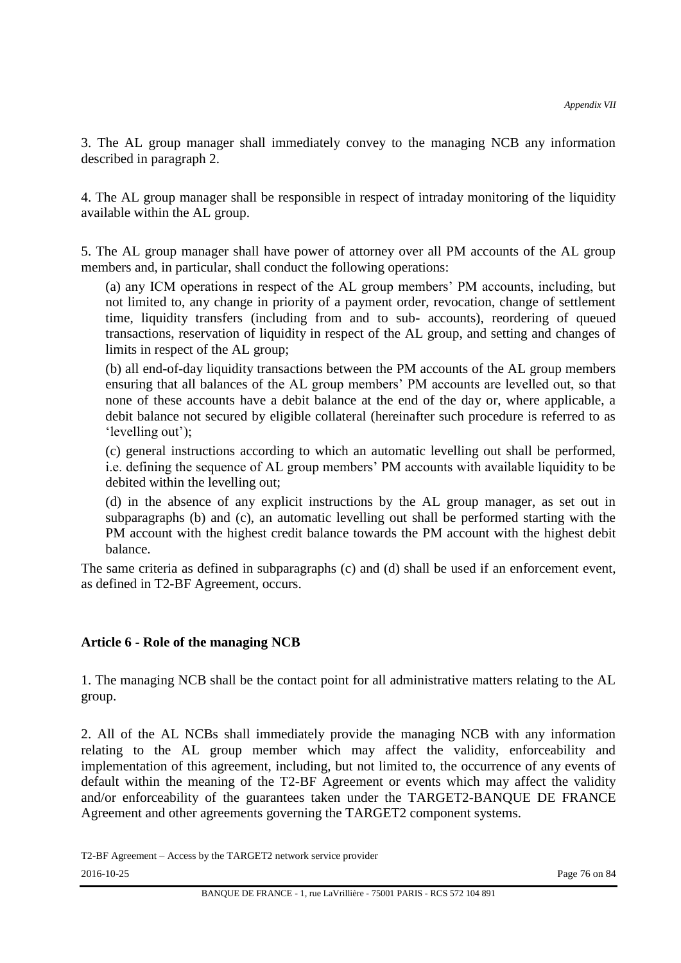3. The AL group manager shall immediately convey to the managing NCB any information described in paragraph 2.

4. The AL group manager shall be responsible in respect of intraday monitoring of the liquidity available within the AL group.

5. The AL group manager shall have power of attorney over all PM accounts of the AL group members and, in particular, shall conduct the following operations:

(a) any ICM operations in respect of the AL group members' PM accounts, including, but not limited to, any change in priority of a payment order, revocation, change of settlement time, liquidity transfers (including from and to sub- accounts), reordering of queued transactions, reservation of liquidity in respect of the AL group, and setting and changes of limits in respect of the AL group;

(b) all end-of-day liquidity transactions between the PM accounts of the AL group members ensuring that all balances of the AL group members' PM accounts are levelled out, so that none of these accounts have a debit balance at the end of the day or, where applicable, a debit balance not secured by eligible collateral (hereinafter such procedure is referred to as 'levelling out');

(c) general instructions according to which an automatic levelling out shall be performed, i.e. defining the sequence of AL group members' PM accounts with available liquidity to be debited within the levelling out;

(d) in the absence of any explicit instructions by the AL group manager, as set out in subparagraphs (b) and (c), an automatic levelling out shall be performed starting with the PM account with the highest credit balance towards the PM account with the highest debit balance.

The same criteria as defined in subparagraphs (c) and (d) shall be used if an enforcement event, as defined in T2-BF Agreement, occurs.

# **Article 6 - Role of the managing NCB**

1. The managing NCB shall be the contact point for all administrative matters relating to the AL group.

2. All of the AL NCBs shall immediately provide the managing NCB with any information relating to the AL group member which may affect the validity, enforceability and implementation of this agreement, including, but not limited to, the occurrence of any events of default within the meaning of the T2-BF Agreement or events which may affect the validity and/or enforceability of the guarantees taken under the TARGET2-BANQUE DE FRANCE Agreement and other agreements governing the TARGET2 component systems.

T2-BF Agreement – Access by the TARGET2 network service provider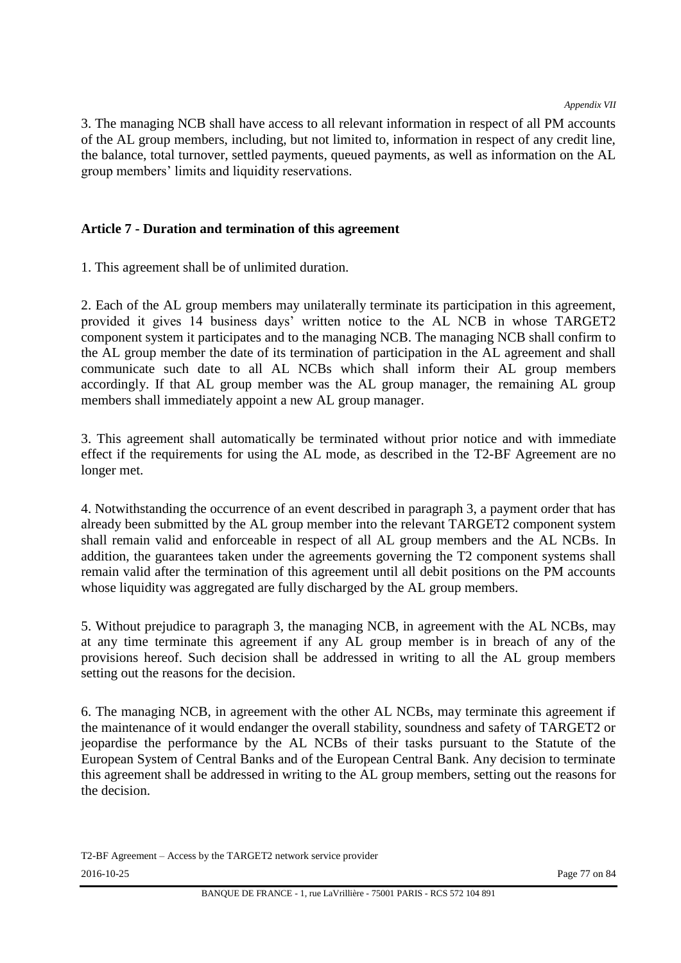*Appendix VII*

3. The managing NCB shall have access to all relevant information in respect of all PM accounts of the AL group members, including, but not limited to, information in respect of any credit line, the balance, total turnover, settled payments, queued payments, as well as information on the AL group members' limits and liquidity reservations.

# **Article 7 - Duration and termination of this agreement**

1. This agreement shall be of unlimited duration.

2. Each of the AL group members may unilaterally terminate its participation in this agreement, provided it gives 14 business days' written notice to the AL NCB in whose TARGET2 component system it participates and to the managing NCB. The managing NCB shall confirm to the AL group member the date of its termination of participation in the AL agreement and shall communicate such date to all AL NCBs which shall inform their AL group members accordingly. If that AL group member was the AL group manager, the remaining AL group members shall immediately appoint a new AL group manager.

3. This agreement shall automatically be terminated without prior notice and with immediate effect if the requirements for using the AL mode, as described in the T2-BF Agreement are no longer met.

4. Notwithstanding the occurrence of an event described in paragraph 3, a payment order that has already been submitted by the AL group member into the relevant TARGET2 component system shall remain valid and enforceable in respect of all AL group members and the AL NCBs. In addition, the guarantees taken under the agreements governing the T2 component systems shall remain valid after the termination of this agreement until all debit positions on the PM accounts whose liquidity was aggregated are fully discharged by the AL group members.

5. Without prejudice to paragraph 3, the managing NCB, in agreement with the AL NCBs, may at any time terminate this agreement if any AL group member is in breach of any of the provisions hereof. Such decision shall be addressed in writing to all the AL group members setting out the reasons for the decision.

6. The managing NCB, in agreement with the other AL NCBs, may terminate this agreement if the maintenance of it would endanger the overall stability, soundness and safety of TARGET2 or jeopardise the performance by the AL NCBs of their tasks pursuant to the Statute of the European System of Central Banks and of the European Central Bank. Any decision to terminate this agreement shall be addressed in writing to the AL group members, setting out the reasons for the decision.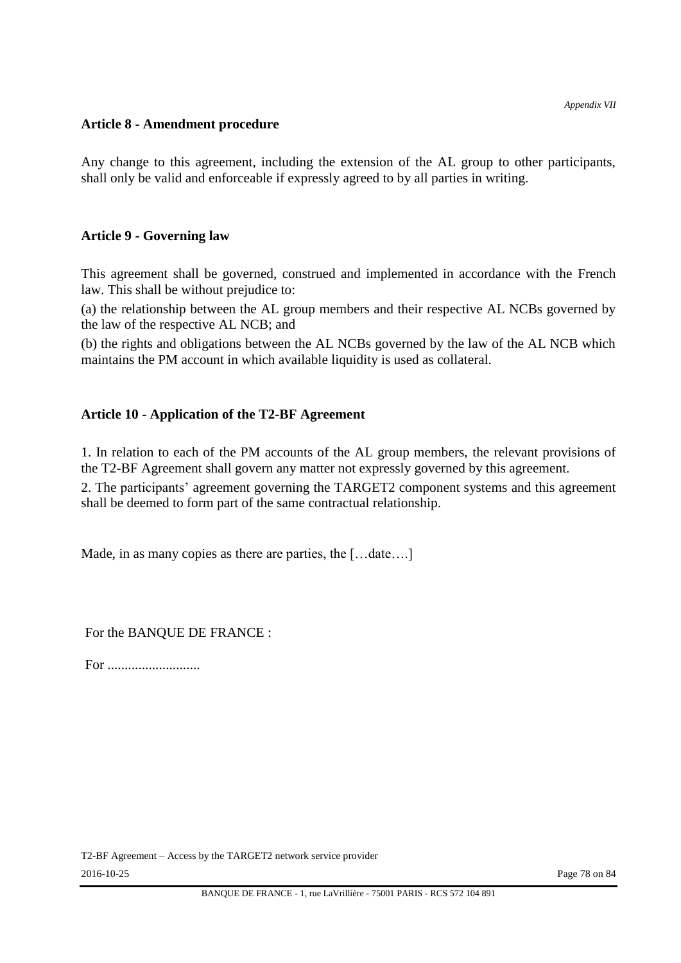### **Article 8 - Amendment procedure**

Any change to this agreement, including the extension of the AL group to other participants, shall only be valid and enforceable if expressly agreed to by all parties in writing.

### **Article 9 - Governing law**

This agreement shall be governed, construed and implemented in accordance with the French law. This shall be without prejudice to:

(a) the relationship between the AL group members and their respective AL NCBs governed by the law of the respective AL NCB; and

(b) the rights and obligations between the AL NCBs governed by the law of the AL NCB which maintains the PM account in which available liquidity is used as collateral.

# **Article 10 - Application of the T2-BF Agreement**

1. In relation to each of the PM accounts of the AL group members, the relevant provisions of the T2-BF Agreement shall govern any matter not expressly governed by this agreement.

2. The participants' agreement governing the TARGET2 component systems and this agreement shall be deemed to form part of the same contractual relationship.

Made, in as many copies as there are parties, the [...date....]

For the BANQUE DE FRANCE :

For ...........................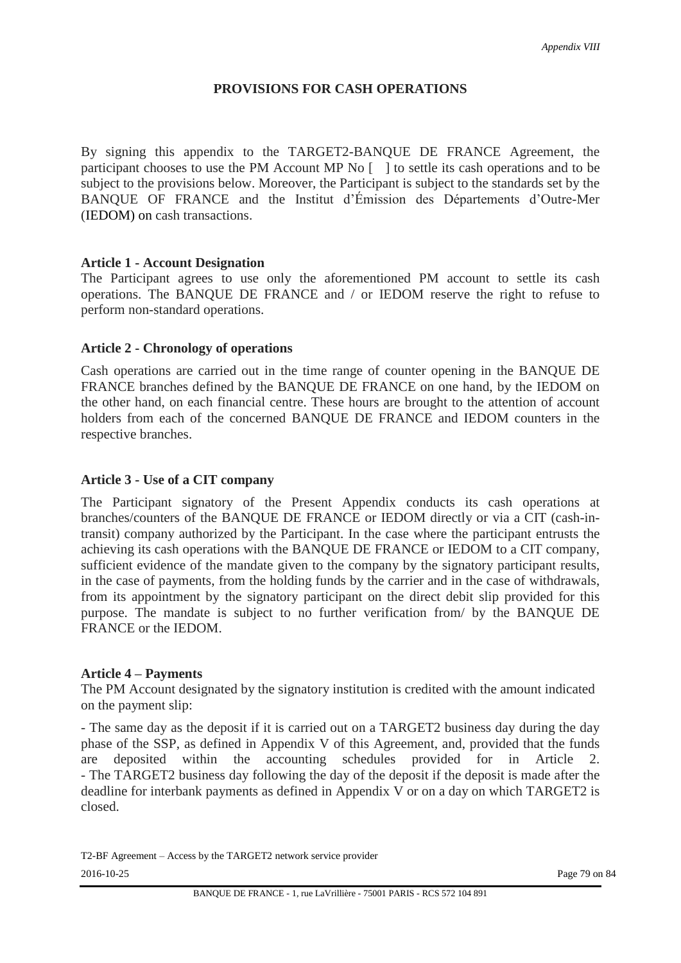# **PROVISIONS FOR CASH OPERATIONS**

By signing this appendix to the TARGET2-BANQUE DE FRANCE Agreement, the participant chooses to use the PM Account MP No [ ] to settle its cash operations and to be subject to the provisions below. Moreover, the Participant is subject to the standards set by the BANQUE OF FRANCE and the Institut d'Émission des Départements d'Outre-Mer (IEDOM) on cash transactions.

### **Article 1 - Account Designation**

The Participant agrees to use only the aforementioned PM account to settle its cash operations. The BANQUE DE FRANCE and / or IEDOM reserve the right to refuse to perform non-standard operations.

# **Article 2 - Chronology of operations**

Cash operations are carried out in the time range of counter opening in the BANQUE DE FRANCE branches defined by the BANQUE DE FRANCE on one hand, by the IEDOM on the other hand, on each financial centre. These hours are brought to the attention of account holders from each of the concerned BANQUE DE FRANCE and IEDOM counters in the respective branches.

### **Article 3 - Use of a CIT company**

The Participant signatory of the Present Appendix conducts its cash operations at branches/counters of the BANQUE DE FRANCE or IEDOM directly or via a CIT (cash-intransit) company authorized by the Participant. In the case where the participant entrusts the achieving its cash operations with the BANQUE DE FRANCE or IEDOM to a CIT company, sufficient evidence of the mandate given to the company by the signatory participant results, in the case of payments, from the holding funds by the carrier and in the case of withdrawals, from its appointment by the signatory participant on the direct debit slip provided for this purpose. The mandate is subject to no further verification from/ by the BANQUE DE FRANCE or the IEDOM.

#### **Article 4 – Payments**

The PM Account designated by the signatory institution is credited with the amount indicated on the payment slip:

- The same day as the deposit if it is carried out on a TARGET2 business day during the day phase of the SSP, as defined in Appendix V of this Agreement, and, provided that the funds are deposited within the accounting schedules provided for in Article 2. - The TARGET2 business day following the day of the deposit if the deposit is made after the deadline for interbank payments as defined in Appendix V or on a day on which TARGET2 is closed.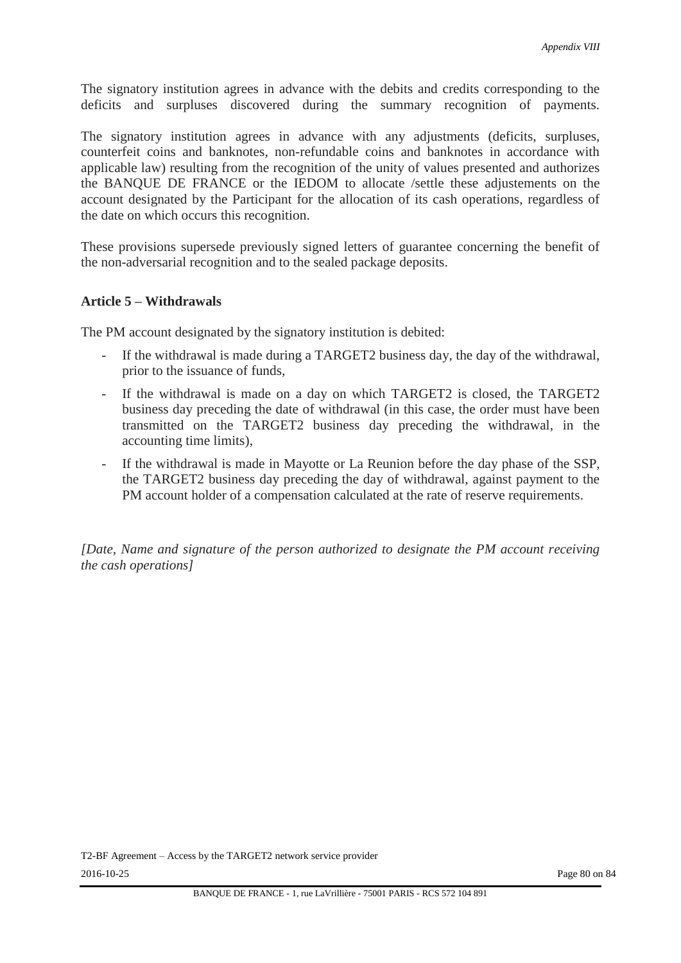The signatory institution agrees in advance with the debits and credits corresponding to the deficits and surpluses discovered during the summary recognition of payments.

The signatory institution agrees in advance with any adjustments (deficits, surpluses, counterfeit coins and banknotes, non-refundable coins and banknotes in accordance with applicable law) resulting from the recognition of the unity of values presented and authorizes the BANQUE DE FRANCE or the IEDOM to allocate /settle these adjustements on the account designated by the Participant for the allocation of its cash operations, regardless of the date on which occurs this recognition.

These provisions supersede previously signed letters of guarantee concerning the benefit of the non-adversarial recognition and to the sealed package deposits.

### **Article 5 – Withdrawals**

The PM account designated by the signatory institution is debited:

- If the withdrawal is made during a TARGET2 business day, the day of the withdrawal, prior to the issuance of funds,
- If the withdrawal is made on a day on which TARGET2 is closed, the TARGET2 business day preceding the date of withdrawal (in this case, the order must have been transmitted on the TARGET2 business day preceding the withdrawal, in the accounting time limits),
- If the withdrawal is made in Mayotte or La Reunion before the day phase of the SSP, the TARGET2 business day preceding the day of withdrawal, against payment to the PM account holder of a compensation calculated at the rate of reserve requirements.

*[Date, Name and signature of the person authorized to designate the PM account receiving the cash operations]*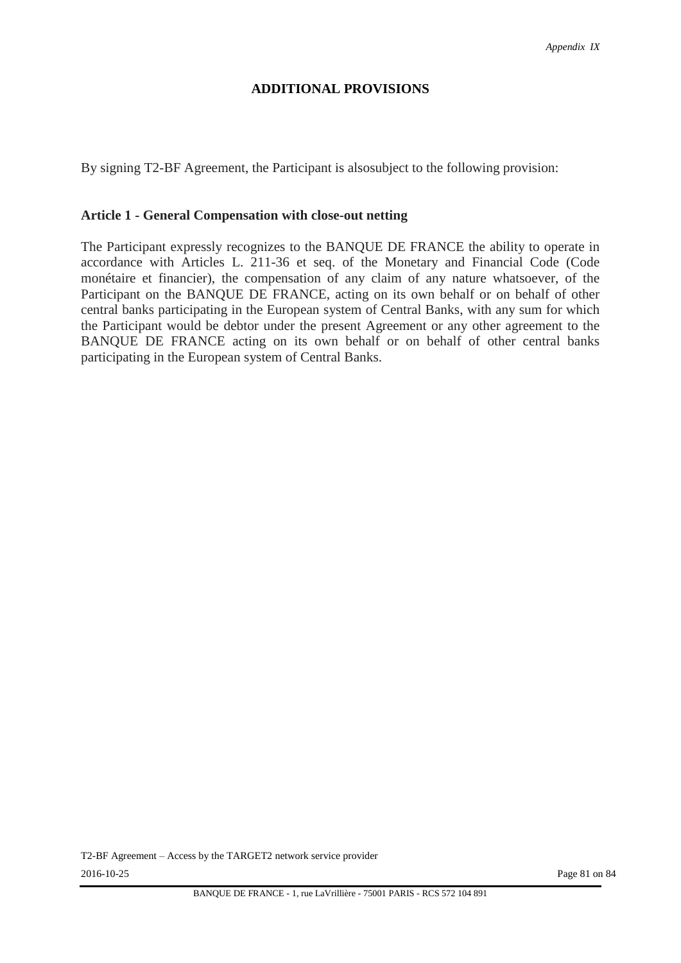### **ADDITIONAL PROVISIONS**

By signing T2-BF Agreement, the Participant is alsosubject to the following provision:

#### **Article 1 - General Compensation with close-out netting**

The Participant expressly recognizes to the BANQUE DE FRANCE the ability to operate in accordance with Articles L. 211-36 et seq. of the Monetary and Financial Code (Code monétaire et financier), the compensation of any claim of any nature whatsoever, of the Participant on the BANQUE DE FRANCE, acting on its own behalf or on behalf of other central banks participating in the European system of Central Banks, with any sum for which the Participant would be debtor under the present Agreement or any other agreement to the BANQUE DE FRANCE acting on its own behalf or on behalf of other central banks participating in the European system of Central Banks.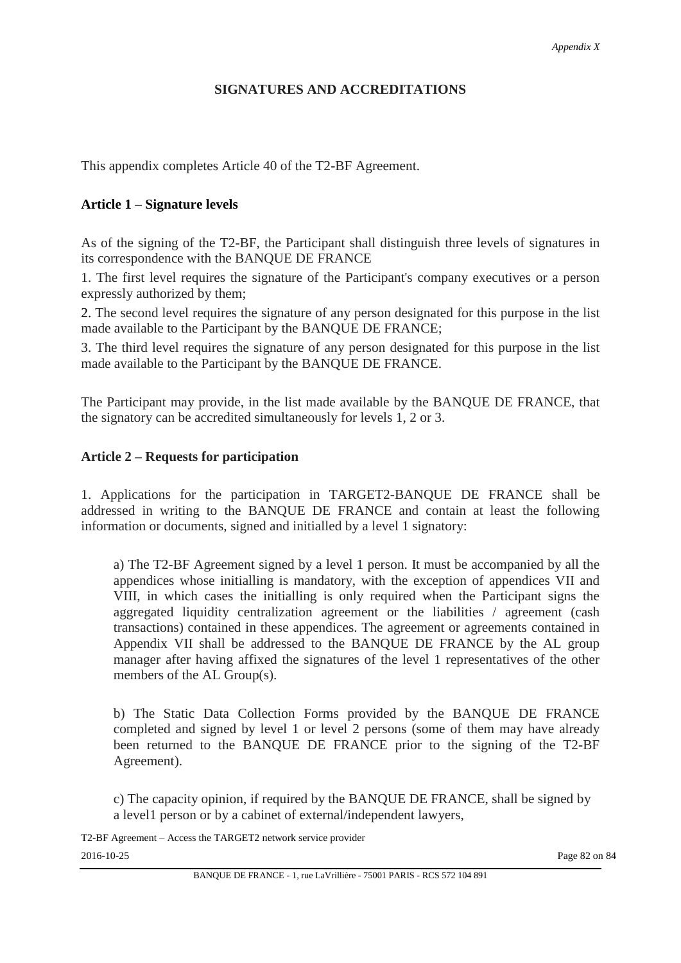# **SIGNATURES AND ACCREDITATIONS**

This appendix completes Article 40 of the T2-BF Agreement.

# **Article 1 – Signature levels**

As of the signing of the T2-BF, the Participant shall distinguish three levels of signatures in its correspondence with the BANQUE DE FRANCE

1. The first level requires the signature of the Participant's company executives or a person expressly authorized by them;

2. The second level requires the signature of any person designated for this purpose in the list made available to the Participant by the BANQUE DE FRANCE;

3. The third level requires the signature of any person designated for this purpose in the list made available to the Participant by the BANQUE DE FRANCE.

The Participant may provide, in the list made available by the BANQUE DE FRANCE, that the signatory can be accredited simultaneously for levels 1, 2 or 3.

# **Article 2 – Requests for participation**

1. Applications for the participation in TARGET2-BANQUE DE FRANCE shall be addressed in writing to the BANQUE DE FRANCE and contain at least the following information or documents, signed and initialled by a level 1 signatory:

a) The T2-BF Agreement signed by a level 1 person. It must be accompanied by all the appendices whose initialling is mandatory, with the exception of appendices VII and VIII, in which cases the initialling is only required when the Participant signs the aggregated liquidity centralization agreement or the liabilities / agreement (cash transactions) contained in these appendices. The agreement or agreements contained in Appendix VII shall be addressed to the BANQUE DE FRANCE by the AL group manager after having affixed the signatures of the level 1 representatives of the other members of the AL Group(s).

b) The Static Data Collection Forms provided by the BANQUE DE FRANCE completed and signed by level 1 or level 2 persons (some of them may have already been returned to the BANQUE DE FRANCE prior to the signing of the T2-BF Agreement).

c) The capacity opinion, if required by the BANQUE DE FRANCE, shall be signed by a level1 person or by a cabinet of external/independent lawyers,

T2-BF Agreement – Access the TARGET2 network service provider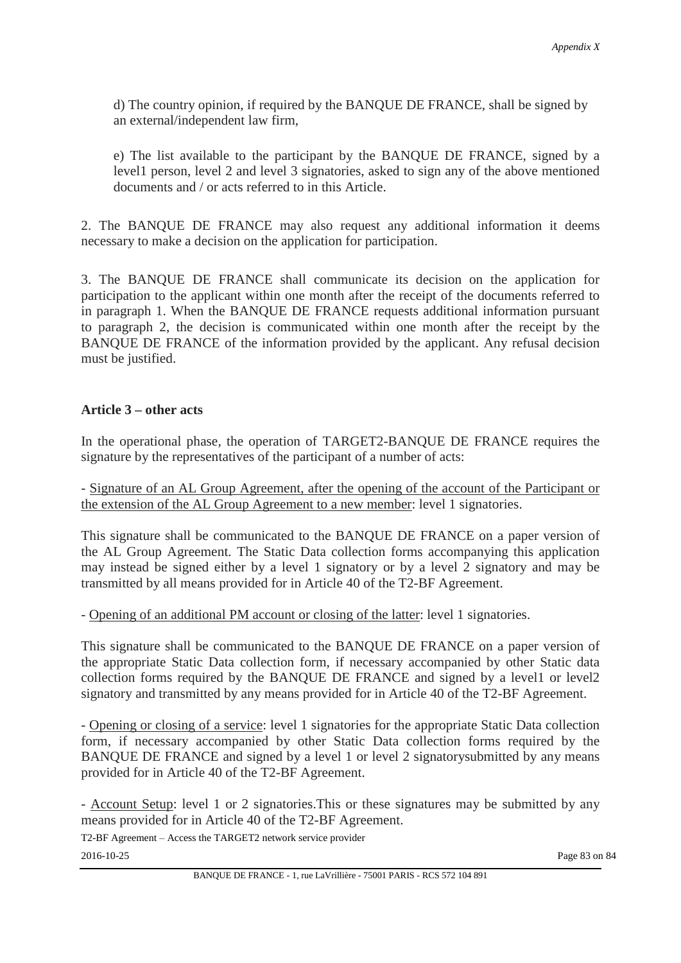d) The country opinion, if required by the BANQUE DE FRANCE, shall be signed by an external/independent law firm,

e) The list available to the participant by the BANQUE DE FRANCE, signed by a level1 person, level 2 and level 3 signatories, asked to sign any of the above mentioned documents and / or acts referred to in this Article.

2. The BANQUE DE FRANCE may also request any additional information it deems necessary to make a decision on the application for participation.

3. The BANQUE DE FRANCE shall communicate its decision on the application for participation to the applicant within one month after the receipt of the documents referred to in paragraph 1. When the BANQUE DE FRANCE requests additional information pursuant to paragraph 2, the decision is communicated within one month after the receipt by the BANQUE DE FRANCE of the information provided by the applicant. Any refusal decision must be justified.

# **Article 3 – other acts**

In the operational phase, the operation of TARGET2-BANQUE DE FRANCE requires the signature by the representatives of the participant of a number of acts:

- Signature of an AL Group Agreement, after the opening of the account of the Participant or the extension of the AL Group Agreement to a new member: level 1 signatories.

This signature shall be communicated to the BANQUE DE FRANCE on a paper version of the AL Group Agreement. The Static Data collection forms accompanying this application may instead be signed either by a level 1 signatory or by a level 2 signatory and may be transmitted by all means provided for in Article 40 of the T2-BF Agreement.

- Opening of an additional PM account or closing of the latter: level 1 signatories.

This signature shall be communicated to the BANQUE DE FRANCE on a paper version of the appropriate Static Data collection form, if necessary accompanied by other Static data collection forms required by the BANQUE DE FRANCE and signed by a level1 or level2 signatory and transmitted by any means provided for in Article 40 of the T2-BF Agreement.

- Opening or closing of a service: level 1 signatories for the appropriate Static Data collection form, if necessary accompanied by other Static Data collection forms required by the BANQUE DE FRANCE and signed by a level 1 or level 2 signatory submitted by any means provided for in Article 40 of the T2-BF Agreement.

- Account Setup: level 1 or 2 signatories.This or these signatures may be submitted by any means provided for in Article 40 of the T2-BF Agreement.

T2-BF Agreement – Access the TARGET2 network service provider